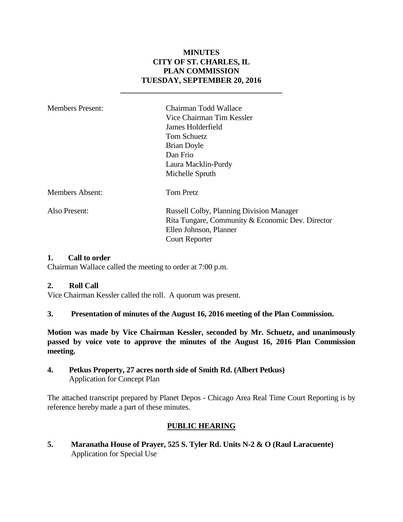## **MINUTES CITY OF ST. CHARLES, IL PLAN COMMISSION TUESDAY, SEPTEMBER 20, 2016**

**\_\_\_\_\_\_\_\_\_\_\_\_\_\_\_\_\_\_\_\_\_\_\_\_\_\_\_\_\_\_\_\_\_\_\_\_\_\_\_\_\_**

| <b>Members Present:</b> | Chairman Todd Wallace<br>Vice Chairman Tim Kessler<br>James Holderfield<br>Tom Schuetz<br><b>Brian Doyle</b><br>Dan Frio<br>Laura Macklin-Purdy<br>Michelle Spruth |
|-------------------------|--------------------------------------------------------------------------------------------------------------------------------------------------------------------|
| <b>Members Absent:</b>  | <b>Tom Pretz</b>                                                                                                                                                   |
| Also Present:           | <b>Russell Colby, Planning Division Manager</b><br>Rita Tungare, Community & Economic Dev. Director<br>Ellen Johnson, Planner<br><b>Court Reporter</b>             |

#### **1. Call to order**

Chairman Wallace called the meeting to order at 7:00 p.m.

#### **2. Roll Call**

Vice Chairman Kessler called the roll. A quorum was present.

**3. Presentation of minutes of the August 16, 2016 meeting of the Plan Commission.**

**Motion was made by Vice Chairman Kessler, seconded by Mr. Schuetz, and unanimously passed by voice vote to approve the minutes of the August 16, 2016 Plan Commission meeting.** 

**4. Petkus Property, 27 acres north side of Smith Rd. (Albert Petkus)** Application for Concept Plan

The attached transcript prepared by Planet Depos - Chicago Area Real Time Court Reporting is by reference hereby made a part of these minutes.

### **PUBLIC HEARING**

**5. Maranatha House of Prayer, 525 S. Tyler Rd. Units N-2 & O (Raul Laracuente)** Application for Special Use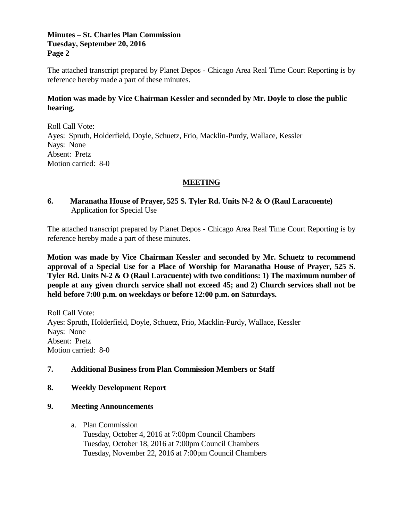#### **Minutes – St. Charles Plan Commission Tuesday, September 20, 2016 Page 2**

The attached transcript prepared by Planet Depos - Chicago Area Real Time Court Reporting is by reference hereby made a part of these minutes.

### **Motion was made by Vice Chairman Kessler and seconded by Mr. Doyle to close the public hearing.**

Roll Call Vote: Ayes: Spruth, Holderfield, Doyle, Schuetz, Frio, Macklin-Purdy, Wallace, Kessler Nays: None Absent: Pretz Motion carried: 8-0

### **MEETING**

# **6. Maranatha House of Prayer, 525 S. Tyler Rd. Units N-2 & O (Raul Laracuente)** Application for Special Use

The attached transcript prepared by Planet Depos - Chicago Area Real Time Court Reporting is by reference hereby made a part of these minutes.

**Motion was made by Vice Chairman Kessler and seconded by Mr. Schuetz to recommend approval of a Special Use for a Place of Worship for Maranatha House of Prayer, 525 S. Tyler Rd. Units N-2 & O (Raul Laracuente) with two conditions: 1) The maximum number of people at any given church service shall not exceed 45; and 2) Church services shall not be held before 7:00 p.m. on weekdays or before 12:00 p.m. on Saturdays.** 

Roll Call Vote: Ayes: Spruth, Holderfield, Doyle, Schuetz, Frio, Macklin-Purdy, Wallace, Kessler Nays: None Absent: Pretz Motion carried: 8-0

### **7. Additional Business from Plan Commission Members or Staff**

### **8. Weekly Development Report**

### **9. Meeting Announcements**

### a. Plan Commission

Tuesday, October 4, 2016 at 7:00pm Council Chambers Tuesday, October 18, 2016 at 7:00pm Council Chambers Tuesday, November 22, 2016 at 7:00pm Council Chambers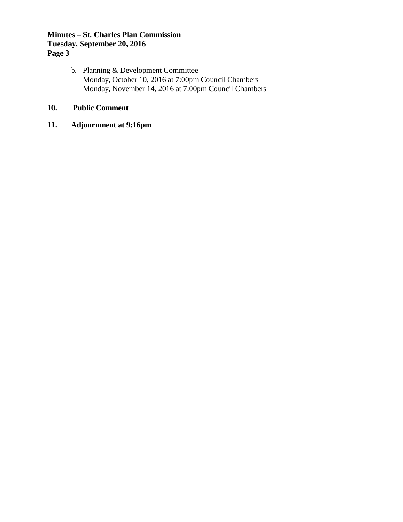# **Minutes – St. Charles Plan Commission Tuesday, September 20, 2016 Page 3**

b. Planning & Development Committee Monday, October 10, 2016 at 7:00pm Council Chambers Monday, November 14, 2016 at 7:00pm Council Chambers

# **10. Public Comment**

# **11. Adjournment at 9:16pm**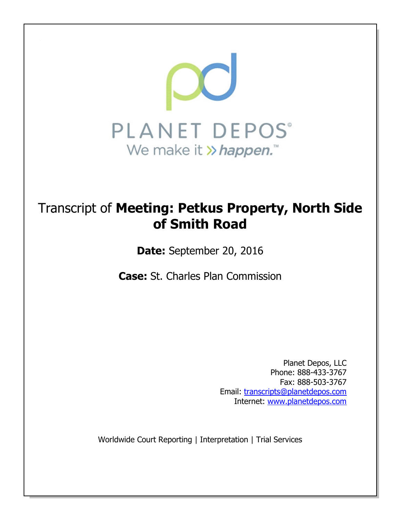

# Transcript of **Meeting: Petkus Property, North Side of Smith Road**

**Date:** September 20, 2016

**Case:** St. Charles Plan Commission

Planet Depos, LLC Phone: 888-433-3767 Fax: 888-503-3767 Email: transcripts@planetdepos.com Internet: www.planetdepos.com

Worldwide Court Reporting | Interpretation | Trial Services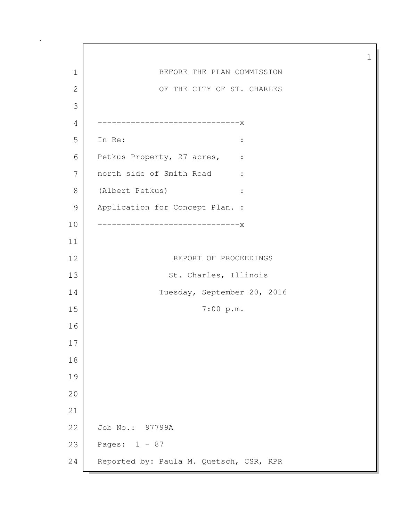1 BEFORE THE PLAN COMMISSION 2 OF THE CITY OF ST. CHARLES 3 4 ------------------------------x 5 In Re: : 6 Petkus Property, 27 acres, : 7 north side of Smith Road : 8 (Albert Petkus) : 9 Application for Concept Plan. : 10 ------------------------------x 11 12 REPORT OF PROCEEDINGS 13 St. Charles, Illinois 14 Tuesday, September 20, 2016 15 7:00 p.m. 16 17 18 19 20 21 22 Job No.: 97799A 23 Pages: 1 - 87 24 Reported by: Paula M. Quetsch, CSR, RPR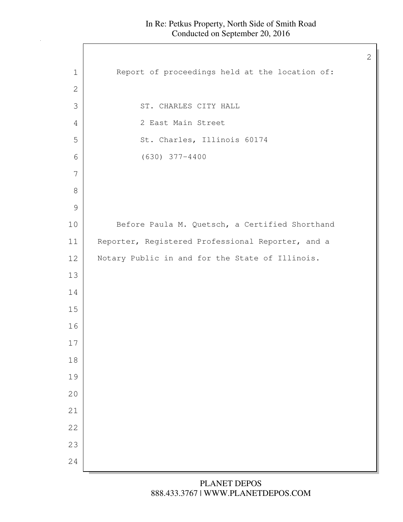$\mathbf l$ 

| Report of proceedings held at the location of:<br>$\mathbf 1$<br>$\mathbf{2}$<br>3<br>ST. CHARLES CITY HALL<br>2 East Main Street<br>4<br>St. Charles, Illinois 60174<br>5<br>$(630)$ 377-4400<br>6<br>7<br>$8\,$<br>$\mathcal{G}$<br>Before Paula M. Quetsch, a Certified Shorthand<br>10<br>Reporter, Registered Professional Reporter, and a<br>11<br>12<br>Notary Public in and for the State of Illinois.<br>13<br>14<br>15<br>16<br>17<br>18<br>19<br>20<br>21<br>22<br>23<br>24 |  |
|----------------------------------------------------------------------------------------------------------------------------------------------------------------------------------------------------------------------------------------------------------------------------------------------------------------------------------------------------------------------------------------------------------------------------------------------------------------------------------------|--|
|                                                                                                                                                                                                                                                                                                                                                                                                                                                                                        |  |
|                                                                                                                                                                                                                                                                                                                                                                                                                                                                                        |  |
|                                                                                                                                                                                                                                                                                                                                                                                                                                                                                        |  |
|                                                                                                                                                                                                                                                                                                                                                                                                                                                                                        |  |
|                                                                                                                                                                                                                                                                                                                                                                                                                                                                                        |  |
|                                                                                                                                                                                                                                                                                                                                                                                                                                                                                        |  |
|                                                                                                                                                                                                                                                                                                                                                                                                                                                                                        |  |
|                                                                                                                                                                                                                                                                                                                                                                                                                                                                                        |  |
|                                                                                                                                                                                                                                                                                                                                                                                                                                                                                        |  |
|                                                                                                                                                                                                                                                                                                                                                                                                                                                                                        |  |
|                                                                                                                                                                                                                                                                                                                                                                                                                                                                                        |  |
|                                                                                                                                                                                                                                                                                                                                                                                                                                                                                        |  |
|                                                                                                                                                                                                                                                                                                                                                                                                                                                                                        |  |
|                                                                                                                                                                                                                                                                                                                                                                                                                                                                                        |  |
|                                                                                                                                                                                                                                                                                                                                                                                                                                                                                        |  |
|                                                                                                                                                                                                                                                                                                                                                                                                                                                                                        |  |
|                                                                                                                                                                                                                                                                                                                                                                                                                                                                                        |  |
|                                                                                                                                                                                                                                                                                                                                                                                                                                                                                        |  |
|                                                                                                                                                                                                                                                                                                                                                                                                                                                                                        |  |
|                                                                                                                                                                                                                                                                                                                                                                                                                                                                                        |  |
|                                                                                                                                                                                                                                                                                                                                                                                                                                                                                        |  |
|                                                                                                                                                                                                                                                                                                                                                                                                                                                                                        |  |
|                                                                                                                                                                                                                                                                                                                                                                                                                                                                                        |  |
|                                                                                                                                                                                                                                                                                                                                                                                                                                                                                        |  |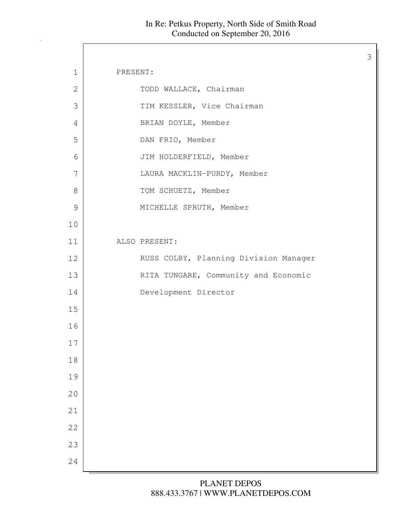$\Gamma$ 

| $\mathbf 1$    | PRESENT:                              |
|----------------|---------------------------------------|
| $\mathbf{2}$   | TODD WALLACE, Chairman                |
| $\mathfrak{Z}$ | TIM KESSLER, Vice Chairman            |
| 4              | BRIAN DOYLE, Member                   |
| 5              | DAN FRIO, Member                      |
| 6              | JIM HOLDERFIELD, Member               |
| 7              | LAURA MACKLIN-PURDY, Member           |
| 8              | TOM SCHUETZ, Member                   |
| $\mathcal{Q}$  | MICHELLE SPRUTH, Member               |
| 10             |                                       |
| 11             | ALSO PRESENT:                         |
| 12             | RUSS COLBY, Planning Division Manager |
| 13             | RITA TUNGARE, Community and Economic  |
| 14             | Development Director                  |
| 15             |                                       |
| 16             |                                       |
| 17             |                                       |
| 18             |                                       |
| 19             |                                       |
| 20             |                                       |
| 21             |                                       |
| 22             |                                       |
| 23             |                                       |
| 24             |                                       |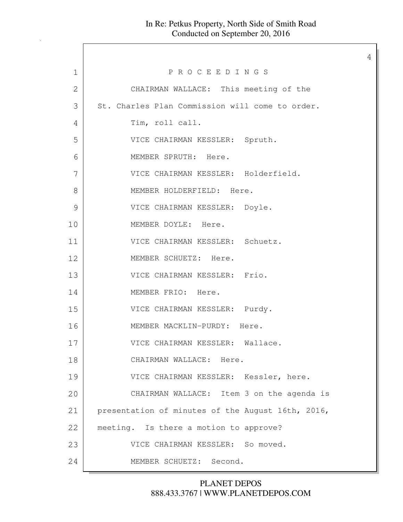4

1 P R O C E E D I N G S 2 CHAIRMAN WALLACE: This meeting of the 3 St. Charles Plan Commission will come to order. 4 Tim, roll call. 5 VICE CHAIRMAN KESSLER: Spruth. 6 MEMBER SPRUTH: Here. 7 VICE CHAIRMAN KESSLER: Holderfield. 8 MEMBER HOLDERFIELD: Here. 9 VICE CHAIRMAN KESSLER: Doyle. 10 MEMBER DOYLE: Here. 11 | VICE CHAIRMAN KESSLER: Schuetz. 12 MEMBER SCHUETZ: Here. 13 VICE CHAIRMAN KESSLER: Frio. 14 MEMBER FRIO: Here. 15 VICE CHAIRMAN KESSLER: Purdy. 16 MEMBER MACKLIN-PURDY: Here. 17 VICE CHAIRMAN KESSLER: Wallace. 18 CHAIRMAN WALLACE: Here. 19 VICE CHAIRMAN KESSLER: Kessler, here. 20 CHAIRMAN WALLACE: Item 3 on the agenda is 21 presentation of minutes of the August 16th, 2016, 22 | meeting. Is there a motion to approve? 23 VICE CHAIRMAN KESSLER: So moved. 24 MEMBER SCHUETZ: Second.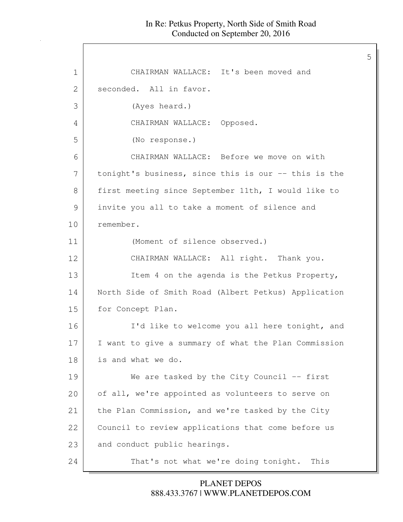5

1 CHAIRMAN WALLACE: It's been moved and 2 seconded. All in favor. 3 (Ayes heard.) 4 CHAIRMAN WALLACE: Opposed. 5 (No response.) 6 CHAIRMAN WALLACE: Before we move on with 7 tonight's business, since this is our -- this is the 8 first meeting since September 11th, I would like to 9 invite you all to take a moment of silence and 10 remember. 11 (Moment of silence observed.) 12 CHAIRMAN WALLACE: All right. Thank you. 13 Item 4 on the agenda is the Petkus Property, 14 North Side of Smith Road (Albert Petkus) Application 15 for Concept Plan. 16 I'd like to welcome you all here tonight, and 17 I want to give a summary of what the Plan Commission 18 is and what we do. 19 We are tasked by the City Council -- first 20 of all, we're appointed as volunteers to serve on 21 the Plan Commission, and we're tasked by the City 22 Council to review applications that come before us 23 and conduct public hearings. 24 That's not what we're doing tonight. This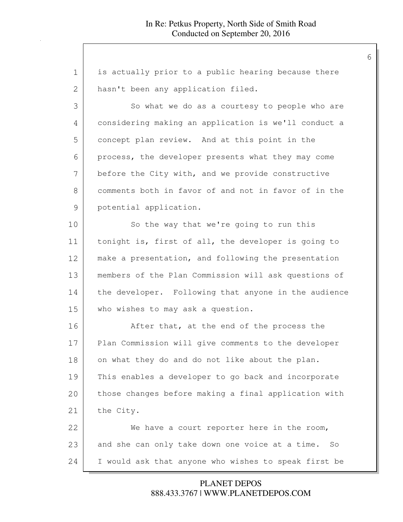| $\mathbf 1$ | is actually prior to a public hearing because there  |
|-------------|------------------------------------------------------|
| 2           | hasn't been any application filed.                   |
| 3           | So what we do as a courtesy to people who are        |
| 4           | considering making an application is we'll conduct a |
| 5           | concept plan review. And at this point in the        |
| 6           | process, the developer presents what they may come   |
| 7           | before the City with, and we provide constructive    |
| 8           | comments both in favor of and not in favor of in the |
| 9           | potential application.                               |
| 10          | So the way that we're going to run this              |
| 11          | tonight is, first of all, the developer is going to  |
| 12          | make a presentation, and following the presentation  |
| 13          | members of the Plan Commission will ask questions of |
| 14          | the developer. Following that anyone in the audience |
| 15          | who wishes to may ask a question.                    |
| 16          | After that, at the end of the process the            |
| 17          | Plan Commission will give comments to the developer  |
| 18          | on what they do and do not like about the plan.      |
| 19          | This enables a developer to go back and incorporate  |
| 20          | those changes before making a final application with |
| 21          | the City.                                            |
| 22          | We have a court reporter here in the room,           |
| 23          | and she can only take down one voice at a time. So   |
| 24          | I would ask that anyone who wishes to speak first be |

888.433.3767 | WWW.PLANETDEPOS.COM PLANET DEPOS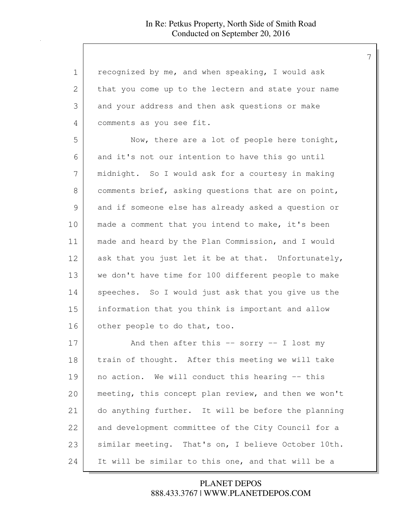| $\mathbf 1$ | recognized by me, and when speaking, I would ask     |
|-------------|------------------------------------------------------|
| 2           | that you come up to the lectern and state your name  |
| 3           | and your address and then ask questions or make      |
| 4           | comments as you see fit.                             |
| 5           | Now, there are a lot of people here tonight,         |
| 6           | and it's not our intention to have this go until     |
| 7           | midnight. So I would ask for a courtesy in making    |
| 8           | comments brief, asking questions that are on point,  |
| 9           | and if someone else has already asked a question or  |
| 10          | made a comment that you intend to make, it's been    |
| 11          | made and heard by the Plan Commission, and I would   |
| 12          | ask that you just let it be at that. Unfortunately,  |
| 13          | we don't have time for 100 different people to make  |
| 14          | speeches. So I would just ask that you give us the   |
| 15          | information that you think is important and allow    |
| 16          | other people to do that, too.                        |
| 17          | And then after this $--$ sorry $--$ I lost my        |
| 18          | train of thought. After this meeting we will take    |
| 19          | no action. We will conduct this hearing -- this      |
| 20          | meeting, this concept plan review, and then we won't |
| 21          | do anything further. It will be before the planning  |
| 22          | and development committee of the City Council for a  |
| 23          | similar meeting. That's on, I believe October 10th.  |
| 24          | It will be similar to this one, and that will be a   |

888.433.3767 | WWW.PLANETDEPOS.COM PLANET DEPOS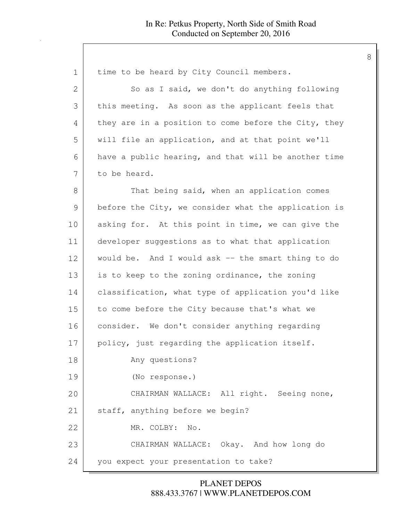| $\mathbf 1$   | time to be heard by City Council members.            |
|---------------|------------------------------------------------------|
| 2             | So as I said, we don't do anything following         |
| 3             | this meeting. As soon as the applicant feels that    |
| 4             | they are in a position to come before the City, they |
| 5             | will file an application, and at that point we'll    |
| 6             | have a public hearing, and that will be another time |
| 7             | to be heard.                                         |
| 8             | That being said, when an application comes           |
| $\mathcal{G}$ | before the City, we consider what the application is |
| 10            | asking for. At this point in time, we can give the   |
| 11            | developer suggestions as to what that application    |
| 12            | would be. And I would ask -- the smart thing to do   |
| 13            | is to keep to the zoning ordinance, the zoning       |
| 14            | classification, what type of application you'd like  |
| 15            | to come before the City because that's what we       |
| 16            | consider. We don't consider anything regarding       |
| 17            | policy, just regarding the application itself.       |
| 18            | Any questions?                                       |
| 19            | (No response.)                                       |
| 20            | CHAIRMAN WALLACE: All right. Seeing none,            |
| 21            | staff, anything before we begin?                     |
| 22            | MR. COLBY:<br>No.                                    |
| 23            | CHAIRMAN WALLACE: Okay. And how long do              |
| 24            | you expect your presentation to take?                |

888.433.3767 | WWW.PLANETDEPOS.COM PLANET DEPOS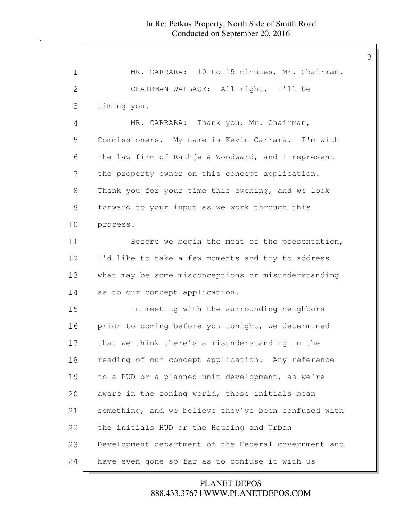| 1  | MR. CARRARA: 10 to 15 minutes, Mr. Chairman.         |
|----|------------------------------------------------------|
| 2  | CHAIRMAN WALLACE: All right. I'll be                 |
| 3  | timing you.                                          |
| 4  | MR. CARRARA: Thank you, Mr. Chairman,                |
| 5  | Commissioners. My name is Kevin Carrara. I'm with    |
| 6  | the law firm of Rathje & Woodward, and I represent   |
| 7  | the property owner on this concept application.      |
| 8  | Thank you for your time this evening, and we look    |
| 9  | forward to your input as we work through this        |
| 10 | process.                                             |
| 11 | Before we begin the meat of the presentation,        |
| 12 | I'd like to take a few moments and try to address    |
| 13 | what may be some misconceptions or misunderstanding  |
| 14 | as to our concept application.                       |
| 15 | In meeting with the surrounding neighbors            |
| 16 | prior to coming before you tonight, we determined    |
| 17 | that we think there's a misunderstanding in the      |
| 18 | reading of our concept application. Any reference    |
| 19 | to a PUD or a planned unit development, as we're     |
| 20 | aware in the zoning world, those initials mean       |
| 21 | something, and we believe they've been confused with |
| 22 | the initials HUD or the Housing and Urban            |
| 23 | Development department of the Federal government and |
| 24 | have even gone so far as to confuse it with us       |

888.433.3767 | WWW.PLANETDEPOS.COM PLANET DEPOS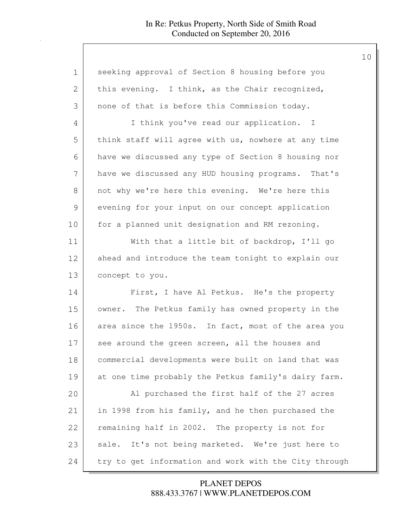| 1             | seeking approval of Section 8 housing before you      |
|---------------|-------------------------------------------------------|
| 2             | this evening. I think, as the Chair recognized,       |
| 3             | none of that is before this Commission today.         |
| 4             | I think you've read our application. I                |
| 5             | think staff will agree with us, nowhere at any time   |
| 6             | have we discussed any type of Section 8 housing nor   |
| 7             | have we discussed any HUD housing programs. That's    |
| 8             | not why we're here this evening. We're here this      |
| $\mathcal{G}$ | evening for your input on our concept application     |
| 10            | for a planned unit designation and RM rezoning.       |
| 11            | With that a little bit of backdrop, I'll go           |
| 12            | ahead and introduce the team tonight to explain our   |
| 13            | concept to you.                                       |
| 14            | First, I have Al Petkus. He's the property            |
| 15            | The Petkus family has owned property in the<br>owner. |
| 16            | area since the 1950s. In fact, most of the area you   |
| 17            | see around the green screen, all the houses and       |
| 18            | commercial developments were built on land that was   |
| 19            | at one time probably the Petkus family's dairy farm.  |
| 20            | Al purchased the first half of the 27 acres           |
| 21            | in 1998 from his family, and he then purchased the    |
| 22            | remaining half in 2002. The property is not for       |
| 23            | sale. It's not being marketed. We're just here to     |
| 24            | try to get information and work with the City through |

888.433.3767 | WWW.PLANETDEPOS.COM PLANET DEPOS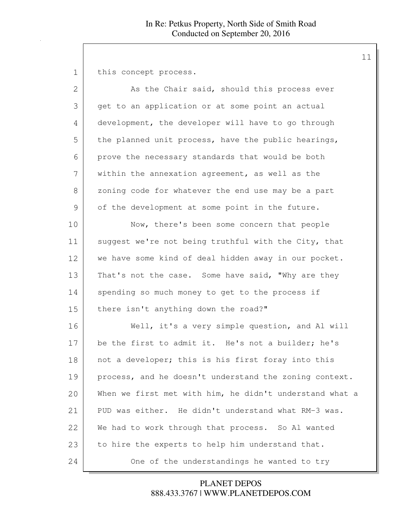1 this concept process.

| $\overline{2}$ | As the Chair said, should this process ever             |
|----------------|---------------------------------------------------------|
| 3              | get to an application or at some point an actual        |
| 4              | development, the developer will have to go through      |
| 5              | the planned unit process, have the public hearings,     |
| 6              | prove the necessary standards that would be both        |
| 7              | within the annexation agreement, as well as the         |
| 8              | zoning code for whatever the end use may be a part      |
| $\mathcal{G}$  | of the development at some point in the future.         |
| 10             | Now, there's been some concern that people              |
| 11             | suggest we're not being truthful with the City, that    |
| 12             | we have some kind of deal hidden away in our pocket.    |
| 13             | That's not the case. Some have said, "Why are they      |
| 14             | spending so much money to get to the process if         |
| 15             | there isn't anything down the road?"                    |
| 16             | Well, it's a very simple question, and Al will          |
| 17             | be the first to admit it. He's not a builder; he's      |
| 18             | not a developer; this is his first foray into this      |
| 19             | process, and he doesn't understand the zoning context.  |
| 20             | When we first met with him, he didn't understand what a |
| 21             | PUD was either. He didn't understand what RM-3 was.     |
| 22             | We had to work through that process. So Al wanted       |
| 23             | to hire the experts to help him understand that.        |
| 24             | One of the understandings he wanted to try              |

888.433.3767 | WWW.PLANETDEPOS.COM PLANET DEPOS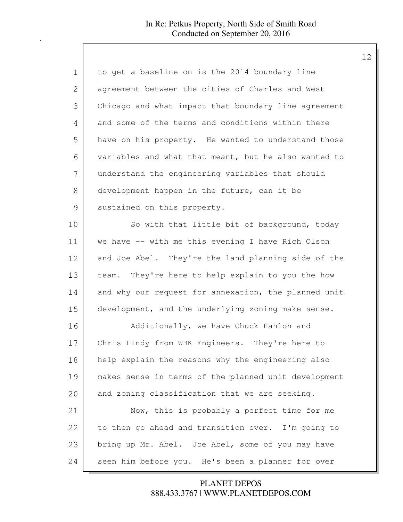| 1             | to get a baseline on is the 2014 boundary line       |
|---------------|------------------------------------------------------|
| 2             | agreement between the cities of Charles and West     |
| 3             | Chicago and what impact that boundary line agreement |
| 4             | and some of the terms and conditions within there    |
| 5             | have on his property. He wanted to understand those  |
| 6             | variables and what that meant, but he also wanted to |
| 7             | understand the engineering variables that should     |
| 8             | development happen in the future, can it be          |
| $\mathcal{G}$ | sustained on this property.                          |
| 10            | So with that little bit of background, today         |
| 11            | we have -- with me this evening I have Rich Olson    |
| 12            | and Joe Abel. They're the land planning side of the  |
| 13            | team. They're here to help explain to you the how    |
| 14            | and why our request for annexation, the planned unit |
| 15            | development, and the underlying zoning make sense.   |
| 16            | Additionally, we have Chuck Hanlon and               |
| 17            | Chris Lindy from WBK Engineers. They're here to      |
| 18            | help explain the reasons why the engineering also    |
| 19            | makes sense in terms of the planned unit development |
| 20            | and zoning classification that we are seeking.       |
| 21            | Now, this is probably a perfect time for me          |
| 22            | to then go ahead and transition over. I'm going to   |
| 23            | bring up Mr. Abel. Joe Abel, some of you may have    |
| 24            | seen him before you. He's been a planner for over    |

888.433.3767 | WWW.PLANETDEPOS.COM PLANET DEPOS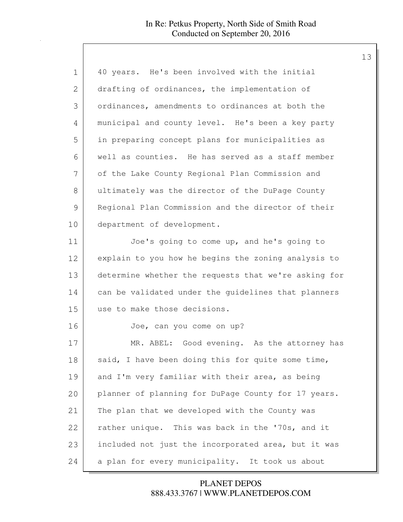| 1            | 40 years. He's been involved with the initial        |
|--------------|------------------------------------------------------|
| $\mathbf{2}$ | drafting of ordinances, the implementation of        |
| 3            | ordinances, amendments to ordinances at both the     |
| 4            | municipal and county level. He's been a key party    |
| 5            | in preparing concept plans for municipalities as     |
| 6            | well as counties. He has served as a staff member    |
| 7            | of the Lake County Regional Plan Commission and      |
| 8            | ultimately was the director of the DuPage County     |
| 9            | Regional Plan Commission and the director of their   |
| 10           | department of development.                           |
| 11           | Joe's going to come up, and he's going to            |
| 12           | explain to you how he begins the zoning analysis to  |
| 13           | determine whether the requests that we're asking for |
| 14           | can be validated under the guidelines that planners  |
| 15           | use to make those decisions.                         |
| 16           | Joe, can you come on up?                             |
| 17           | MR. ABEL: Good evening. As the attorney has          |
| 18           | said, I have been doing this for quite some time,    |
| 19           | and I'm very familiar with their area, as being      |
| 20           | planner of planning for DuPage County for 17 years.  |
| 21           | The plan that we developed with the County was       |
| 22           | rather unique. This was back in the '70s, and it     |
| 23           | included not just the incorporated area, but it was  |
| 24           | a plan for every municipality. It took us about      |

888.433.3767 | WWW.PLANETDEPOS.COM PLANET DEPOS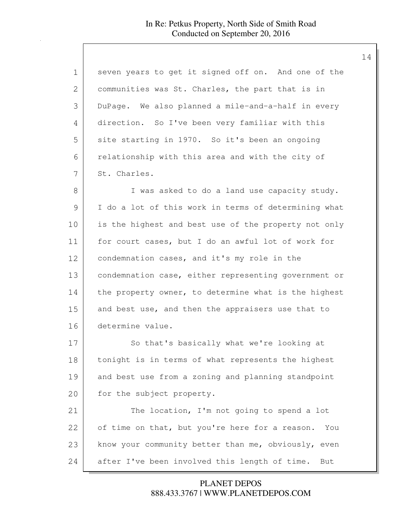| 1  | seven years to get it signed off on. And one of the   |
|----|-------------------------------------------------------|
| 2  | communities was St. Charles, the part that is in      |
| 3  | DuPage. We also planned a mile-and-a-half in every    |
| 4  | direction. So I've been very familiar with this       |
| 5  | site starting in 1970. So it's been an ongoing        |
| 6  | relationship with this area and with the city of      |
| 7  | St. Charles.                                          |
| 8  | I was asked to do a land use capacity study.          |
| 9  | I do a lot of this work in terms of determining what  |
| 10 | is the highest and best use of the property not only  |
| 11 | for court cases, but I do an awful lot of work for    |
| 12 | condemnation cases, and it's my role in the           |
| 13 | condemnation case, either representing government or  |
| 14 | the property owner, to determine what is the highest  |
| 15 | and best use, and then the appraisers use that to     |
| 16 | determine value.                                      |
| 17 | So that's basically what we're looking at             |
| 18 | tonight is in terms of what represents the highest    |
| 19 | and best use from a zoning and planning standpoint    |
| 20 | for the subject property.                             |
| 21 | The location, I'm not going to spend a lot            |
| 22 | of time on that, but you're here for a reason.<br>You |
| 23 | know your community better than me, obviously, even   |
| 24 | after I've been involved this length of time.<br>But  |

888.433.3767 | WWW.PLANETDEPOS.COM PLANET DEPOS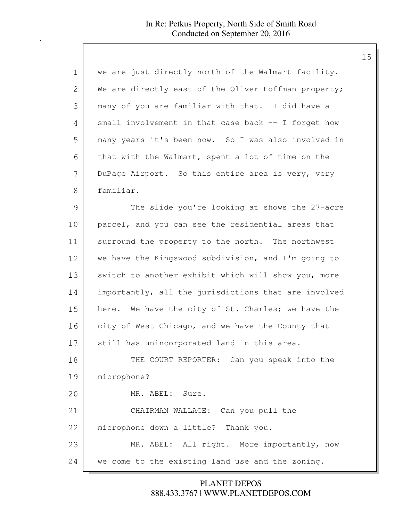| $\mathbf 1$ | we are just directly north of the Walmart facility.  |
|-------------|------------------------------------------------------|
| 2           | We are directly east of the Oliver Hoffman property; |
| 3           | many of you are familiar with that. I did have a     |
| 4           | small involvement in that case back -- I forget how  |
| 5           | many years it's been now. So I was also involved in  |
| 6           | that with the Walmart, spent a lot of time on the    |
| 7           | DuPage Airport. So this entire area is very, very    |
| 8           | familiar.                                            |
| 9           | The slide you're looking at shows the 27-acre        |
| 10          | parcel, and you can see the residential areas that   |
| 11          | surround the property to the north. The northwest    |
| 12          | we have the Kingswood subdivision, and I'm going to  |
| 13          | switch to another exhibit which will show you, more  |
| 14          | importantly, all the jurisdictions that are involved |
| 15          | here. We have the city of St. Charles; we have the   |
| 16          | city of West Chicago, and we have the County that    |
| 17          | still has unincorporated land in this area.          |
| 18          | THE COURT REPORTER: Can you speak into the           |
| 19          | microphone?                                          |
| 20          | MR. ABEL: Sure.                                      |
| 21          | CHAIRMAN WALLACE: Can you pull the                   |
| 22          | microphone down a little? Thank you.                 |
| 23          | MR. ABEL: All right. More importantly, now           |
| 24          | we come to the existing land use and the zoning.     |

888.433.3767 | WWW.PLANETDEPOS.COM PLANET DEPOS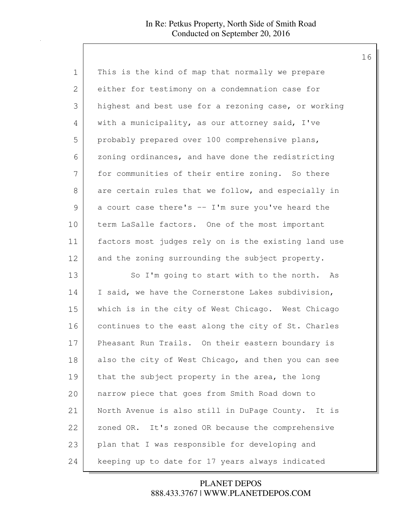| 1  | This is the kind of map that normally we prepare     |
|----|------------------------------------------------------|
| 2  | either for testimony on a condemnation case for      |
| 3  | highest and best use for a rezoning case, or working |
| 4  | with a municipality, as our attorney said, I've      |
| 5  | probably prepared over 100 comprehensive plans,      |
| 6  | zoning ordinances, and have done the redistricting   |
| 7  | for communities of their entire zoning. So there     |
| 8  | are certain rules that we follow, and especially in  |
| 9  | a court case there's -- I'm sure you've heard the    |
| 10 | term LaSalle factors. One of the most important      |
| 11 | factors most judges rely on is the existing land use |
| 12 | and the zoning surrounding the subject property.     |
| 13 | So I'm going to start with to the north. As          |
| 14 | I said, we have the Cornerstone Lakes subdivision,   |
| 15 | which is in the city of West Chicago. West Chicago   |
| 16 | continues to the east along the city of St. Charles  |
| 17 | Pheasant Run Trails. On their eastern boundary is    |
| 18 | also the city of West Chicago, and then you can see  |
| 19 | that the subject property in the area, the long      |
| 20 | narrow piece that goes from Smith Road down to       |
| 21 | North Avenue is also still in DuPage County. It is   |
| 22 | zoned OR. It's zoned OR because the comprehensive    |
| 23 | plan that I was responsible for developing and       |
| 24 | keeping up to date for 17 years always indicated     |

888.433.3767 | WWW.PLANETDEPOS.COM PLANET DEPOS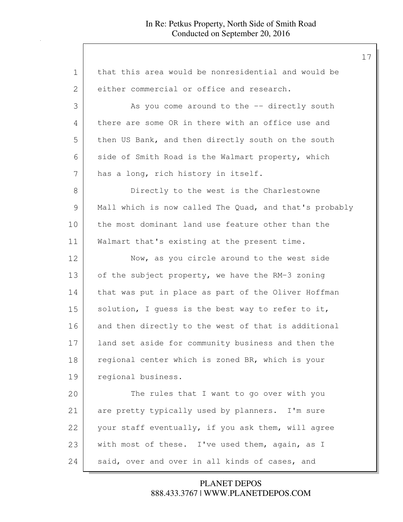| 1             | that this area would be nonresidential and would be    |
|---------------|--------------------------------------------------------|
| 2             | either commercial or office and research.              |
| 3             | As you come around to the -- directly south            |
| 4             | there are some OR in there with an office use and      |
| 5             | then US Bank, and then directly south on the south     |
| 6             | side of Smith Road is the Walmart property, which      |
| 7             | has a long, rich history in itself.                    |
| $8\,$         | Directly to the west is the Charlestowne               |
| $\mathcal{G}$ | Mall which is now called The Quad, and that's probably |
| 10            | the most dominant land use feature other than the      |
| 11            | Walmart that's existing at the present time.           |
| 12            | Now, as you circle around to the west side             |
| 13            | of the subject property, we have the RM-3 zoning       |
| 14            | that was put in place as part of the Oliver Hoffman    |
| 15            | solution, I guess is the best way to refer to it,      |
| 16            | and then directly to the west of that is additional    |
| 17            | land set aside for community business and then the     |
| 18            | regional center which is zoned BR, which is your       |
| 19            | regional business.                                     |
| 20            | The rules that I want to go over with you              |
| 21            | are pretty typically used by planners. I'm sure        |
| 22            | your staff eventually, if you ask them, will agree     |
| 23            | with most of these. I've used them, again, as I        |
| 24            | said, over and over in all kinds of cases, and         |

888.433.3767 | WWW.PLANETDEPOS.COM PLANET DEPOS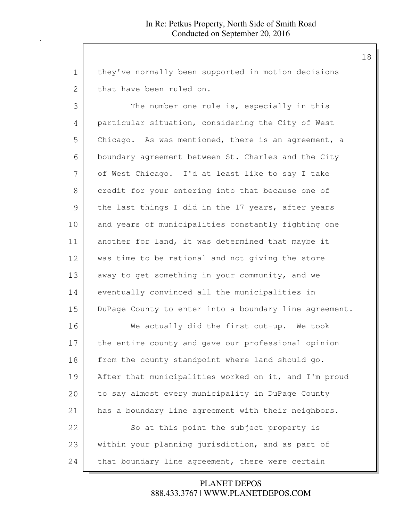| 1  | they've normally been supported in motion decisions    |
|----|--------------------------------------------------------|
| 2  | that have been ruled on.                               |
| 3  | The number one rule is, especially in this             |
| 4  | particular situation, considering the City of West     |
| 5  | Chicago. As was mentioned, there is an agreement, a    |
| 6  | boundary agreement between St. Charles and the City    |
| 7  | of West Chicago. I'd at least like to say I take       |
| 8  | credit for your entering into that because one of      |
| 9  | the last things I did in the 17 years, after years     |
| 10 | and years of municipalities constantly fighting one    |
| 11 | another for land, it was determined that maybe it      |
| 12 | was time to be rational and not giving the store       |
| 13 | away to get something in your community, and we        |
| 14 | eventually convinced all the municipalities in         |
| 15 | DuPage County to enter into a boundary line agreement. |
| 16 | We actually did the first cut-up. We took              |
| 17 | the entire county and gave our professional opinion    |
| 18 | from the county standpoint where land should go.       |
| 19 | After that municipalities worked on it, and I'm proud  |
| 20 | to say almost every municipality in DuPage County      |
| 21 | has a boundary line agreement with their neighbors.    |
| 22 | So at this point the subject property is               |
| 23 | within your planning jurisdiction, and as part of      |
| 24 | that boundary line agreement, there were certain       |

888.433.3767 | WWW.PLANETDEPOS.COM PLANET DEPOS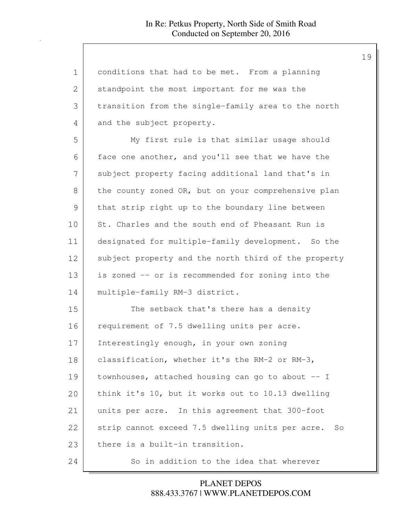| $\mathbf 1$ | conditions that had to be met. From a planning         |
|-------------|--------------------------------------------------------|
| 2           | standpoint the most important for me was the           |
| 3           | transition from the single-family area to the north    |
| 4           | and the subject property.                              |
| 5           | My first rule is that similar usage should             |
| 6           | face one another, and you'll see that we have the      |
| 7           | subject property facing additional land that's in      |
| 8           | the county zoned OR, but on your comprehensive plan    |
| 9           | that strip right up to the boundary line between       |
| 10          | St. Charles and the south end of Pheasant Run is       |
| 11          | designated for multiple-family development. So the     |
| 12          | subject property and the north third of the property   |
| 13          | is zoned -- or is recommended for zoning into the      |
| 14          | multiple-family RM-3 district.                         |
| 15          | The setback that's there has a density                 |
| 16          | requirement of 7.5 dwelling units per acre.            |
| 17          | Interestingly enough, in your own zoning               |
| 18          | classification, whether it's the RM-2 or RM-3,         |
| 19          | townhouses, attached housing can go to about -- I      |
| 20          | think it's 10, but it works out to 10.13 dwelling      |
| 21          | units per acre. In this agreement that 300-foot        |
| 22          | strip cannot exceed 7.5 dwelling units per acre.<br>So |
| 23          | there is a built-in transition.                        |
| 24          | So in addition to the idea that wherever               |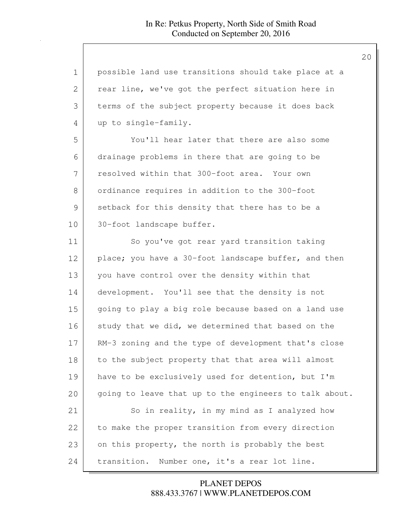| 1              | possible land use transitions should take place at a   |
|----------------|--------------------------------------------------------|
| $\overline{2}$ | rear line, we've got the perfect situation here in     |
| 3              | terms of the subject property because it does back     |
| 4              | up to single-family.                                   |
| 5              | You'll hear later that there are also some             |
| 6              | drainage problems in there that are going to be        |
| 7              | resolved within that 300-foot area. Your own           |
| 8              | ordinance requires in addition to the 300-foot         |
| $\mathcal{G}$  | setback for this density that there has to be a        |
| 10             | 30-foot landscape buffer.                              |
| 11             | So you've got rear yard transition taking              |
| 12             | place; you have a 30-foot landscape buffer, and then   |
| 13             | you have control over the density within that          |
| 14             | development. You'll see that the density is not        |
| 15             | going to play a big role because based on a land use   |
| 16             | study that we did, we determined that based on the     |
| 17             | RM-3 zoning and the type of development that's close   |
| 18             | to the subject property that that area will almost     |
| 19             | have to be exclusively used for detention, but I'm     |
| 20             | going to leave that up to the engineers to talk about. |
| 21             | So in reality, in my mind as I analyzed how            |
| 22             | to make the proper transition from every direction     |
| 23             | on this property, the north is probably the best       |
| 24             | transition.<br>Number one, it's a rear lot line.       |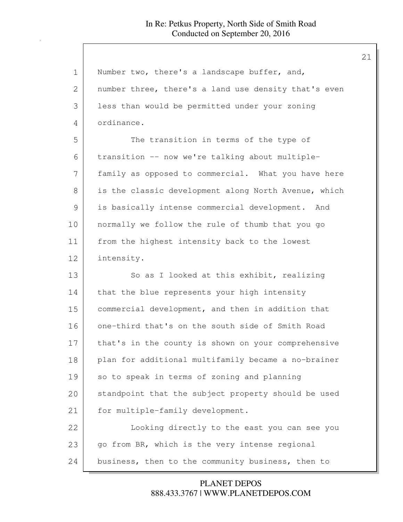| $\mathbf 1$ | Number two, there's a landscape buffer, and,         |
|-------------|------------------------------------------------------|
| 2           | number three, there's a land use density that's even |
| 3           | less than would be permitted under your zoning       |
| 4           | ordinance.                                           |
| 5           | The transition in terms of the type of               |
| 6           | transition -- now we're talking about multiple-      |
| 7           | family as opposed to commercial. What you have here  |
| 8           | is the classic development along North Avenue, which |
| 9           | is basically intense commercial development. And     |
| 10          | normally we follow the rule of thumb that you go     |
| 11          | from the highest intensity back to the lowest        |
| 12          | intensity.                                           |
| 13          | So as I looked at this exhibit, realizing            |
| 14          | that the blue represents your high intensity         |
| 15          | commercial development, and then in addition that    |
| 16          | one-third that's on the south side of Smith Road     |
| 17          | that's in the county is shown on your comprehensive  |
| 18          | plan for additional multifamily became a no-brainer  |
| 19          | so to speak in terms of zoning and planning          |
| 20          | standpoint that the subject property should be used  |
| 21          | for multiple-family development.                     |
| 22          | Looking directly to the east you can see you         |
| 23          | go from BR, which is the very intense regional       |
| 24          |                                                      |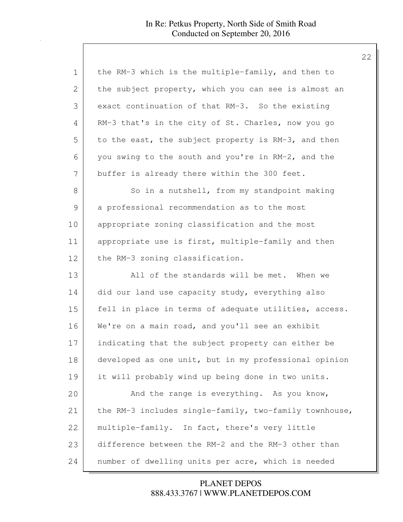| 1             | the RM-3 which is the multiple-family, and then to     |
|---------------|--------------------------------------------------------|
| 2             | the subject property, which you can see is almost an   |
| 3             | exact continuation of that RM-3. So the existing       |
| 4             | RM-3 that's in the city of St. Charles, now you go     |
| 5             | to the east, the subject property is RM-3, and then    |
| 6             | you swing to the south and you're in RM-2, and the     |
| 7             | buffer is already there within the 300 feet.           |
| 8             | So in a nutshell, from my standpoint making            |
| $\mathcal{G}$ | a professional recommendation as to the most           |
| 10            | appropriate zoning classification and the most         |
| 11            | appropriate use is first, multiple-family and then     |
| 12            | the RM-3 zoning classification.                        |
| 13            | All of the standards will be met. When we              |
| 14            | did our land use capacity study, everything also       |
| 15            | fell in place in terms of adequate utilities, access.  |
| 16            | We're on a main road, and you'll see an exhibit        |
| 17            | indicating that the subject property can either be     |
| 18            | developed as one unit, but in my professional opinion  |
| 19            | it will probably wind up being done in two units.      |
| 20            | And the range is everything. As you know,              |
| 21            | the RM-3 includes single-family, two-family townhouse, |
| 22            | multiple-family. In fact, there's very little          |
| 23            | difference between the RM-2 and the RM-3 other than    |
| 24            | number of dwelling units per acre, which is needed     |

888.433.3767 | WWW.PLANETDEPOS.COM PLANET DEPOS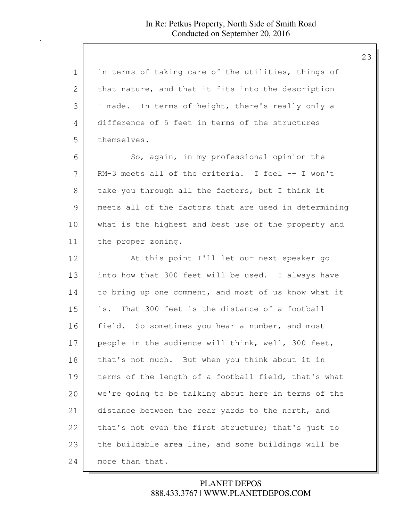| $\mathbf 1$ | in terms of taking care of the utilities, things of   |
|-------------|-------------------------------------------------------|
| 2           | that nature, and that it fits into the description    |
| 3           | I made. In terms of height, there's really only a     |
| 4           | difference of 5 feet in terms of the structures       |
| 5           | themselves.                                           |
| 6           | So, again, in my professional opinion the             |
| 7           | RM-3 meets all of the criteria. I feel -- I won't     |
| 8           | take you through all the factors, but I think it      |
| 9           | meets all of the factors that are used in determining |
| 10          | what is the highest and best use of the property and  |
| 11          | the proper zoning.                                    |
| 12          | At this point I'll let our next speaker go            |
| 13          | into how that 300 feet will be used. I always have    |
| 14          | to bring up one comment, and most of us know what it  |
| 15          | is. That 300 feet is the distance of a football       |
| 16          | field. So sometimes you hear a number, and most       |
| 17          | people in the audience will think, well, 300 feet,    |
| 18          | that's not much. But when you think about it in       |
| 19          | terms of the length of a football field, that's what  |
| 20          | we're going to be talking about here in terms of the  |
| 21          | distance between the rear yards to the north, and     |
| 22          | that's not even the first structure; that's just to   |
| 23          | the buildable area line, and some buildings will be   |
| 24          | more than that.                                       |

# 888.433.3767 | WWW.PLANETDEPOS.COM PLANET DEPOS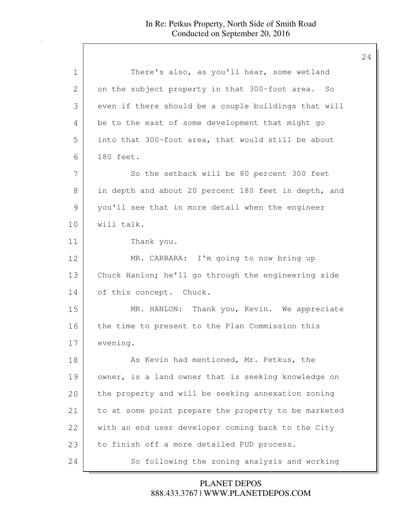| 1  | There's also, as you'll hear, some wetland           |
|----|------------------------------------------------------|
| 2  | on the subject property in that 300-foot area. So    |
| 3  | even if there should be a couple buildings that will |
| 4  | be to the east of some development that might go     |
| 5  | into that 300-foot area, that would still be about   |
| 6  | 180 feet.                                            |
| 7  | So the setback will be 80 percent 300 feet           |
| 8  | in depth and about 20 percent 180 feet in depth, and |
| 9  | you'll see that in more detail when the engineer     |
| 10 | will talk.                                           |
| 11 | Thank you.                                           |
| 12 | MR. CARRARA: I'm going to now bring up               |
| 13 | Chuck Hanlon; he'll go through the engineering side  |
| 14 | of this concept. Chuck.                              |
| 15 | MR. HANLON: Thank you, Kevin. We appreciate          |
| 16 | the time to present to the Plan Commission this      |
| 17 | evening.                                             |
| 18 | As Kevin had mentioned, Mr. Petkus, the              |
| 19 | owner, is a land owner that is seeking knowledge on  |
| 20 | the property and will be seeking annexation zoning   |
| 21 | to at some point prepare the property to be marketed |
| 22 | with an end user developer coming back to the City   |
| 23 | to finish off a more detailed PUD process.           |
| 24 | So following the zoning analysis and working         |

888.433.3767 | WWW.PLANETDEPOS.COM PLANET DEPOS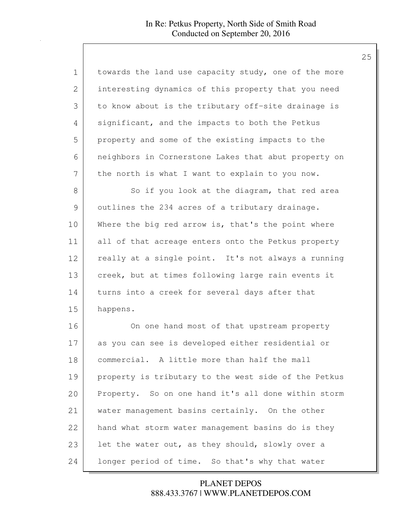| $\mathbf 1$ | towards the land use capacity study, one of the more |
|-------------|------------------------------------------------------|
| 2           | interesting dynamics of this property that you need  |
| 3           | to know about is the tributary off-site drainage is  |
| 4           | significant, and the impacts to both the Petkus      |
| 5           | property and some of the existing impacts to the     |
| 6           | neighbors in Cornerstone Lakes that abut property on |
| 7           | the north is what I want to explain to you now.      |
| 8           | So if you look at the diagram, that red area         |
| 9           | outlines the 234 acres of a tributary drainage.      |
| 10          | Where the big red arrow is, that's the point where   |
| 11          | all of that acreage enters onto the Petkus property  |
| 12          | really at a single point. It's not always a running  |
| 13          | creek, but at times following large rain events it   |
| 14          | turns into a creek for several days after that       |
| 15          | happens.                                             |
| 16          | On one hand most of that upstream property           |
| 17          | as you can see is developed either residential or    |
| 18          | commercial. A little more than half the mall         |
| 19          | property is tributary to the west side of the Petkus |
| 20          | Property. So on one hand it's all done within storm  |
| 21          | water management basins certainly. On the other      |
| 22          | hand what storm water management basins do is they   |
| 23          | let the water out, as they should, slowly over a     |
| 24          | longer period of time. So that's why that water      |

888.433.3767 | WWW.PLANETDEPOS.COM PLANET DEPOS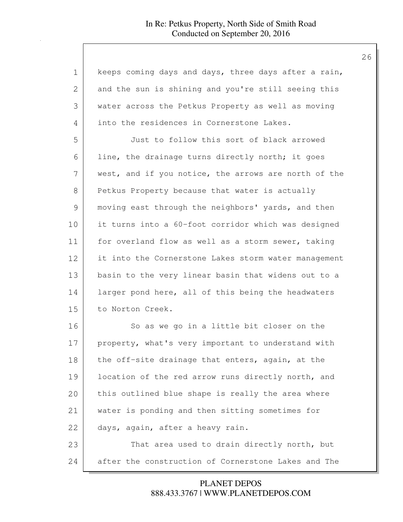| $\mathbf 1$ | keeps coming days and days, three days after a rain, |
|-------------|------------------------------------------------------|
| 2           | and the sun is shining and you're still seeing this  |
| 3           | water across the Petkus Property as well as moving   |
| 4           | into the residences in Cornerstone Lakes.            |
| 5           | Just to follow this sort of black arrowed            |
| 6           | line, the drainage turns directly north; it goes     |
| 7           | west, and if you notice, the arrows are north of the |
| 8           | Petkus Property because that water is actually       |
| 9           | moving east through the neighbors' yards, and then   |
| 10          | it turns into a 60-foot corridor which was designed  |
| 11          | for overland flow as well as a storm sewer, taking   |
| 12          | it into the Cornerstone Lakes storm water management |
| 13          | basin to the very linear basin that widens out to a  |
| 14          | larger pond here, all of this being the headwaters   |
| 15          | to Norton Creek.                                     |
| 16          | So as we go in a little bit closer on the            |
| 17          | property, what's very important to understand with   |
| 18          | the off-site drainage that enters, again, at the     |
| 19          | location of the red arrow runs directly north, and   |
| 20          | this outlined blue shape is really the area where    |
| 21          | water is ponding and then sitting sometimes for      |
| 22          | days, again, after a heavy rain.                     |
| 23          | That area used to drain directly north, but          |
| 24          | after the construction of Cornerstone Lakes and The  |

888.433.3767 | WWW.PLANETDEPOS.COM PLANET DEPOS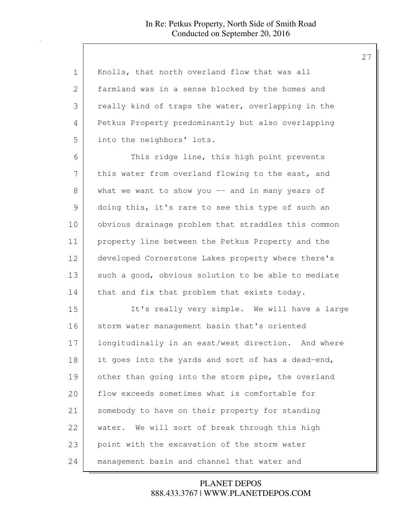| 1  | Knolls, that north overland flow that was all       |
|----|-----------------------------------------------------|
| 2  | farmland was in a sense blocked by the homes and    |
| 3  | really kind of traps the water, overlapping in the  |
| 4  | Petkus Property predominantly but also overlapping  |
| 5  | into the neighbors' lots.                           |
| 6  | This ridge line, this high point prevents           |
| 7  | this water from overland flowing to the east, and   |
| 8  | what we want to show you $-$ and in many years of   |
| 9  | doing this, it's rare to see this type of such an   |
| 10 | obvious drainage problem that straddles this common |
| 11 | property line between the Petkus Property and the   |
| 12 | developed Cornerstone Lakes property where there's  |
| 13 | such a good, obvious solution to be able to mediate |
| 14 | that and fix that problem that exists today.        |
| 15 | It's really very simple. We will have a large       |
| 16 | storm water management basin that's oriented        |
| 17 | longitudinally in an east/west direction. And where |
| 18 | it goes into the yards and sort of has a dead-end,  |
| 19 | other than going into the storm pipe, the overland  |
| 20 | flow exceeds sometimes what is comfortable for      |
| 21 | somebody to have on their property for standing     |
| 22 | water. We will sort of break through this high      |
| 23 | point with the excavation of the storm water        |
| 24 | management basin and channel that water and         |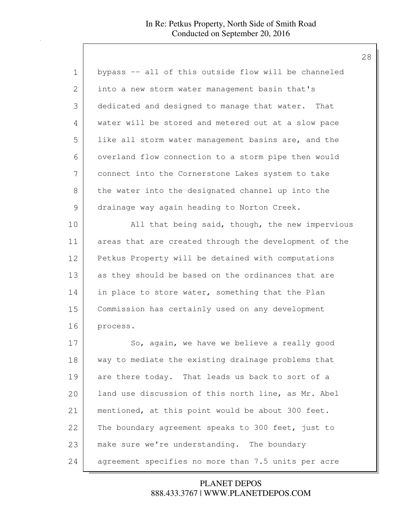| 1             | bypass -- all of this outside flow will be channeled  |
|---------------|-------------------------------------------------------|
| 2             | into a new storm water management basin that's        |
| 3             | dedicated and designed to manage that water. That     |
| 4             | water will be stored and metered out at a slow pace   |
| 5             | like all storm water management basins are, and the   |
| 6             | overland flow connection to a storm pipe then would   |
| 7             | connect into the Cornerstone Lakes system to take     |
| 8             | the water into the designated channel up into the     |
| $\mathcal{G}$ | drainage way again heading to Norton Creek.           |
| 10            | All that being said, though, the new impervious       |
| 11            | areas that are created through the development of the |
| 12            | Petkus Property will be detained with computations    |
| 13            | as they should be based on the ordinances that are    |
| 14            | in place to store water, something that the Plan      |
| 15            | Commission has certainly used on any development      |
| 16            | process.                                              |
| 17            | So, again, we have we believe a really good           |
| 18            | way to mediate the existing drainage problems that    |
| 19            | are there today. That leads us back to sort of a      |
| 20            | land use discussion of this north line, as Mr. Abel   |
| 21            | mentioned, at this point would be about 300 feet.     |
| 22            | The boundary agreement speaks to 300 feet, just to    |
| 23            | make sure we're understanding. The boundary           |
| 24            | agreement specifies no more than 7.5 units per acre   |

888.433.3767 | WWW.PLANETDEPOS.COM PLANET DEPOS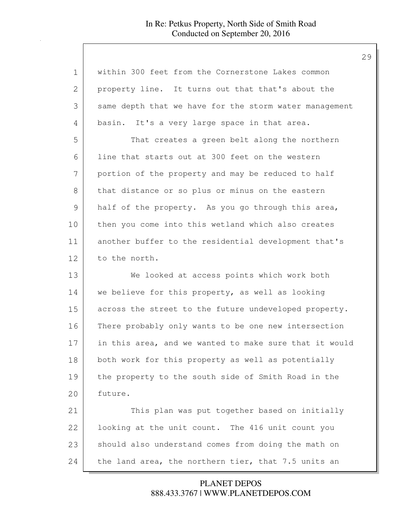| 1             | within 300 feet from the Cornerstone Lakes common      |
|---------------|--------------------------------------------------------|
| 2             | property line. It turns out that that's about the      |
| 3             | same depth that we have for the storm water management |
| 4             | basin. It's a very large space in that area.           |
| 5             | That creates a green belt along the northern           |
| 6             | line that starts out at 300 feet on the western        |
| 7             | portion of the property and may be reduced to half     |
| 8             | that distance or so plus or minus on the eastern       |
| $\mathcal{G}$ | half of the property. As you go through this area,     |
| 10            | then you come into this wetland which also creates     |
| 11            | another buffer to the residential development that's   |
| 12            | to the north.                                          |
| 13            | We looked at access points which work both             |
| 14            | we believe for this property, as well as looking       |
| 15            | across the street to the future undeveloped property.  |
| 16            | There probably only wants to be one new intersection   |
| 17            | in this area, and we wanted to make sure that it would |
| 18            | both work for this property as well as potentially     |
| 19            | the property to the south side of Smith Road in the    |
| 20            | future.                                                |
| 21            | This plan was put together based on initially          |
| 22            | looking at the unit count. The 416 unit count you      |
| 23            | should also understand comes from doing the math on    |
| 24            | the land area, the northern tier, that 7.5 units an    |

888.433.3767 | WWW.PLANETDEPOS.COM PLANET DEPOS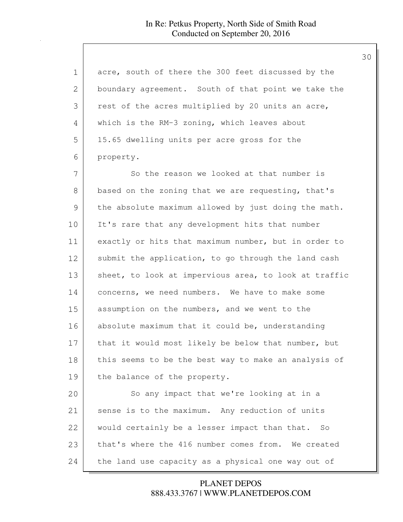| 1             | acre, south of there the 300 feet discussed by the    |
|---------------|-------------------------------------------------------|
| 2             | boundary agreement. South of that point we take the   |
| 3             | rest of the acres multiplied by 20 units an acre,     |
| 4             | which is the RM-3 zoning, which leaves about          |
| 5             | 15.65 dwelling units per acre gross for the           |
| 6             | property.                                             |
| 7             | So the reason we looked at that number is             |
| 8             | based on the zoning that we are requesting, that's    |
| $\mathcal{G}$ | the absolute maximum allowed by just doing the math.  |
| 10            | It's rare that any development hits that number       |
| 11            | exactly or hits that maximum number, but in order to  |
| 12            | submit the application, to go through the land cash   |
| 13            | sheet, to look at impervious area, to look at traffic |
| 14            | concerns, we need numbers. We have to make some       |
| 15            | assumption on the numbers, and we went to the         |
| 16            | absolute maximum that it could be, understanding      |
| 17            | that it would most likely be below that number, but   |
| 18            | this seems to be the best way to make an analysis of  |
| 19            | the balance of the property.                          |
| 20            | So any impact that we're looking at in a              |
| 21            | sense is to the maximum. Any reduction of units       |
| 22            | would certainly be a lesser impact than that. So      |
| 23            | that's where the 416 number comes from. We created    |
| 24            | the land use capacity as a physical one way out of    |

888.433.3767 | WWW.PLANETDEPOS.COM PLANET DEPOS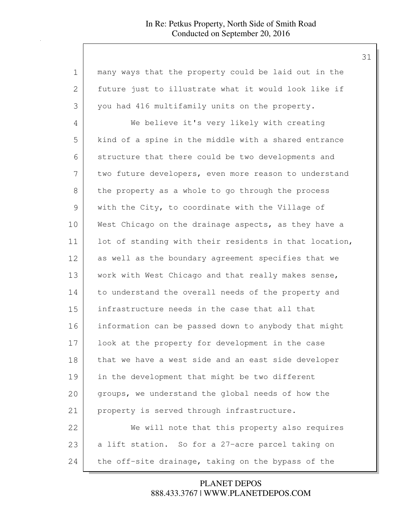| 1  | many ways that the property could be laid out in the   |
|----|--------------------------------------------------------|
| 2  | future just to illustrate what it would look like if   |
| 3  | you had 416 multifamily units on the property.         |
| 4  | We believe it's very likely with creating              |
| 5  | kind of a spine in the middle with a shared entrance   |
| 6  | structure that there could be two developments and     |
| 7  | two future developers, even more reason to understand  |
| 8  | the property as a whole to go through the process      |
| 9  | with the City, to coordinate with the Village of       |
| 10 | West Chicago on the drainage aspects, as they have a   |
| 11 | lot of standing with their residents in that location, |
| 12 | as well as the boundary agreement specifies that we    |
| 13 | work with West Chicago and that really makes sense,    |
| 14 | to understand the overall needs of the property and    |
| 15 | infrastructure needs in the case that all that         |
| 16 | information can be passed down to anybody that might   |
| 17 | look at the property for development in the case       |
| 18 | that we have a west side and an east side developer    |
| 19 | in the development that might be two different         |
| 20 | groups, we understand the global needs of how the      |
| 21 | property is served through infrastructure.             |
| 22 | We will note that this property also requires          |
| 23 | a lift station. So for a 27-acre parcel taking on      |
| 24 | the off-site drainage, taking on the bypass of the     |

888.433.3767 | WWW.PLANETDEPOS.COM PLANET DEPOS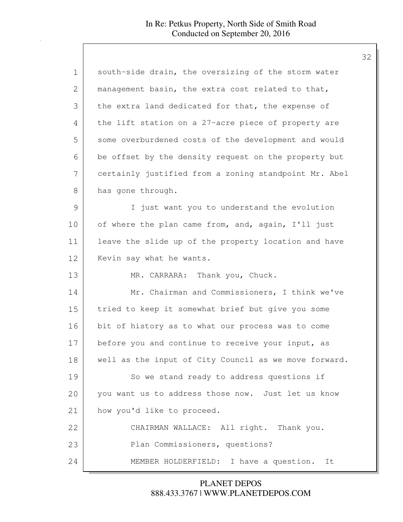| $\mathbf 1$   | south-side drain, the oversizing of the storm water   |
|---------------|-------------------------------------------------------|
| 2             | management basin, the extra cost related to that,     |
| 3             | the extra land dedicated for that, the expense of     |
| 4             | the lift station on a 27-acre piece of property are   |
| 5             | some overburdened costs of the development and would  |
| 6             | be offset by the density request on the property but  |
| 7             | certainly justified from a zoning standpoint Mr. Abel |
| 8             | has gone through.                                     |
| $\mathcal{G}$ | I just want you to understand the evolution           |
| 10            | of where the plan came from, and, again, I'll just    |
| 11            | leave the slide up of the property location and have  |
| 12            | Kevin say what he wants.                              |
| 13            | MR. CARRARA: Thank you, Chuck.                        |
| 14            | Mr. Chairman and Commissioners, I think we've         |
| 15            | tried to keep it somewhat brief but give you some     |
| 16            | bit of history as to what our process was to come     |
| 17            | before you and continue to receive your input, as     |
| 18            | well as the input of City Council as we move forward. |
| 19            | So we stand ready to address questions if             |
| 20            | you want us to address those now. Just let us know    |
| 21            | how you'd like to proceed.                            |
| 22            | CHAIRMAN WALLACE: All right. Thank you.               |
| 23            | Plan Commissioners, questions?                        |
| 24            | MEMBER HOLDERFIELD: I have a question. It             |

888.433.3767 | WWW.PLANETDEPOS.COM PLANET DEPOS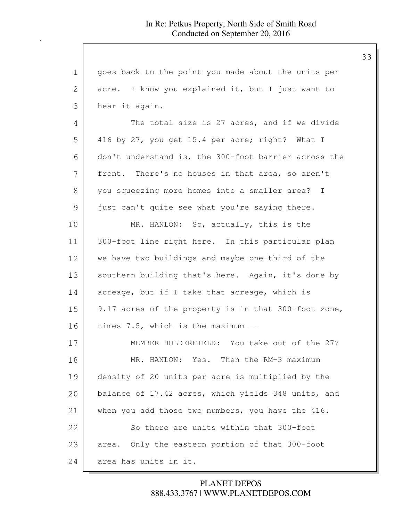| 1            | goes back to the point you made about the units per  |
|--------------|------------------------------------------------------|
| $\mathbf{2}$ | acre. I know you explained it, but I just want to    |
| 3            | hear it again.                                       |
| 4            | The total size is 27 acres, and if we divide         |
| 5            | 416 by 27, you get 15.4 per acre; right? What I      |
| 6            | don't understand is, the 300-foot barrier across the |
| 7            | front. There's no houses in that area, so aren't     |
| 8            | you squeezing more homes into a smaller area? I      |
| 9            | just can't quite see what you're saying there.       |
| 10           | MR. HANLON: So, actually, this is the                |
| 11           | 300-foot line right here. In this particular plan    |
| 12           | we have two buildings and maybe one-third of the     |
| 13           | southern building that's here. Again, it's done by   |
| 14           | acreage, but if I take that acreage, which is        |
| 15           | 9.17 acres of the property is in that 300-foot zone, |
| 16           | times 7.5, which is the maximum --                   |
| 17           | MEMBER HOLDERFIELD: You take out of the 27?          |
| 18           | MR. HANLON: Yes. Then the RM-3 maximum               |
| 19           | density of 20 units per acre is multiplied by the    |
| 20           | balance of 17.42 acres, which yields 348 units, and  |
| 21           | when you add those two numbers, you have the 416.    |
| 22           | So there are units within that 300-foot              |
| 23           | area. Only the eastern portion of that 300-foot      |
| 24           | area has units in it.                                |

888.433.3767 | WWW.PLANETDEPOS.COM PLANET DEPOS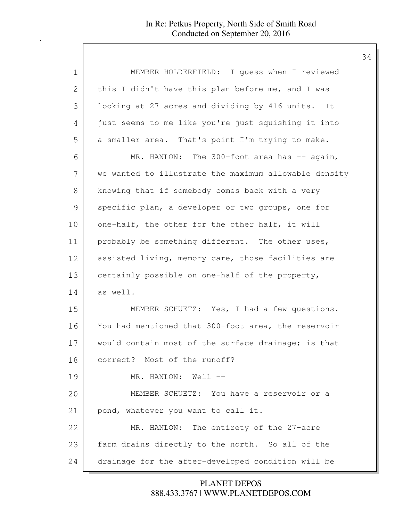| 1  | MEMBER HOLDERFIELD: I guess when I reviewed           |
|----|-------------------------------------------------------|
| 2  | this I didn't have this plan before me, and I was     |
| 3  | looking at 27 acres and dividing by 416 units. It     |
| 4  | just seems to me like you're just squishing it into   |
| 5  | a smaller area. That's point I'm trying to make.      |
| 6  | MR. HANLON: The 300-foot area has -- again,           |
| 7  | we wanted to illustrate the maximum allowable density |
| 8  | knowing that if somebody comes back with a very       |
| 9  | specific plan, a developer or two groups, one for     |
| 10 | one-half, the other for the other half, it will       |
| 11 | probably be something different. The other uses,      |
| 12 | assisted living, memory care, those facilities are    |
| 13 | certainly possible on one-half of the property,       |
| 14 | as well.                                              |
| 15 | MEMBER SCHUETZ: Yes, I had a few questions.           |
| 16 | You had mentioned that 300-foot area, the reservoir   |
| 17 | would contain most of the surface drainage; is that   |
| 18 | correct? Most of the runoff?                          |
| 19 | MR. HANLON: Well --                                   |
| 20 | MEMBER SCHUETZ: You have a reservoir or a             |
| 21 | pond, whatever you want to call it.                   |
| 22 | MR. HANLON: The entirety of the 27-acre               |
| 23 | farm drains directly to the north. So all of the      |
| 24 | drainage for the after-developed condition will be    |

888.433.3767 | WWW.PLANETDEPOS.COM PLANET DEPOS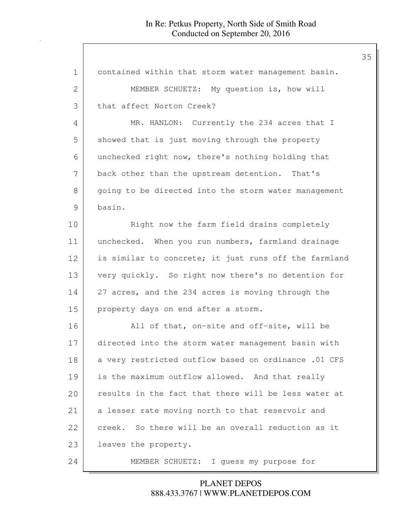| $\mathbf 1$ | contained within that storm water management basin.   |
|-------------|-------------------------------------------------------|
| 2           | MEMBER SCHUETZ: My question is, how will              |
| 3           | that affect Norton Creek?                             |
| 4           | MR. HANLON: Currently the 234 acres that I            |
| 5           | showed that is just moving through the property       |
| 6           | unchecked right now, there's nothing holding that     |
| 7           | back other than the upstream detention. That's        |
| 8           | going to be directed into the storm water management  |
| 9           | basin.                                                |
| 10          | Right now the farm field drains completely            |
| 11          | unchecked. When you run numbers, farmland drainage    |
| 12          | is similar to concrete; it just runs off the farmland |
| 13          | very quickly. So right now there's no detention for   |
| 14          | 27 acres, and the 234 acres is moving through the     |
| 15          | property days on end after a storm.                   |
| 16          | All of that, on-site and off-site, will be            |
| 17          | directed into the storm water management basin with   |
| 18          | a very restricted outflow based on ordinance .01 CFS  |
| 19          | is the maximum outflow allowed. And that really       |
| 20          | results in the fact that there will be less water at  |
| 21          | a lesser rate moving north to that reservoir and      |
| 22          | creek. So there will be an overall reduction as it    |
| 23          | leaves the property.                                  |
| 24          | I guess my purpose for<br>MEMBER SCHUETZ:             |

888.433.3767 | WWW.PLANETDEPOS.COM PLANET DEPOS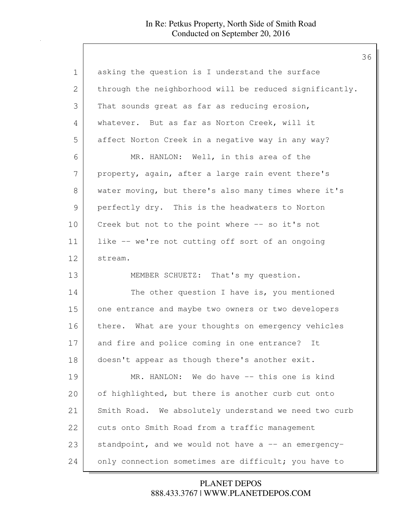| $\mathbf 1$   | asking the question is I understand the surface         |
|---------------|---------------------------------------------------------|
| 2             | through the neighborhood will be reduced significantly. |
| 3             | That sounds great as far as reducing erosion,           |
| 4             | whatever. But as far as Norton Creek, will it           |
| 5             | affect Norton Creek in a negative way in any way?       |
| 6             | MR. HANLON: Well, in this area of the                   |
| 7             | property, again, after a large rain event there's       |
| 8             | water moving, but there's also many times where it's    |
| $\mathcal{G}$ | perfectly dry. This is the headwaters to Norton         |
| 10            | Creek but not to the point where -- so it's not         |
| 11            | like -- we're not cutting off sort of an ongoing        |
| 12            | stream.                                                 |
| 13            | MEMBER SCHUETZ: That's my question.                     |
| 14            | The other question I have is, you mentioned             |
| 15            | one entrance and maybe two owners or two developers     |
| 16            | there. What are your thoughts on emergency vehicles     |
| 17            | and fire and police coming in one entrance? It          |
| 18            | doesn't appear as though there's another exit.          |
| 19            | MR. HANLON: We do have -- this one is kind              |
| 20            | of highlighted, but there is another curb cut onto      |
| 21            | Smith Road. We absolutely understand we need two curb   |
| 22            | cuts onto Smith Road from a traffic management          |
| 23            | standpoint, and we would not have a -- an emergency-    |
| 24            | only connection sometimes are difficult; you have to    |

# 888.433.3767 | WWW.PLANETDEPOS.COM PLANET DEPOS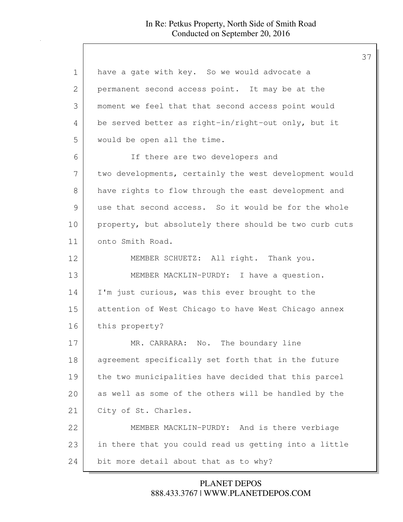| $\mathbf 1$   | have a gate with key. So we would advocate a           |
|---------------|--------------------------------------------------------|
| 2             | permanent second access point. It may be at the        |
| 3             | moment we feel that that second access point would     |
| 4             | be served better as right-in/right-out only, but it    |
| 5             | would be open all the time.                            |
| 6             | If there are two developers and                        |
| 7             | two developments, certainly the west development would |
| 8             | have rights to flow through the east development and   |
| $\mathcal{G}$ | use that second access. So it would be for the whole   |
| 10            | property, but absolutely there should be two curb cuts |
| 11            | onto Smith Road.                                       |
| 12            | MEMBER SCHUETZ: All right. Thank you.                  |
| 13            | MEMBER MACKLIN-PURDY: I have a question.               |
| 14            | I'm just curious, was this ever brought to the         |
| 15            | attention of West Chicago to have West Chicago annex   |
| 16            | this property?                                         |
| 17            | MR. CARRARA: No. The boundary line                     |
| 18            | agreement specifically set forth that in the future    |
| 19            | the two municipalities have decided that this parcel   |
| 20            | as well as some of the others will be handled by the   |
| 21            | City of St. Charles.                                   |
| 22            | MEMBER MACKLIN-PURDY: And is there verbiage            |
| 23            | in there that you could read us getting into a little  |
| 24            | bit more detail about that as to why?                  |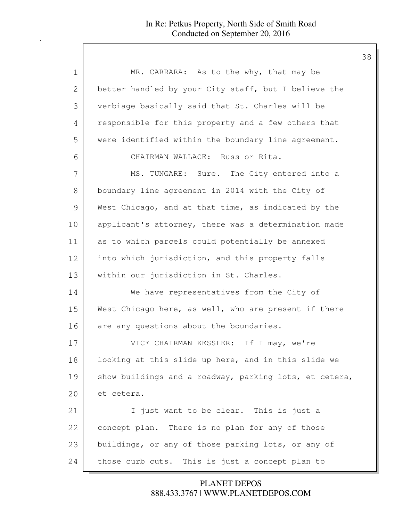| $\mathbf 1$ | MR. CARRARA: As to the why, that may be                |
|-------------|--------------------------------------------------------|
| 2           | better handled by your City staff, but I believe the   |
| 3           | verbiage basically said that St. Charles will be       |
| 4           | responsible for this property and a few others that    |
| 5           | were identified within the boundary line agreement.    |
| 6           | CHAIRMAN WALLACE: Russ or Rita.                        |
| 7           | MS. TUNGARE: Sure. The City entered into a             |
| 8           | boundary line agreement in 2014 with the City of       |
| 9           | West Chicago, and at that time, as indicated by the    |
| 10          | applicant's attorney, there was a determination made   |
| 11          | as to which parcels could potentially be annexed       |
| 12          | into which jurisdiction, and this property falls       |
| 13          | within our jurisdiction in St. Charles.                |
| 14          | We have representatives from the City of               |
| 15          | West Chicago here, as well, who are present if there   |
| 16          | are any questions about the boundaries.                |
| 17          | VICE CHAIRMAN KESSLER: If I may, we're                 |
| 18          | looking at this slide up here, and in this slide we    |
| 19          | show buildings and a roadway, parking lots, et cetera, |
| 20          | et cetera.                                             |
| 21          | I just want to be clear. This is just a                |
| 22          | concept plan. There is no plan for any of those        |
| 23          | buildings, or any of those parking lots, or any of     |
| 24          | This is just a concept plan to<br>those curb cuts.     |

888.433.3767 | WWW.PLANETDEPOS.COM PLANET DEPOS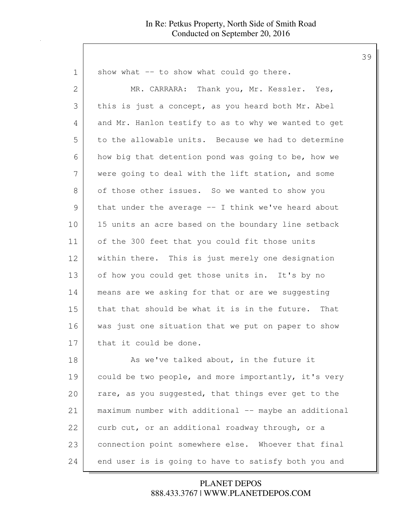| $\mathbf 1$   | show what -- to show what could go there.             |
|---------------|-------------------------------------------------------|
| $\mathbf{2}$  | MR. CARRARA: Thank you, Mr. Kessler. Yes,             |
| 3             | this is just a concept, as you heard both Mr. Abel    |
| 4             | and Mr. Hanlon testify to as to why we wanted to get  |
| 5             | to the allowable units. Because we had to determine   |
| 6             | how big that detention pond was going to be, how we   |
| 7             | were going to deal with the lift station, and some    |
| 8             | of those other issues. So we wanted to show you       |
| $\mathcal{G}$ | that under the average -- I think we've heard about   |
| 10            | 15 units an acre based on the boundary line setback   |
| 11            | of the 300 feet that you could fit those units        |
| 12            | within there. This is just merely one designation     |
| 13            | of how you could get those units in. It's by no       |
| 14            | means are we asking for that or are we suggesting     |
| 15            | that that should be what it is in the future. That    |
| 16            | was just one situation that we put on paper to show   |
| 17            | that it could be done.                                |
| 18            | As we've talked about, in the future it               |
| 19            | could be two people, and more importantly, it's very  |
| 20            | rare, as you suggested, that things ever get to the   |
| 21            | maximum number with additional -- maybe an additional |
| 22            | curb cut, or an additional roadway through, or a      |
| 23            | connection point somewhere else. Whoever that final   |
| 24            | end user is is going to have to satisfy both you and  |

888.433.3767 | WWW.PLANETDEPOS.COM PLANET DEPOS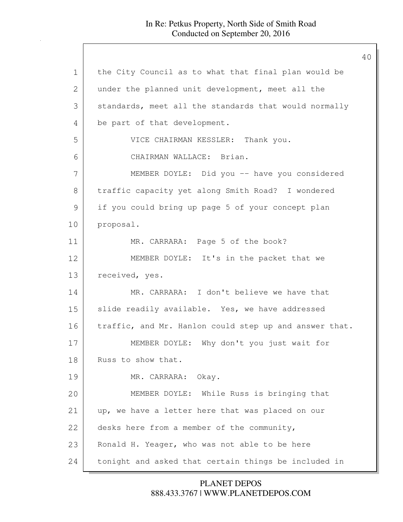1 the City Council as to what that final plan would be 2 under the planned unit development, meet all the 3 standards, meet all the standards that would normally 4 be part of that development. 5 VICE CHAIRMAN KESSLER: Thank you. 6 CHAIRMAN WALLACE: Brian. 7 MEMBER DOYLE: Did you -- have you considered 8 traffic capacity yet along Smith Road? I wondered 9 if you could bring up page 5 of your concept plan 10 proposal. 11 MR. CARRARA: Page 5 of the book? 12 MEMBER DOYLE: It's in the packet that we 13 received, yes. 14 MR. CARRARA: I don't believe we have that 15 slide readily available. Yes, we have addressed 16 traffic, and Mr. Hanlon could step up and answer that. 17 MEMBER DOYLE: Why don't you just wait for 18 Russ to show that. 19 MR. CARRARA: Okay. 20 MEMBER DOYLE: While Russ is bringing that 21 up, we have a letter here that was placed on our 22 desks here from a member of the community, 23 | Ronald H. Yeager, who was not able to be here 24 tonight and asked that certain things be included in

> 888.433.3767 | WWW.PLANETDEPOS.COM PLANET DEPOS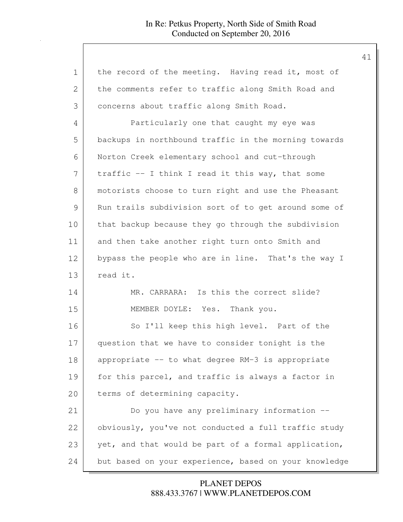| $\mathbf 1$  | the record of the meeting. Having read it, most of    |
|--------------|-------------------------------------------------------|
| $\mathbf{2}$ | the comments refer to traffic along Smith Road and    |
| 3            | concerns about traffic along Smith Road.              |
| 4            | Particularly one that caught my eye was               |
| 5            | backups in northbound traffic in the morning towards  |
| 6            | Norton Creek elementary school and cut-through        |
| 7            | traffic -- I think I read it this way, that some      |
| 8            | motorists choose to turn right and use the Pheasant   |
| 9            | Run trails subdivision sort of to get around some of  |
| 10           | that backup because they go through the subdivision   |
| 11           | and then take another right turn onto Smith and       |
| 12           | bypass the people who are in line. That's the way I   |
| 13           | read it.                                              |
| 14           | MR. CARRARA: Is this the correct slide?               |
| 15           | MEMBER DOYLE: Yes. Thank you.                         |
| 16           | So I'll keep this high level. Part of the             |
| 17           | question that we have to consider tonight is the      |
| 18           | appropriate -- to what degree RM-3 is appropriate     |
| 19           | for this parcel, and traffic is always a factor in    |
| 20           | terms of determining capacity.                        |
| 21           | Do you have any preliminary information --            |
| 22           | obviously, you've not conducted a full traffic study  |
| 23           | yet, and that would be part of a formal application,  |
| 24           | but based on your experience, based on your knowledge |

888.433.3767 | WWW.PLANETDEPOS.COM PLANET DEPOS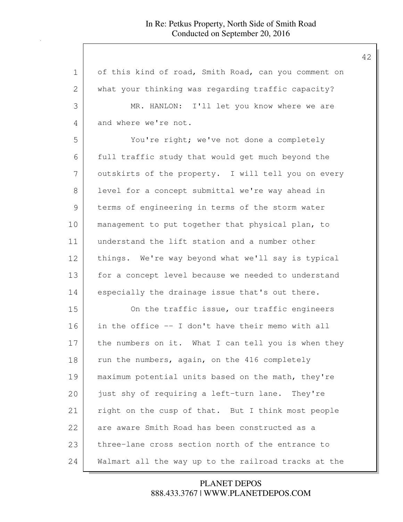1 of this kind of road, Smith Road, can you comment on 2 what your thinking was regarding traffic capacity? 3 MR. HANLON: I'll let you know where we are 4 and where we're not. 5 You're right; we've not done a completely 6 full traffic study that would get much beyond the 7 | outskirts of the property. I will tell you on every 8 level for a concept submittal we're way ahead in 9 terms of engineering in terms of the storm water 10 | management to put together that physical plan, to 11 understand the lift station and a number other 12 things. We're way beyond what we'll say is typical 13 for a concept level because we needed to understand 14 especially the drainage issue that's out there. 15 On the traffic issue, our traffic engineers 16 in the office -- I don't have their memo with all 17 the numbers on it. What I can tell you is when they 18 run the numbers, again, on the 416 completely 19 maximum potential units based on the math, they're 20 just shy of requiring a left-turn lane. They're 21 right on the cusp of that. But I think most people 22 are aware Smith Road has been constructed as a 23 three-lane cross section north of the entrance to 24 Walmart all the way up to the railroad tracks at the

> 888.433.3767 | WWW.PLANETDEPOS.COM PLANET DEPOS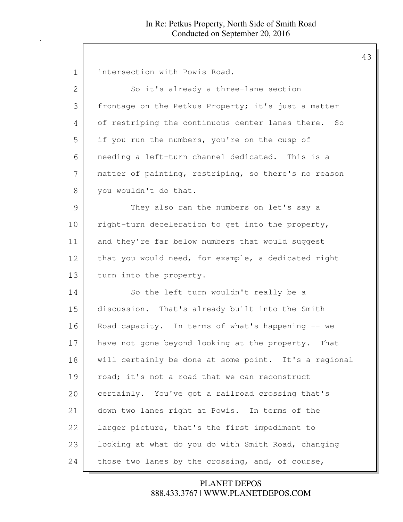| 1             | intersection with Powis Road.                         |
|---------------|-------------------------------------------------------|
| 2             | So it's already a three-lane section                  |
| 3             | frontage on the Petkus Property; it's just a matter   |
| 4             | of restriping the continuous center lanes there. So   |
| 5             | if you run the numbers, you're on the cusp of         |
| 6             | needing a left-turn channel dedicated. This is a      |
| 7             | matter of painting, restriping, so there's no reason  |
| 8             | you wouldn't do that.                                 |
| $\mathcal{G}$ | They also ran the numbers on let's say a              |
| 10            | right-turn deceleration to get into the property,     |
| 11            | and they're far below numbers that would suggest      |
| 12            | that you would need, for example, a dedicated right   |
| 13            | turn into the property.                               |
| 14            | So the left turn wouldn't really be a                 |
| 15            | discussion. That's already built into the Smith       |
| 16            | Road capacity. In terms of what's happening -- we     |
| 17            | have not gone beyond looking at the property. That    |
| 18            | will certainly be done at some point. It's a regional |
| 19            | road; it's not a road that we can reconstruct         |
| 20            | certainly. You've got a railroad crossing that's      |
| 21            | down two lanes right at Powis. In terms of the        |
| 22            | larger picture, that's the first impediment to        |
| 23            | looking at what do you do with Smith Road, changing   |
| 24            | those two lanes by the crossing, and, of course,      |

888.433.3767 | WWW.PLANETDEPOS.COM PLANET DEPOS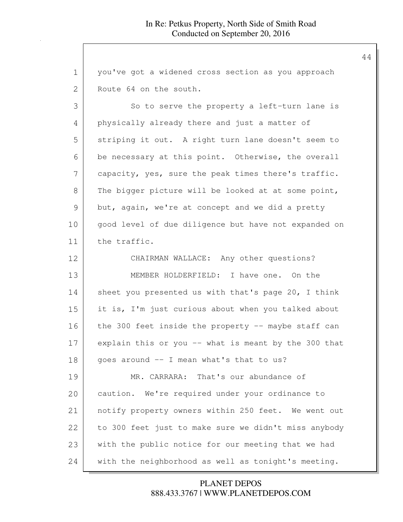| 1             | you've got a widened cross section as you approach    |
|---------------|-------------------------------------------------------|
| $\mathbf{2}$  | Route 64 on the south.                                |
| 3             | So to serve the property a left-turn lane is          |
| 4             | physically already there and just a matter of         |
| 5             | striping it out. A right turn lane doesn't seem to    |
| 6             | be necessary at this point. Otherwise, the overall    |
| 7             | capacity, yes, sure the peak times there's traffic.   |
| 8             | The bigger picture will be looked at at some point,   |
| $\mathcal{G}$ | but, again, we're at concept and we did a pretty      |
| 10            | good level of due diligence but have not expanded on  |
| 11            | the traffic.                                          |
| 12            | CHAIRMAN WALLACE: Any other questions?                |
| 13            | MEMBER HOLDERFIELD: I have one. On the                |
| 14            | sheet you presented us with that's page 20, I think   |
| 15            | it is, I'm just curious about when you talked about   |
| 16            | the 300 feet inside the property $-$ maybe staff can  |
| 17            | explain this or you $-$ what is meant by the 300 that |
| 18            | goes around -- I mean what's that to us?              |
| 19            | MR. CARRARA: That's our abundance of                  |
| 20            | caution. We're required under your ordinance to       |
| 21            | notify property owners within 250 feet. We went out   |
| 22            | to 300 feet just to make sure we didn't miss anybody  |
| 23            | with the public notice for our meeting that we had    |
| 24            | with the neighborhood as well as tonight's meeting.   |

888.433.3767 | WWW.PLANETDEPOS.COM PLANET DEPOS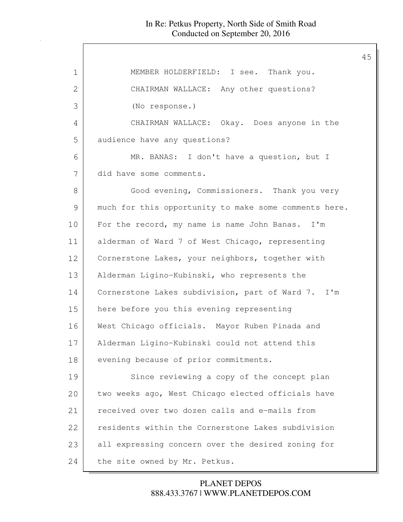| MEMBER HOLDERFIELD: I see. Thank you.                 |
|-------------------------------------------------------|
| CHAIRMAN WALLACE: Any other questions?                |
| (No response.)                                        |
| CHAIRMAN WALLACE: Okay. Does anyone in the            |
| audience have any questions?                          |
| MR. BANAS: I don't have a question, but I             |
| did have some comments.                               |
| Good evening, Commissioners. Thank you very           |
| much for this opportunity to make some comments here. |
| For the record, my name is name John Banas. I'm       |
| alderman of Ward 7 of West Chicago, representing      |
| Cornerstone Lakes, your neighbors, together with      |
| Alderman Ligino-Kubinski, who represents the          |
| Cornerstone Lakes subdivision, part of Ward 7. I'm    |
| here before you this evening representing             |
| West Chicago officials. Mayor Ruben Pinada and        |
| Alderman Ligino-Kubinski could not attend this        |
| evening because of prior commitments.                 |
| Since reviewing a copy of the concept plan            |
| two weeks ago, West Chicago elected officials have    |
| received over two dozen calls and e-mails from        |
| residents within the Cornerstone Lakes subdivision    |
| all expressing concern over the desired zoning for    |
| the site owned by Mr. Petkus.                         |
|                                                       |

888.433.3767 | WWW.PLANETDEPOS.COM PLANET DEPOS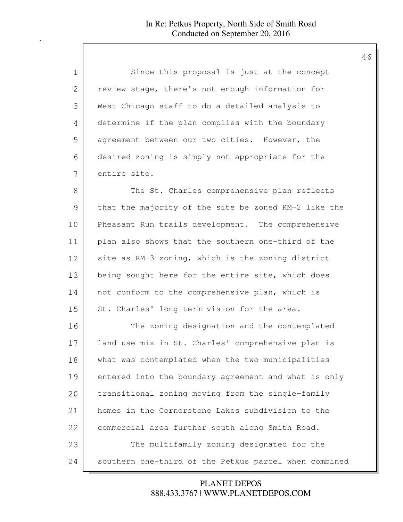| 1             | Since this proposal is just at the concept            |
|---------------|-------------------------------------------------------|
| 2             | review stage, there's not enough information for      |
| 3             | West Chicago staff to do a detailed analysis to       |
| 4             | determine if the plan complies with the boundary      |
| 5             | agreement between our two cities. However, the        |
| 6             | desired zoning is simply not appropriate for the      |
| 7             | entire site.                                          |
| 8             | The St. Charles comprehensive plan reflects           |
| $\mathcal{G}$ | that the majority of the site be zoned RM-2 like the  |
| 10            | Pheasant Run trails development. The comprehensive    |
| 11            | plan also shows that the southern one-third of the    |
| 12            | site as RM-3 zoning, which is the zoning district     |
| 13            | being sought here for the entire site, which does     |
| 14            | not conform to the comprehensive plan, which is       |
| 15            | St. Charles' long-term vision for the area.           |
| 16            | The zoning designation and the contemplated           |
| 17            | land use mix in St. Charles' comprehensive plan is    |
| 18            | what was contemplated when the two municipalities     |
| 19            | entered into the boundary agreement and what is only  |
| 20            | transitional zoning moving from the single-family     |
| 21            | homes in the Cornerstone Lakes subdivision to the     |
| 22            | commercial area further south along Smith Road.       |
| 23            | The multifamily zoning designated for the             |
| 24            | southern one-third of the Petkus parcel when combined |

888.433.3767 | WWW.PLANETDEPOS.COM PLANET DEPOS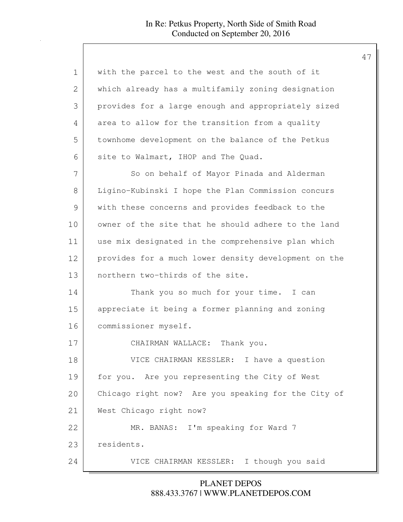| with the parcel to the west and the south of it      |
|------------------------------------------------------|
| which already has a multifamily zoning designation   |
| provides for a large enough and appropriately sized  |
| area to allow for the transition from a quality      |
| townhome development on the balance of the Petkus    |
| site to Walmart, IHOP and The Quad.                  |
| So on behalf of Mayor Pinada and Alderman            |
| Ligino-Kubinski I hope the Plan Commission concurs   |
| with these concerns and provides feedback to the     |
| owner of the site that he should adhere to the land  |
| use mix designated in the comprehensive plan which   |
| provides for a much lower density development on the |
| northern two-thirds of the site.                     |
| Thank you so much for your time. I can               |
| appreciate it being a former planning and zoning     |
| commissioner myself.                                 |
| CHAIRMAN WALLACE: Thank you.                         |
| VICE CHAIRMAN KESSLER: I have a question             |
| for you. Are you representing the City of West       |
| Chicago right now? Are you speaking for the City of  |
| West Chicago right now?                              |
| MR. BANAS: I'm speaking for Ward 7                   |
| residents.                                           |
| VICE CHAIRMAN KESSLER: I though you said             |
|                                                      |

888.433.3767 | WWW.PLANETDEPOS.COM PLANET DEPOS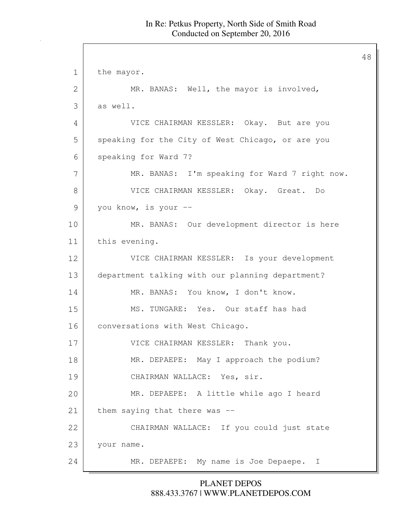48

1 the mayor. 2 MR. BANAS: Well, the mayor is involved, 3 as well. 4 VICE CHAIRMAN KESSLER: Okay. But are you 5 speaking for the City of West Chicago, or are you 6 speaking for Ward 7? 7 MR. BANAS: I'm speaking for Ward 7 right now. 8 VICE CHAIRMAN KESSLER: Okay. Great. Do 9 you know, is your --10 MR. BANAS: Our development director is here 11 this evening. 12 VICE CHAIRMAN KESSLER: Is your development 13 department talking with our planning department? 14 MR. BANAS: You know, I don't know. 15 MS. TUNGARE: Yes. Our staff has had 16 conversations with West Chicago. 17 VICE CHAIRMAN KESSLER: Thank you. 18 MR. DEPAEPE: May I approach the podium? 19 CHAIRMAN WALLACE: Yes, sir. 20 MR. DEPAEPE: A little while ago I heard 21 them saying that there was --22 CHAIRMAN WALLACE: If you could just state 23 | your name. 24 MR. DEPAEPE: My name is Joe Depaepe. I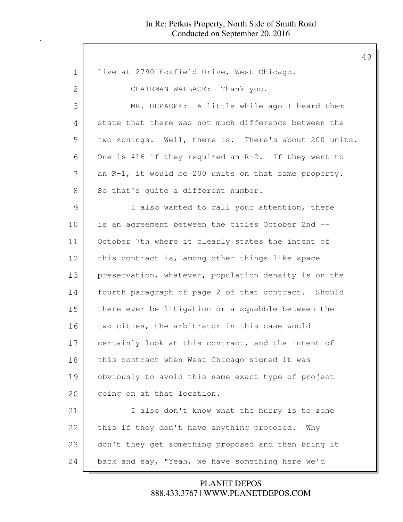1 live at 2790 Foxfield Drive, West Chicago. 2 CHAIRMAN WALLACE: Thank you. 3 MR. DEPAEPE: A little while ago I heard them 4 state that there was not much difference between the 5 two zonings. Well, there is. There's about 200 units. 6 One is 416 if they required an R-2. If they went to  $7$  an R-1, it would be 200 units on that same property. 8 So that's quite a different number. 9 I also wanted to call your attention, there 10 is an agreement between the cities October 2nd -- 11 October 7th where it clearly states the intent of 12 this contract is, among other things like space 13 preservation, whatever, population density is on the 14 | fourth paragraph of page 2 of that contract. Should 15 there ever be litigation or a squabble between the 16 two cities, the arbitrator in this case would 17 certainly look at this contract, and the intent of 18 | this contract when West Chicago signed it was 19 obviously to avoid this same exact type of project 20 | going on at that location. 21 | Talso don't know what the hurry is to zone 22 this if they don't have anything proposed. Why 23 don't they get something proposed and then bring it 24 back and say, "Yeah, we have something here we'd

> 888.433.3767 | WWW.PLANETDEPOS.COM PLANET DEPOS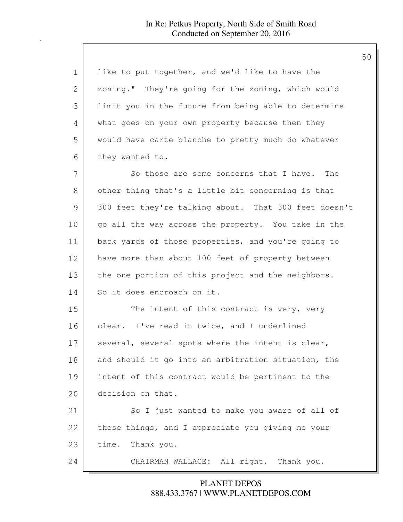| $\mathbf 1$ | like to put together, and we'd like to have the       |
|-------------|-------------------------------------------------------|
| 2           | zoning." They're going for the zoning, which would    |
| 3           | limit you in the future from being able to determine  |
| 4           | what goes on your own property because then they      |
| 5           | would have carte blanche to pretty much do whatever   |
| 6           | they wanted to.                                       |
| 7           | So those are some concerns that I have. The           |
| 8           | other thing that's a little bit concerning is that    |
| 9           | 300 feet they're talking about. That 300 feet doesn't |
| 10          | go all the way across the property. You take in the   |
| 11          | back yards of those properties, and you're going to   |
| 12          | have more than about 100 feet of property between     |
| 13          | the one portion of this project and the neighbors.    |
| 14          | So it does encroach on it.                            |
| 15          | The intent of this contract is very, very             |
| 16          | clear. I've read it twice, and I underlined           |
| 17          | several, several spots where the intent is clear,     |
| 18          | and should it go into an arbitration situation, the   |
| 19          | intent of this contract would be pertinent to the     |
| 20          | decision on that.                                     |
| 21          | So I just wanted to make you aware of all of          |
| 22          | those things, and I appreciate you giving me your     |
| 23          | time.<br>Thank you.                                   |
| 24          | CHAIRMAN WALLACE: All right. Thank you.               |

888.433.3767 | WWW.PLANETDEPOS.COM PLANET DEPOS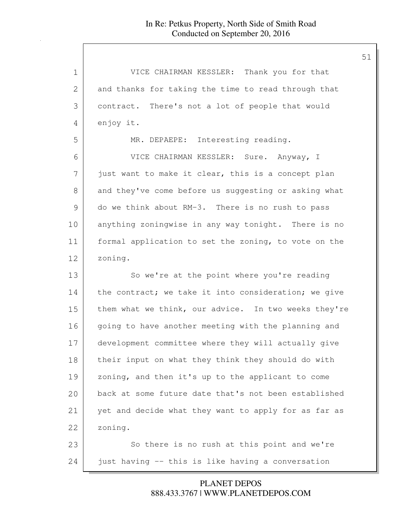| $\mathbf 1$   | VICE CHAIRMAN KESSLER: Thank you for that            |
|---------------|------------------------------------------------------|
| 2             | and thanks for taking the time to read through that  |
| 3             | contract. There's not a lot of people that would     |
| 4             | enjoy it.                                            |
| 5             | MR. DEPAEPE: Interesting reading.                    |
| 6             | VICE CHAIRMAN KESSLER: Sure. Anyway, I               |
| 7             | just want to make it clear, this is a concept plan   |
| 8             | and they've come before us suggesting or asking what |
| $\mathcal{G}$ | do we think about RM-3. There is no rush to pass     |
| 10            | anything zoningwise in any way tonight. There is no  |
| 11            | formal application to set the zoning, to vote on the |
| 12            | zoning.                                              |
| 13            | So we're at the point where you're reading           |
| 14            | the contract; we take it into consideration; we give |
| 15            | them what we think, our advice. In two weeks they're |
| 16            | going to have another meeting with the planning and  |
| 17            | development committee where they will actually give  |
| 18            | their input on what they think they should do with   |
| 19            | zoning, and then it's up to the applicant to come    |
| 20            | back at some future date that's not been established |
| 21            | yet and decide what they want to apply for as far as |
| 22            | zoning.                                              |
| 23            | So there is no rush at this point and we're          |
| 24            | just having -- this is like having a conversation    |

888.433.3767 | WWW.PLANETDEPOS.COM PLANET DEPOS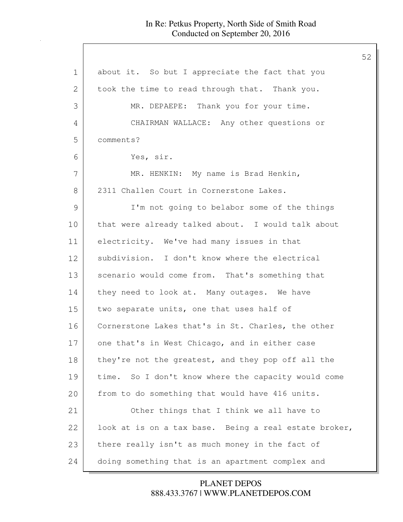| $\mathbf 1$   | about it. So but I appreciate the fact that you       |
|---------------|-------------------------------------------------------|
| $\mathbf{2}$  | took the time to read through that. Thank you.        |
| 3             | MR. DEPAEPE: Thank you for your time.                 |
| 4             | CHAIRMAN WALLACE: Any other questions or              |
| 5             | comments?                                             |
| 6             | Yes, sir.                                             |
| 7             | MR. HENKIN: My name is Brad Henkin,                   |
| 8             | 2311 Challen Court in Cornerstone Lakes.              |
| $\mathcal{G}$ | I'm not going to belabor some of the things           |
| 10            | that were already talked about. I would talk about    |
| 11            | electricity. We've had many issues in that            |
| 12            | subdivision. I don't know where the electrical        |
| 13            | scenario would come from. That's something that       |
| 14            | they need to look at. Many outages. We have           |
| 15            | two separate units, one that uses half of             |
| 16            | Cornerstone Lakes that's in St. Charles, the other    |
| 17            | one that's in West Chicago, and in either case        |
| 18            | they're not the greatest, and they pop off all the    |
| 19            | time. So I don't know where the capacity would come   |
| 20            | from to do something that would have 416 units.       |
| 21            | Other things that I think we all have to              |
| 22            | look at is on a tax base. Being a real estate broker, |
| 23            | there really isn't as much money in the fact of       |
| 24            | doing something that is an apartment complex and      |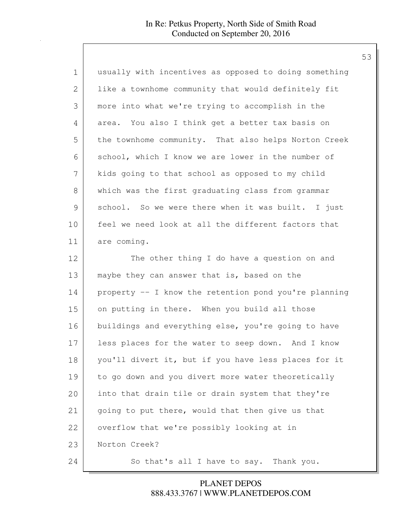| $\mathbf 1$   | usually with incentives as opposed to doing something |
|---------------|-------------------------------------------------------|
| 2             | like a townhome community that would definitely fit   |
| 3             | more into what we're trying to accomplish in the      |
| 4             | area. You also I think get a better tax basis on      |
| 5             | the townhome community. That also helps Norton Creek  |
| 6             | school, which I know we are lower in the number of    |
| 7             | kids going to that school as opposed to my child      |
| 8             | which was the first graduating class from grammar     |
| $\mathcal{G}$ | school. So we were there when it was built. I just    |
| 10            | feel we need look at all the different factors that   |
| 11            | are coming.                                           |
| 12            | The other thing I do have a question on and           |
| 13            | maybe they can answer that is, based on the           |
| 14            | property -- I know the retention pond you're planning |
| 15            | on putting in there. When you build all those         |
| 16            | buildings and everything else, you're going to have   |
| 17            | less places for the water to seep down. And I know    |
| 18            | you'll divert it, but if you have less places for it  |
| 19            | to go down and you divert more water theoretically    |
| 20            | into that drain tile or drain system that they're     |
| 21            | going to put there, would that then give us that      |
| 22            | overflow that we're possibly looking at in            |
| 23            | Norton Creek?                                         |
| 24            | So that's all I have to say. Thank you.               |

888.433.3767 | WWW.PLANETDEPOS.COM PLANET DEPOS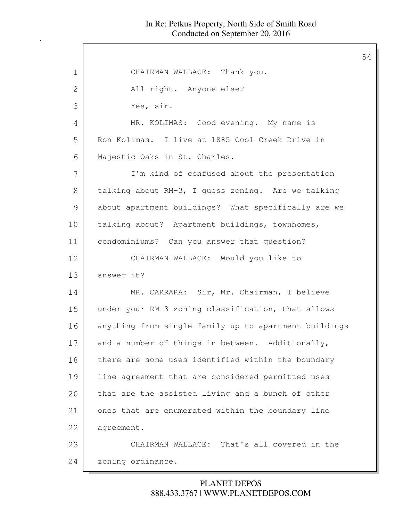54

1 CHAIRMAN WALLACE: Thank you. 2 All right. Anyone else? 3 Yes, sir. 4 MR. KOLIMAS: Good evening. My name is 5 Ron Kolimas. I live at 1885 Cool Creek Drive in 6 Majestic Oaks in St. Charles. 7 | I'm kind of confused about the presentation 8 talking about RM-3, I guess zoning. Are we talking 9 about apartment buildings? What specifically are we 10 | talking about? Apartment buildings, townhomes, 11 | condominiums? Can you answer that question? 12 CHAIRMAN WALLACE: Would you like to 13 answer it? 14 MR. CARRARA: Sir, Mr. Chairman, I believe 15 under your RM-3 zoning classification, that allows 16 anything from single-family up to apartment buildings 17 and a number of things in between. Additionally, 18 there are some uses identified within the boundary 19 | line agreement that are considered permitted uses 20 that are the assisted living and a bunch of other 21 ones that are enumerated within the boundary line 22 | agreement. 23 CHAIRMAN WALLACE: That's all covered in the 24 zoning ordinance.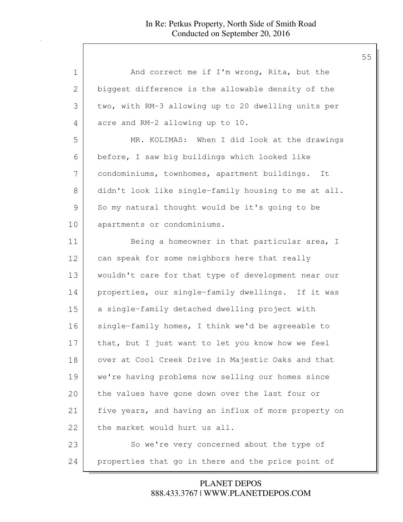| 1            | And correct me if I'm wrong, Rita, but the           |
|--------------|------------------------------------------------------|
| $\mathbf{2}$ | biggest difference is the allowable density of the   |
| 3            | two, with RM-3 allowing up to 20 dwelling units per  |
| 4            | acre and RM-2 allowing up to 10.                     |
| 5            | MR. KOLIMAS: When I did look at the drawings         |
| 6            | before, I saw big buildings which looked like        |
| 7            | condominiums, townhomes, apartment buildings. It     |
| 8            | didn't look like single-family housing to me at all. |
| 9            | So my natural thought would be it's going to be      |
| 10           | apartments or condominiums.                          |
| 11           | Being a homeowner in that particular area, I         |
| 12           | can speak for some neighbors here that really        |
| 13           | wouldn't care for that type of development near our  |
| 14           | properties, our single-family dwellings. If it was   |
| 15           | a single-family detached dwelling project with       |
| 16           | single-family homes, I think we'd be agreeable to    |
| 17           | that, but I just want to let you know how we feel    |
| 18           | over at Cool Creek Drive in Majestic Oaks and that   |
| 19           | we're having problems now selling our homes since    |
| 20           | the values have gone down over the last four or      |
| 21           | five years, and having an influx of more property on |
| 22           | the market would hurt us all.                        |
| 23           | So we're very concerned about the type of            |
| 24           | properties that go in there and the price point of   |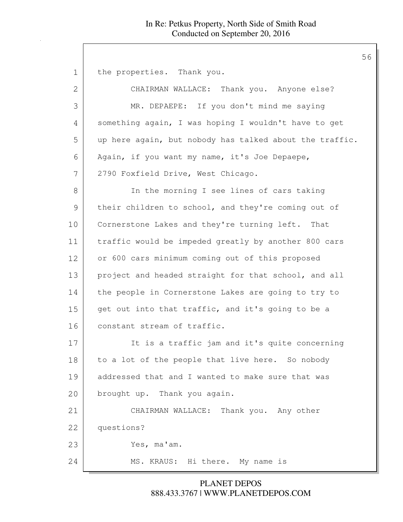1 the properties. Thank you. 2 CHAIRMAN WALLACE: Thank you. Anyone else? 3 MR. DEPAEPE: If you don't mind me saying 4 something again, I was hoping I wouldn't have to get 5 up here again, but nobody has talked about the traffic. 6 Again, if you want my name, it's Joe Depaepe, 7 2790 Foxfield Drive, West Chicago. 8 In the morning I see lines of cars taking 9 their children to school, and they're coming out of 10 Cornerstone Lakes and they're turning left. That 11 traffic would be impeded greatly by another 800 cars 12 or 600 cars minimum coming out of this proposed 13 project and headed straight for that school, and all 14 the people in Cornerstone Lakes are going to try to 15 get out into that traffic, and it's going to be a 16 constant stream of traffic. 17 It is a traffic jam and it's quite concerning 18 to a lot of the people that live here. So nobody 19 addressed that and I wanted to make sure that was 20 brought up. Thank you again. 21 CHAIRMAN WALLACE: Thank you. Any other 22 questions? 23 Yes, ma'am. 24 MS. KRAUS: Hi there. My name is

> 888.433.3767 | WWW.PLANETDEPOS.COM PLANET DEPOS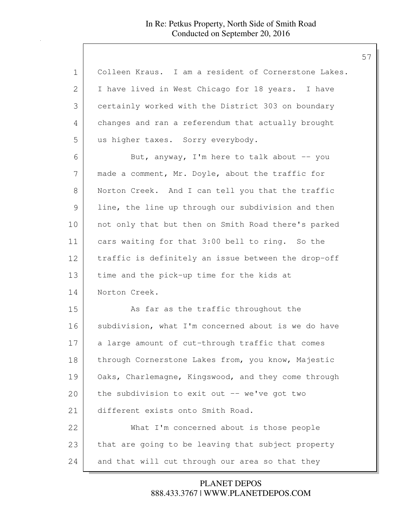| 1  | Colleen Kraus. I am a resident of Cornerstone Lakes. |
|----|------------------------------------------------------|
| 2  | I have lived in West Chicago for 18 years. I have    |
| 3  | certainly worked with the District 303 on boundary   |
| 4  | changes and ran a referendum that actually brought   |
| 5  | us higher taxes. Sorry everybody.                    |
| 6  | But, anyway, I'm here to talk about -- you           |
| 7  | made a comment, Mr. Doyle, about the traffic for     |
| 8  | Norton Creek. And I can tell you that the traffic    |
| 9  | line, the line up through our subdivision and then   |
| 10 | not only that but then on Smith Road there's parked  |
| 11 | cars waiting for that 3:00 bell to ring. So the      |
| 12 | traffic is definitely an issue between the drop-off  |
| 13 | time and the pick-up time for the kids at            |
| 14 | Norton Creek.                                        |
| 15 | As far as the traffic throughout the                 |
| 16 | subdivision, what I'm concerned about is we do have  |
| 17 | a large amount of cut-through traffic that comes     |
| 18 | through Cornerstone Lakes from, you know, Majestic   |
| 19 | Oaks, Charlemagne, Kingswood, and they come through  |
| 20 | the subdivision to exit out -- we've got two         |
| 21 | different exists onto Smith Road.                    |
| 22 | What I'm concerned about is those people             |
| 23 | that are going to be leaving that subject property   |
| 24 | and that will cut through our area so that they      |

888.433.3767 | WWW.PLANETDEPOS.COM PLANET DEPOS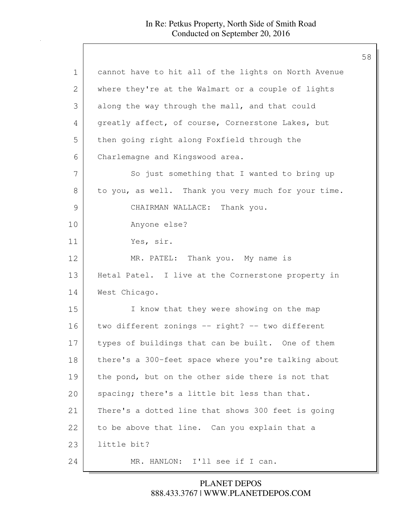| $\mathbf 1$   | cannot have to hit all of the lights on North Avenue |
|---------------|------------------------------------------------------|
| 2             | where they're at the Walmart or a couple of lights   |
| 3             | along the way through the mall, and that could       |
| 4             | greatly affect, of course, Cornerstone Lakes, but    |
| 5             | then going right along Foxfield through the          |
| 6             | Charlemagne and Kingswood area.                      |
| 7             | So just something that I wanted to bring up          |
| 8             | to you, as well. Thank you very much for your time.  |
| $\mathcal{G}$ | CHAIRMAN WALLACE: Thank you.                         |
| 10            | Anyone else?                                         |
| 11            | Yes, sir.                                            |
| 12            | MR. PATEL: Thank you. My name is                     |
| 13            | Hetal Patel. I live at the Cornerstone property in   |
| 14            | West Chicago.                                        |
| 15            | I know that they were showing on the map             |
| 16            | two different zonings -- right? -- two different     |
| 17            | types of buildings that can be built. One of them    |
| 18            | there's a 300-feet space where you're talking about  |
| 19            | the pond, but on the other side there is not that    |
| 20            | spacing; there's a little bit less than that.        |
| 21            | There's a dotted line that shows 300 feet is going   |
| 22            | to be above that line. Can you explain that a        |
| 23            | little bit?                                          |
| 24            | MR. HANLON: I'll see if I can.                       |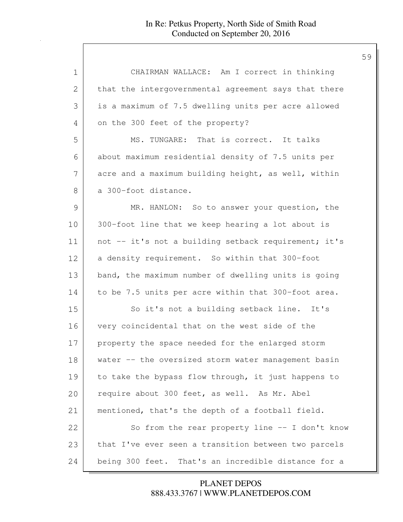| 1             | CHAIRMAN WALLACE: Am I correct in thinking           |
|---------------|------------------------------------------------------|
| $\mathbf{2}$  | that the intergovernmental agreement says that there |
| 3             | is a maximum of 7.5 dwelling units per acre allowed  |
| 4             | on the 300 feet of the property?                     |
| 5             | MS. TUNGARE: That is correct. It talks               |
| 6             | about maximum residential density of 7.5 units per   |
| 7             | acre and a maximum building height, as well, within  |
| 8             | a 300-foot distance.                                 |
| $\mathcal{G}$ | MR. HANLON: So to answer your question, the          |
| 10            | 300-foot line that we keep hearing a lot about is    |
| 11            | not -- it's not a building setback requirement; it's |
| 12            | a density requirement. So within that 300-foot       |
| 13            | band, the maximum number of dwelling units is going  |
| 14            | to be 7.5 units per acre within that 300-foot area.  |
| 15            | So it's not a building setback line. It's            |
| 16            | very coincidental that on the west side of the       |
| 17            | property the space needed for the enlarged storm     |
| 18            | water -- the oversized storm water management basin  |
| 19            | to take the bypass flow through, it just happens to  |
| 20            | require about 300 feet, as well. As Mr. Abel         |
| 21            | mentioned, that's the depth of a football field.     |
| 22            | So from the rear property line $-$ I don't know      |
| 23            | that I've ever seen a transition between two parcels |
| 24            | being 300 feet. That's an incredible distance for a  |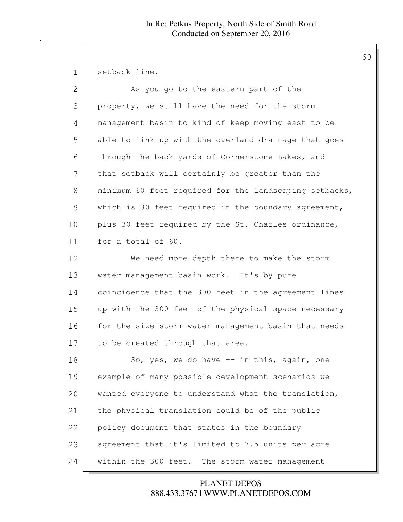1 setback line.

| $\overline{2}$ | As you go to the eastern part of the                   |
|----------------|--------------------------------------------------------|
| 3              | property, we still have the need for the storm         |
| 4              | management basin to kind of keep moving east to be     |
| 5              | able to link up with the overland drainage that goes   |
| 6              | through the back yards of Cornerstone Lakes, and       |
| 7              | that setback will certainly be greater than the        |
| 8              | minimum 60 feet required for the landscaping setbacks, |
| $\mathcal{G}$  | which is 30 feet required in the boundary agreement,   |
| 10             | plus 30 feet required by the St. Charles ordinance,    |
| 11             | for a total of 60.                                     |
| 12             | We need more depth there to make the storm             |
| 13             | water management basin work. It's by pure              |
| 14             | coincidence that the 300 feet in the agreement lines   |
| 15             | up with the 300 feet of the physical space necessary   |
| 16             | for the size storm water management basin that needs   |
| 17             | to be created through that area.                       |
| 18             | So, yes, we do have $-$ in this, again, one            |
| 19             | example of many possible development scenarios we      |
| 20             | wanted everyone to understand what the translation,    |
| 21             | the physical translation could be of the public        |
| 22             | policy document that states in the boundary            |
| 23             | agreement that it's limited to 7.5 units per acre      |
| 24             | within the 300 feet. The storm water management        |

888.433.3767 | WWW.PLANETDEPOS.COM PLANET DEPOS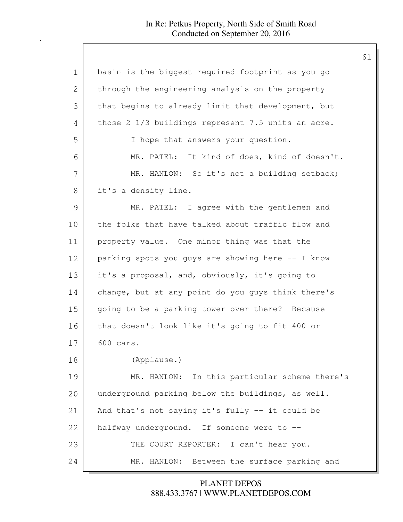| $\mathbf 1$   | basin is the biggest required footprint as you go  |
|---------------|----------------------------------------------------|
| $\mathbf{2}$  | through the engineering analysis on the property   |
| 3             | that begins to already limit that development, but |
| 4             | those 2 1/3 buildings represent 7.5 units an acre. |
| 5             | I hope that answers your question.                 |
| 6             | MR. PATEL: It kind of does, kind of doesn't.       |
| 7             | MR. HANLON: So it's not a building setback;        |
| 8             | it's a density line.                               |
| $\mathcal{G}$ | MR. PATEL: I agree with the gentlemen and          |
| 10            | the folks that have talked about traffic flow and  |
| 11            | property value. One minor thing was that the       |
| 12            | parking spots you guys are showing here -- I know  |
| 13            | it's a proposal, and, obviously, it's going to     |
| 14            | change, but at any point do you guys think there's |
| 15            | going to be a parking tower over there? Because    |
| 16            | that doesn't look like it's going to fit 400 or    |
| 17            | 600 cars.                                          |
| 18            | (Applause.)                                        |
| 19            | MR. HANLON: In this particular scheme there's      |
| 20            | underground parking below the buildings, as well.  |
| 21            | And that's not saying it's fully -- it could be    |
| 22            | halfway underground. If someone were to --         |
| 23            | THE COURT REPORTER: I can't hear you.              |
| 24            | MR. HANLON: Between the surface parking and        |

888.433.3767 | WWW.PLANETDEPOS.COM PLANET DEPOS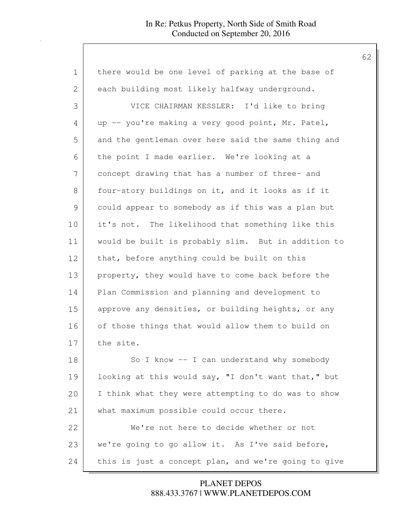| $\mathbf 1$ | there would be one level of parking at the base of   |
|-------------|------------------------------------------------------|
| 2           | each building most likely halfway underground.       |
| 3           | VICE CHAIRMAN KESSLER: I'd like to bring             |
| 4           | up -- you're making a very good point, Mr. Patel,    |
| 5           | and the gentleman over here said the same thing and  |
| 6           | the point I made earlier. We're looking at a         |
| 7           | concept drawing that has a number of three- and      |
| 8           | four-story buildings on it, and it looks as if it    |
| 9           | could appear to somebody as if this was a plan but   |
| 10          | it's not. The likelihood that something like this    |
| 11          | would be built is probably slim. But in addition to  |
| 12          | that, before anything could be built on this         |
| 13          | property, they would have to come back before the    |
| 14          | Plan Commission and planning and development to      |
| 15          | approve any densities, or building heights, or any   |
| 16          | of those things that would allow them to build on    |
| 17          | the site.                                            |
| 18          | So I know -- I can understand why somebody           |
| 19          | looking at this would say, "I don't want that," but  |
| 20          | I think what they were attempting to do was to show  |
| 21          | what maximum possible could occur there.             |
| 22          | We're not here to decide whether or not              |
| 23          | we're going to go allow it. As I've said before,     |
| 24          | this is just a concept plan, and we're going to give |

888.433.3767 | WWW.PLANETDEPOS.COM PLANET DEPOS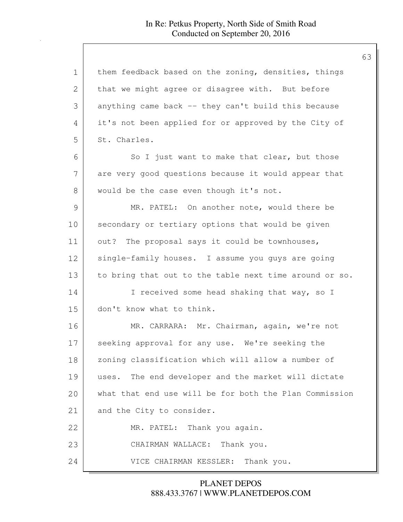| $\mathbf 1$ | them feedback based on the zoning, densities, things   |
|-------------|--------------------------------------------------------|
| 2           | that we might agree or disagree with. But before       |
| 3           | anything came back -- they can't build this because    |
| 4           | it's not been applied for or approved by the City of   |
| 5           | St. Charles.                                           |
| 6           | So I just want to make that clear, but those           |
| 7           | are very good questions because it would appear that   |
| 8           | would be the case even though it's not.                |
| 9           | MR. PATEL: On another note, would there be             |
| 10          | secondary or tertiary options that would be given      |
| 11          | out? The proposal says it could be townhouses,         |
| 12          | single-family houses. I assume you guys are going      |
| 13          | to bring that out to the table next time around or so. |
| 14          | I received some head shaking that way, so I            |
| 15          | don't know what to think.                              |
| 16          | MR. CARRARA: Mr. Chairman, again, we're not            |
| 17          | seeking approval for any use. We're seeking the        |
| 18          | zoning classification which will allow a number of     |
| 19          | The end developer and the market will dictate<br>uses. |
| 20          | what that end use will be for both the Plan Commission |
| 21          | and the City to consider.                              |
| 22          | MR. PATEL: Thank you again.                            |
| 23          | CHAIRMAN WALLACE: Thank you.                           |
| 24          | VICE CHAIRMAN KESSLER: Thank you.                      |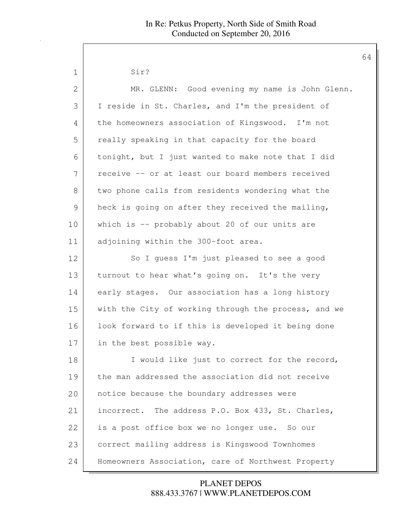| 1  | Sir?                                                 |
|----|------------------------------------------------------|
| 2  | MR. GLENN: Good evening my name is John Glenn.       |
| 3  | I reside in St. Charles, and I'm the president of    |
| 4  | the homeowners association of Kingswood. I'm not     |
| 5  | really speaking in that capacity for the board       |
| 6  | tonight, but I just wanted to make note that I did   |
| 7  | receive -- or at least our board members received    |
| 8  | two phone calls from residents wondering what the    |
| 9  | heck is going on after they received the mailing,    |
| 10 | which is -- probably about 20 of our units are       |
| 11 | adjoining within the 300-foot area.                  |
| 12 | So I quess I'm just pleased to see a good            |
| 13 | turnout to hear what's going on. It's the very       |
| 14 | early stages. Our association has a long history     |
| 15 | with the City of working through the process, and we |
| 16 | look forward to if this is developed it being done   |
| 17 | in the best possible way.                            |
| 18 | I would like just to correct for the record,         |
| 19 | the man addressed the association did not receive    |
| 20 | notice because the boundary addresses were           |
| 21 | incorrect. The address P.O. Box 433, St. Charles,    |
| 22 | is a post office box we no longer use. So our        |
| 23 | correct mailing address is Kingswood Townhomes       |
| 24 | Homeowners Association, care of Northwest Property   |

888.433.3767 | WWW.PLANETDEPOS.COM PLANET DEPOS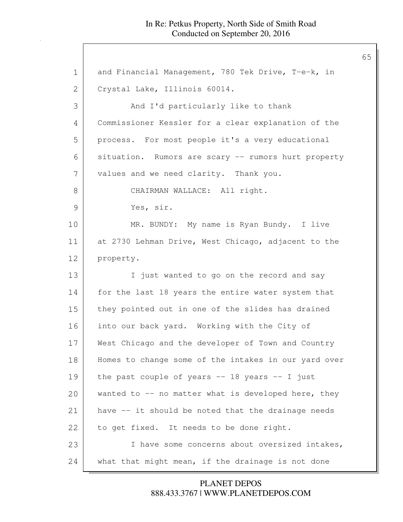| and Financial Management, 780 Tek Drive, T-e-k, in   |
|------------------------------------------------------|
| Crystal Lake, Illinois 60014.                        |
| And I'd particularly like to thank                   |
| Commissioner Kessler for a clear explanation of the  |
| process. For most people it's a very educational     |
| situation. Rumors are scary -- rumors hurt property  |
| values and we need clarity. Thank you.               |
| CHAIRMAN WALLACE: All right.                         |
| Yes, sir.                                            |
| MR. BUNDY: My name is Ryan Bundy. I live             |
| at 2730 Lehman Drive, West Chicago, adjacent to the  |
| property.                                            |
| I just wanted to go on the record and say            |
| for the last 18 years the entire water system that   |
| they pointed out in one of the slides has drained    |
| into our back yard. Working with the City of         |
| West Chicago and the developer of Town and Country   |
| Homes to change some of the intakes in our yard over |
| the past couple of years $--$ 18 years $--$ I just   |
| wanted to $-$ no matter what is developed here, they |
| have -- it should be noted that the drainage needs   |
| to get fixed. It needs to be done right.             |
| I have some concerns about oversized intakes,        |
| what that might mean, if the drainage is not done    |
|                                                      |

888.433.3767 | WWW.PLANETDEPOS.COM PLANET DEPOS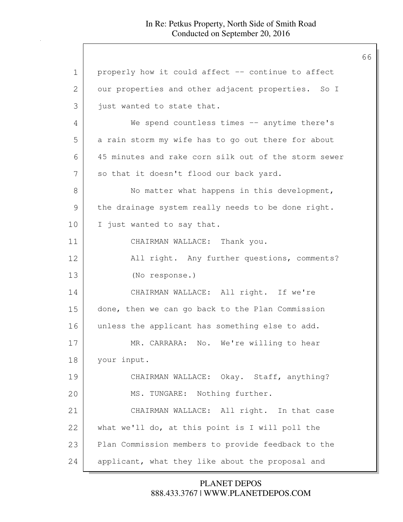| $\mathbf 1$    | properly how it could affect -- continue to affect   |
|----------------|------------------------------------------------------|
| $\overline{2}$ | our properties and other adjacent properties. So I   |
| 3              | just wanted to state that.                           |
| 4              | We spend countless times -- anytime there's          |
| 5              | a rain storm my wife has to go out there for about   |
| 6              | 45 minutes and rake corn silk out of the storm sewer |
| 7              | so that it doesn't flood our back yard.              |
| 8              | No matter what happens in this development,          |
| $\mathcal{G}$  | the drainage system really needs to be done right.   |
| 10             | I just wanted to say that.                           |
| 11             | CHAIRMAN WALLACE: Thank you.                         |
| 12             | All right. Any further questions, comments?          |
| 13             | (No response.)                                       |
| 14             | CHAIRMAN WALLACE: All right. If we're                |
| 15             | done, then we can go back to the Plan Commission     |
| 16             | unless the applicant has something else to add.      |
| 17             | MR. CARRARA: No. We're willing to hear               |
| 18             | your input.                                          |
| 19             | CHAIRMAN WALLACE: Okay. Staff, anything?             |
| 20             | MS. TUNGARE: Nothing further.                        |
| 21             | CHAIRMAN WALLACE: All right. In that case            |
| 22             | what we'll do, at this point is I will poll the      |
| 23             | Plan Commission members to provide feedback to the   |
| 24             | applicant, what they like about the proposal and     |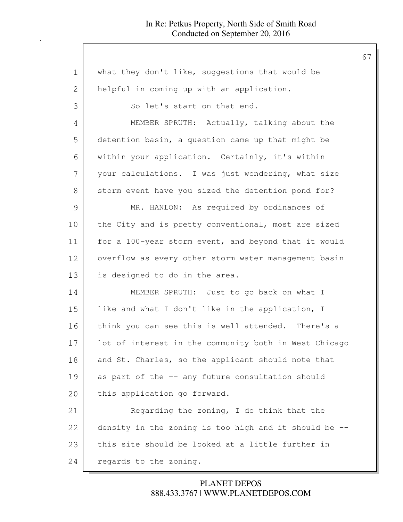| $\mathbf 1$ | what they don't like, suggestions that would be       |
|-------------|-------------------------------------------------------|
| 2           | helpful in coming up with an application.             |
| 3           | So let's start on that end.                           |
| 4           | MEMBER SPRUTH: Actually, talking about the            |
| 5           | detention basin, a question came up that might be     |
| 6           | within your application. Certainly, it's within       |
| 7           | your calculations. I was just wondering, what size    |
| 8           | storm event have you sized the detention pond for?    |
| 9           | MR. HANLON: As required by ordinances of              |
| 10          | the City and is pretty conventional, most are sized   |
| 11          | for a 100-year storm event, and beyond that it would  |
| 12          | overflow as every other storm water management basin  |
| 13          | is designed to do in the area.                        |
| 14          | MEMBER SPRUTH: Just to go back on what I              |
| 15          | like and what I don't like in the application, I      |
| 16          | think you can see this is well attended. There's a    |
| 17          | lot of interest in the community both in West Chicago |
| 18          | and St. Charles, so the applicant should note that    |
| 19          | as part of the -- any future consultation should      |
| 20          | this application go forward.                          |
| 21          | Regarding the zoning, I do think that the             |
| 22          | density in the zoning is too high and it should be -- |
| 23          | this site should be looked at a little further in     |
| 24          | regards to the zoning.                                |

888.433.3767 | WWW.PLANETDEPOS.COM PLANET DEPOS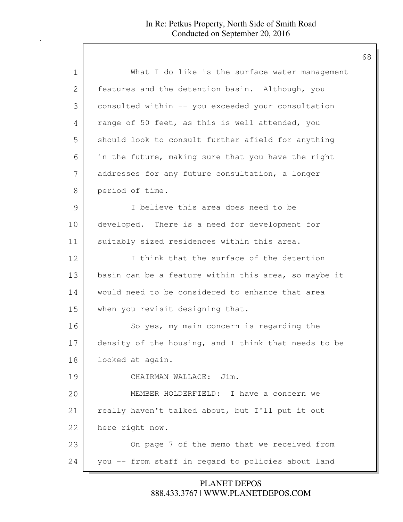| What I do like is the surface water management       |
|------------------------------------------------------|
| features and the detention basin. Although, you      |
| consulted within -- you exceeded your consultation   |
| range of 50 feet, as this is well attended, you      |
| should look to consult further afield for anything   |
| in the future, making sure that you have the right   |
| addresses for any future consultation, a longer      |
| period of time.                                      |
| I believe this area does need to be                  |
| developed. There is a need for development for       |
| suitably sized residences within this area.          |
| I think that the surface of the detention            |
| basin can be a feature within this area, so maybe it |
| would need to be considered to enhance that area     |
| when you revisit designing that.                     |
| So yes, my main concern is regarding the             |
| density of the housing, and I think that needs to be |
| looked at again.                                     |
| CHAIRMAN WALLACE: Jim.                               |
| MEMBER HOLDERFIELD: I have a concern we              |
| really haven't talked about, but I'll put it out     |
| here right now.                                      |
| On page 7 of the memo that we received from          |
| you -- from staff in regard to policies about land   |
|                                                      |

888.433.3767 | WWW.PLANETDEPOS.COM PLANET DEPOS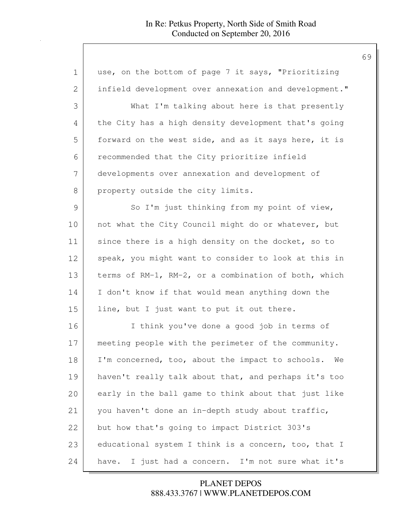| $\mathbf 1$   | use, on the bottom of page 7 it says, "Prioritizing    |
|---------------|--------------------------------------------------------|
| 2             | infield development over annexation and development."  |
| 3             | What I'm talking about here is that presently          |
| 4             | the City has a high density development that's going   |
| 5             | forward on the west side, and as it says here, it is   |
| 6             | recommended that the City prioritize infield           |
| 7             | developments over annexation and development of        |
| 8             | property outside the city limits.                      |
| $\mathcal{G}$ | So I'm just thinking from my point of view,            |
| 10            | not what the City Council might do or whatever, but    |
| 11            | since there is a high density on the docket, so to     |
| 12            | speak, you might want to consider to look at this in   |
| 13            | terms of RM-1, RM-2, or a combination of both, which   |
| 14            | I don't know if that would mean anything down the      |
| 15            | line, but I just want to put it out there.             |
| 16            | I think you've done a good job in terms of             |
| 17            | meeting people with the perimeter of the community.    |
| 18            | I'm concerned, too, about the impact to schools.<br>We |
| 19            | haven't really talk about that, and perhaps it's too   |
| 20            | early in the ball game to think about that just like   |
| 21            | you haven't done an in-depth study about traffic,      |
| 22            | but how that's going to impact District 303's          |
| 23            | educational system I think is a concern, too, that I   |
| 24            | have. I just had a concern. I'm not sure what it's     |

888.433.3767 | WWW.PLANETDEPOS.COM PLANET DEPOS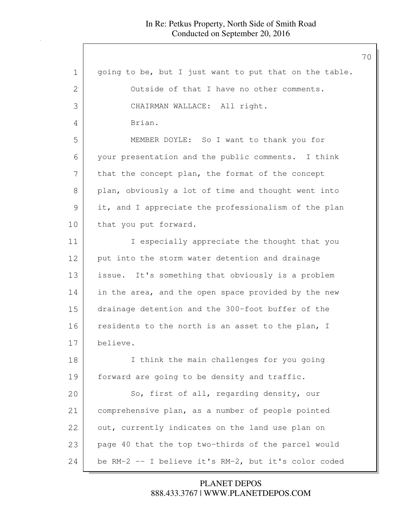888.433.3767 | WWW.PLANETDEPOS.COM PLANET DEPOS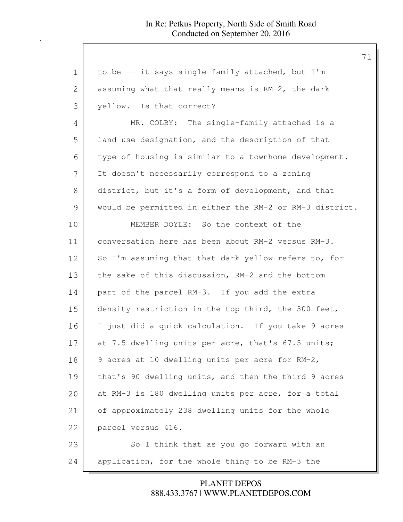1 to be -- it says single-family attached, but I'm 2 assuming what that really means is RM-2, the dark 3 yellow. Is that correct? 4 MR. COLBY: The single-family attached is a 5 | land use designation, and the description of that 6 type of housing is similar to a townhome development. 7 It doesn't necessarily correspond to a zoning 8 district, but it's a form of development, and that 9 would be permitted in either the RM-2 or RM-3 district. 10 MEMBER DOYLE: So the context of the 11 conversation here has been about RM-2 versus RM-3. 12 So I'm assuming that that dark yellow refers to, for 13 the sake of this discussion, RM-2 and the bottom 14 part of the parcel RM-3. If you add the extra 15 density restriction in the top third, the 300 feet, 16 I just did a quick calculation. If you take 9 acres 17 at 7.5 dwelling units per acre, that's 67.5 units; 18 9 acres at 10 dwelling units per acre for RM-2, 19 | that's 90 dwelling units, and then the third 9 acres 20 at RM-3 is 180 dwelling units per acre, for a total 21 of approximately 238 dwelling units for the whole 22 parcel versus 416. 23 So I think that as you go forward with an 24 application, for the whole thing to be RM-3 the

> 888.433.3767 | WWW.PLANETDEPOS.COM PLANET DEPOS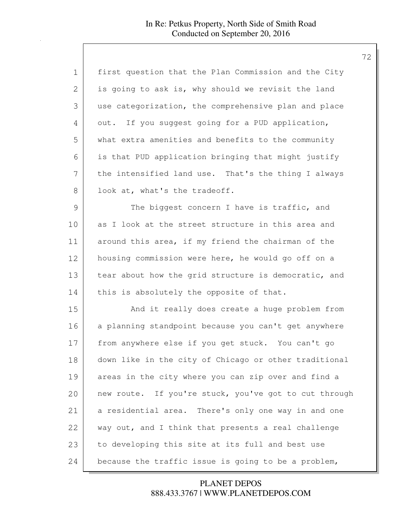| 1             | first question that the Plan Commission and the City  |
|---------------|-------------------------------------------------------|
| 2             | is going to ask is, why should we revisit the land    |
| 3             | use categorization, the comprehensive plan and place  |
| 4             | out. If you suggest going for a PUD application,      |
| 5             | what extra amenities and benefits to the community    |
| 6             | is that PUD application bringing that might justify   |
| 7             | the intensified land use. That's the thing I always   |
| 8             | look at, what's the tradeoff.                         |
| $\mathcal{G}$ | The biggest concern I have is traffic, and            |
| 10            | as I look at the street structure in this area and    |
| 11            | around this area, if my friend the chairman of the    |
| 12            | housing commission were here, he would go off on a    |
| 13            | tear about how the grid structure is democratic, and  |
| 14            | this is absolutely the opposite of that.              |
| 15            | And it really does create a huge problem from         |
| 16            | a planning standpoint because you can't get anywhere  |
| 17            | from anywhere else if you get stuck. You can't go     |
| 18            | down like in the city of Chicago or other traditional |
| 19            | areas in the city where you can zip over and find a   |
| 20            | new route. If you're stuck, you've got to cut through |
| 21            | a residential area. There's only one way in and one   |
| 22            | way out, and I think that presents a real challenge   |
| 23            | to developing this site at its full and best use      |
| 24            | because the traffic issue is going to be a problem,   |

888.433.3767 | WWW.PLANETDEPOS.COM PLANET DEPOS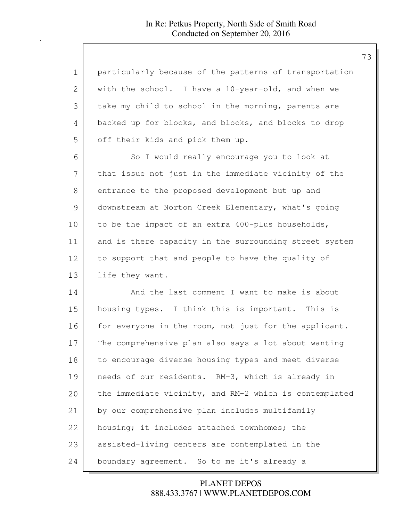| 1             | particularly because of the patterns of transportation |
|---------------|--------------------------------------------------------|
| $\mathbf{2}$  | with the school. I have a 10-year-old, and when we     |
| 3             | take my child to school in the morning, parents are    |
| 4             | backed up for blocks, and blocks, and blocks to drop   |
| 5             | off their kids and pick them up.                       |
| 6             | So I would really encourage you to look at             |
| 7             | that issue not just in the immediate vicinity of the   |
| 8             | entrance to the proposed development but up and        |
| $\mathcal{G}$ | downstream at Norton Creek Elementary, what's going    |
| 10            | to be the impact of an extra 400-plus households,      |
| 11            | and is there capacity in the surrounding street system |
| 12            | to support that and people to have the quality of      |
| 13            | life they want.                                        |
| 14            | And the last comment I want to make is about           |
| 15            | housing types. I think this is important. This is      |
| 16            | for everyone in the room, not just for the applicant.  |
| 17            | The comprehensive plan also says a lot about wanting   |
| 18            | to encourage diverse housing types and meet diverse    |
| 19            | needs of our residents. RM-3, which is already in      |
| 20            | the immediate vicinity, and RM-2 which is contemplated |
| 21            | by our comprehensive plan includes multifamily         |
| 22            | housing; it includes attached townhomes; the           |
| 23            | assisted-living centers are contemplated in the        |
| 24            | boundary agreement. So to me it's already a            |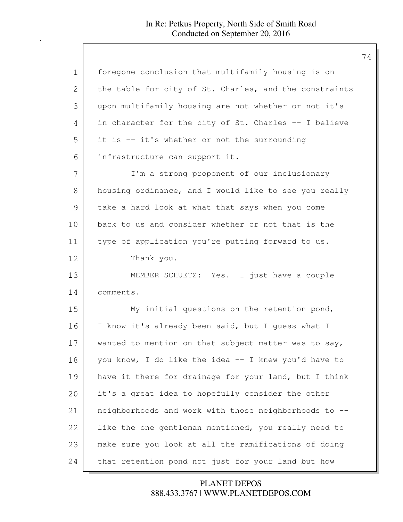| $\mathbf 1$ | foregone conclusion that multifamily housing is on     |
|-------------|--------------------------------------------------------|
| 2           | the table for city of St. Charles, and the constraints |
| 3           | upon multifamily housing are not whether or not it's   |
| 4           | in character for the city of St. Charles -- I believe  |
| 5           | it is -- it's whether or not the surrounding           |
| 6           | infrastructure can support it.                         |
| 7           | I'm a strong proponent of our inclusionary             |
| 8           | housing ordinance, and I would like to see you really  |
| 9           | take a hard look at what that says when you come       |
| 10          | back to us and consider whether or not that is the     |
| 11          | type of application you're putting forward to us.      |
| 12          | Thank you.                                             |
| 13          | MEMBER SCHUETZ: Yes. I just have a couple              |
| 14          | comments.                                              |
| 15          | My initial questions on the retention pond,            |
| 16          | I know it's already been said, but I guess what I      |
| 17          | wanted to mention on that subject matter was to say,   |
| 18          | you know, I do like the idea -- I knew you'd have to   |
| 19          | have it there for drainage for your land, but I think  |
| 20          | it's a great idea to hopefully consider the other      |
| 21          | neighborhoods and work with those neighborhoods to --  |
| 22          | like the one gentleman mentioned, you really need to   |
| 23          | make sure you look at all the ramifications of doing   |
| 24          | that retention pond not just for your land but how     |

888.433.3767 | WWW.PLANETDEPOS.COM PLANET DEPOS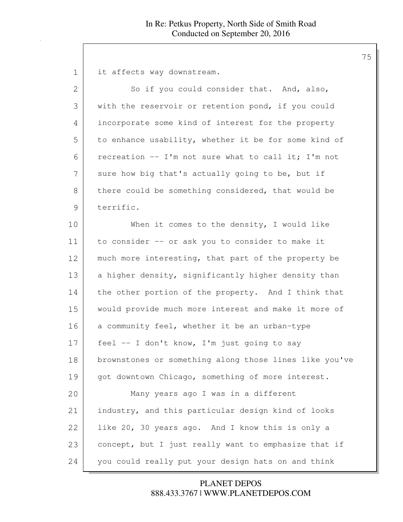1 it affects way downstream.

| $\overline{2}$ | So if you could consider that. And, also,              |
|----------------|--------------------------------------------------------|
| 3              | with the reservoir or retention pond, if you could     |
| 4              | incorporate some kind of interest for the property     |
| 5              | to enhance usability, whether it be for some kind of   |
| 6              | recreation -- I'm not sure what to call it; I'm not    |
| 7              | sure how big that's actually going to be, but if       |
| 8              | there could be something considered, that would be     |
| 9              | terrific.                                              |
| 10             | When it comes to the density, I would like             |
| 11             | to consider -- or ask you to consider to make it       |
| 12             | much more interesting, that part of the property be    |
| 13             | a higher density, significantly higher density than    |
| 14             | the other portion of the property. And I think that    |
| 15             | would provide much more interest and make it more of   |
| 16             | a community feel, whether it be an urban-type          |
| 17             | feel -- I don't know, I'm just going to say            |
| 18             | brownstones or something along those lines like you've |
| 19             | got downtown Chicago, something of more interest.      |
| 20             | Many years ago I was in a different                    |
| 21             | industry, and this particular design kind of looks     |
| 22             | like 20, 30 years ago. And I know this is only a       |
| 23             | concept, but I just really want to emphasize that if   |
| 24             | you could really put your design hats on and think     |

888.433.3767 | WWW.PLANETDEPOS.COM PLANET DEPOS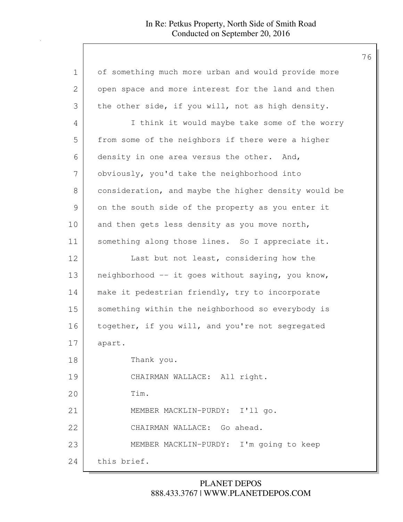| $\mathbf 1$    | of something much more urban and would provide more  |
|----------------|------------------------------------------------------|
| $\overline{2}$ | open space and more interest for the land and then   |
| 3              | the other side, if you will, not as high density.    |
| 4              | I think it would maybe take some of the worry        |
| 5              | from some of the neighbors if there were a higher    |
| 6              | density in one area versus the other. And,           |
| 7              | obviously, you'd take the neighborhood into          |
| 8              | consideration, and maybe the higher density would be |
| $\mathcal{G}$  | on the south side of the property as you enter it    |
| 10             | and then gets less density as you move north,        |
| 11             | something along those lines. So I appreciate it.     |
| 12             | Last but not least, considering how the              |
| 13             | neighborhood -- it goes without saying, you know,    |
| 14             | make it pedestrian friendly, try to incorporate      |
| 15             | something within the neighborhood so everybody is    |
| 16             | together, if you will, and you're not segregated     |
| 17             | apart.                                               |
| 18             | Thank you.                                           |
| 19             | CHAIRMAN WALLACE: All right.                         |
| 20             | Tim.                                                 |
| 21             | MEMBER MACKLIN-PURDY: I'll go.                       |
| 22             | CHAIRMAN WALLACE: Go ahead.                          |
| 23             | MEMBER MACKLIN-PURDY: I'm going to keep              |
| 24             | this brief.                                          |

# 888.433.3767 | WWW.PLANETDEPOS.COM PLANET DEPOS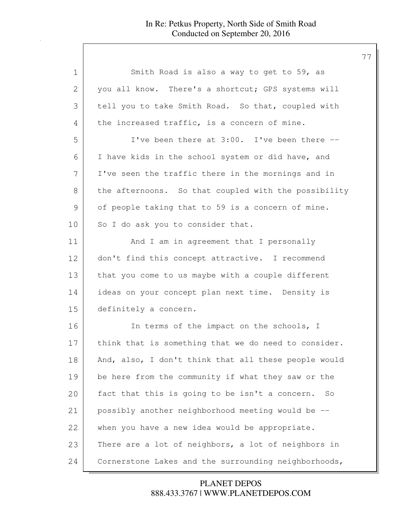| 1              | Smith Road is also a way to get to 59, as            |
|----------------|------------------------------------------------------|
| $\overline{2}$ | you all know. There's a shortcut; GPS systems will   |
| 3              | tell you to take Smith Road. So that, coupled with   |
| 4              | the increased traffic, is a concern of mine.         |
| 5              | I've been there at 3:00. I've been there --          |
| 6              | I have kids in the school system or did have, and    |
| 7              | I've seen the traffic there in the mornings and in   |
| 8              | the afternoons. So that coupled with the possibility |
| 9              | of people taking that to 59 is a concern of mine.    |
| 10             | So I do ask you to consider that.                    |
| 11             | And I am in agreement that I personally              |
| 12             | don't find this concept attractive. I recommend      |
| 13             | that you come to us maybe with a couple different    |
| 14             | ideas on your concept plan next time. Density is     |
| 15             | definitely a concern.                                |
| 16             | In terms of the impact on the schools, I             |
| 17             | think that is something that we do need to consider. |
| 18             | And, also, I don't think that all these people would |
| 19             | be here from the community if what they saw or the   |
| 20             | fact that this is going to be isn't a concern.<br>So |
| 21             | possibly another neighborhood meeting would be --    |
| 22             | when you have a new idea would be appropriate.       |
| 23             | There are a lot of neighbors, a lot of neighbors in  |
| 24             | Cornerstone Lakes and the surrounding neighborhoods, |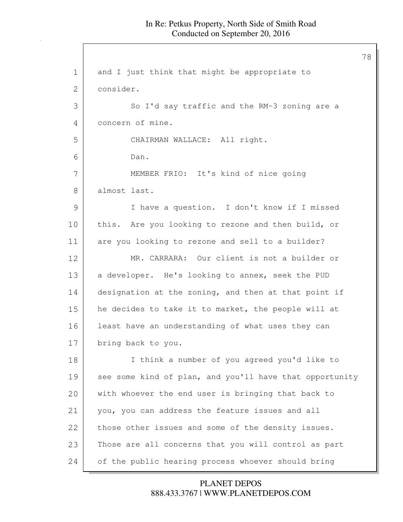1 and I just think that might be appropriate to 2 consider. 3 So I'd say traffic and the RM-3 zoning are a 4 concern of mine. 5 CHAIRMAN WALLACE: All right. 6 Dan. 7 MEMBER FRIO: It's kind of nice going 8 almost last. 9 I have a question. I don't know if I missed 10 this. Are you looking to rezone and then build, or 11 are you looking to rezone and sell to a builder? 12 MR. CARRARA: Our client is not a builder or 13 a developer. He's looking to annex, seek the PUD 14 designation at the zoning, and then at that point if 15 he decides to take it to market, the people will at 16 least have an understanding of what uses they can 17 bring back to you. 18 I think a number of you agreed you'd like to 19 see some kind of plan, and you'll have that opportunity 20 with whoever the end user is bringing that back to 21 you, you can address the feature issues and all 22 those other issues and some of the density issues. 23 Those are all concerns that you will control as part 24 of the public hearing process whoever should bring

## 888.433.3767 | WWW.PLANETDEPOS.COM PLANET DEPOS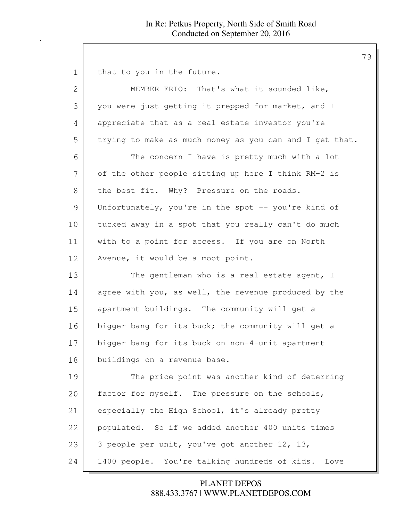1 that to you in the future. 2 MEMBER FRIO: That's what it sounded like, 3 you were just getting it prepped for market, and I 4 appreciate that as a real estate investor you're 5 trying to make as much money as you can and I get that. 6 The concern I have is pretty much with a lot 7 of the other people sitting up here I think RM-2 is 8 the best fit. Why? Pressure on the roads. 9 Unfortunately, you're in the spot -- you're kind of 10 tucked away in a spot that you really can't do much 11 with to a point for access. If you are on North 12 Avenue, it would be a moot point. 13 The gentleman who is a real estate agent, I 14 agree with you, as well, the revenue produced by the 15 apartment buildings. The community will get a 16 bigger bang for its buck; the community will get a 17 bigger bang for its buck on non-4-unit apartment 18 buildings on a revenue base. 19 The price point was another kind of deterring 20 factor for myself. The pressure on the schools, 21 especially the High School, it's already pretty 22 populated. So if we added another 400 units times 23  $\vert$  3 people per unit, you've got another 12, 13, 24 1400 people. You're talking hundreds of kids. Love

> 888.433.3767 | WWW.PLANETDEPOS.COM PLANET DEPOS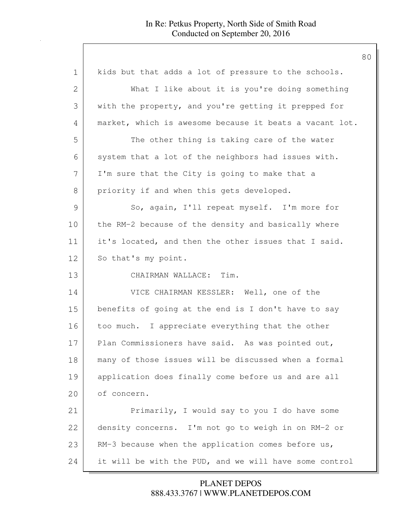| $\mathbf 1$ | kids but that adds a lot of pressure to the schools.    |
|-------------|---------------------------------------------------------|
| 2           | What I like about it is you're doing something          |
| 3           | with the property, and you're getting it prepped for    |
| 4           | market, which is awesome because it beats a vacant lot. |
| 5           | The other thing is taking care of the water             |
| 6           | system that a lot of the neighbors had issues with.     |
| 7           | I'm sure that the City is going to make that a          |
| 8           | priority if and when this gets developed.               |
| 9           | So, again, I'll repeat myself. I'm more for             |
| 10          | the RM-2 because of the density and basically where     |
| 11          | it's located, and then the other issues that I said.    |
| 12          | So that's my point.                                     |
| 13          | CHAIRMAN WALLACE: Tim.                                  |
| 14          | VICE CHAIRMAN KESSLER: Well, one of the                 |
| 15          | benefits of going at the end is I don't have to say     |
| 16          | too much. I appreciate everything that the other        |
| 17          | Plan Commissioners have said. As was pointed out,       |
| 18          | many of those issues will be discussed when a formal    |
| 19          | application does finally come before us and are all     |
| 20          | of concern.                                             |
| 21          | Primarily, I would say to you I do have some            |
| 22          | density concerns. I'm not go to weigh in on RM-2 or     |
| 23          | RM-3 because when the application comes before us,      |
| 24          | it will be with the PUD, and we will have some control  |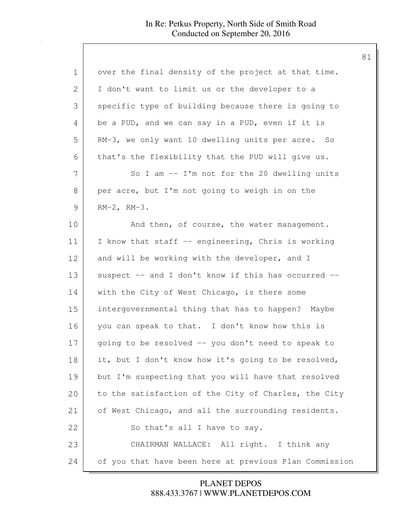| $\mathbf 1$   | over the final density of the project at that time.    |
|---------------|--------------------------------------------------------|
| 2             | I don't want to limit us or the developer to a         |
| 3             | specific type of building because there is going to    |
| 4             | be a PUD, and we can say in a PUD, even if it is       |
| 5             | RM-3, we only want 10 dwelling units per acre. So      |
| 6             | that's the flexibility that the PUD will give us.      |
| 7             | So I am $-$ I'm not for the 20 dwelling units          |
| 8             | per acre, but I'm not going to weigh in on the         |
| $\mathcal{G}$ | $RM-2$ , $RM-3$ .                                      |
| 10            | And then, of course, the water management.             |
| 11            | I know that staff -- engineering, Chris is working     |
| 12            | and will be working with the developer, and I          |
| 13            | suspect -- and I don't know if this has occurred --    |
| 14            | with the City of West Chicago, is there some           |
| 15            | intergovernmental thing that has to happen? Maybe      |
| 16            | you can speak to that. I don't know how this is        |
| 17            | going to be resolved -- you don't need to speak to     |
| 18            | it, but I don't know how it's going to be resolved,    |
| 19            | but I'm suspecting that you will have that resolved    |
| 20            | to the satisfaction of the City of Charles, the City   |
| 21            | of West Chicago, and all the surrounding residents.    |
| 22            | So that's all I have to say.                           |
| 23            | CHAIRMAN WALLACE: All right. I think any               |
| 24            | of you that have been here at previous Plan Commission |

888.433.3767 | WWW.PLANETDEPOS.COM PLANET DEPOS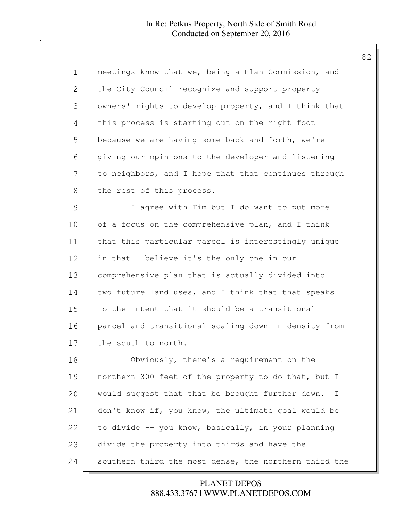| $\mathbf 1$ | meetings know that we, being a Plan Commission, and         |
|-------------|-------------------------------------------------------------|
| 2           | the City Council recognize and support property             |
| 3           | owners' rights to develop property, and I think that        |
| 4           | this process is starting out on the right foot              |
| 5           | because we are having some back and forth, we're            |
| 6           | giving our opinions to the developer and listening          |
| 7           | to neighbors, and I hope that that continues through        |
| 8           | the rest of this process.                                   |
| 9           | I agree with Tim but I do want to put more                  |
| 10          | of a focus on the comprehensive plan, and I think           |
| 11          | that this particular parcel is interestingly unique         |
| 12          | in that I believe it's the only one in our                  |
| 13          | comprehensive plan that is actually divided into            |
| 14          | two future land uses, and I think that that speaks          |
| 15          | to the intent that it should be a transitional              |
| 16          | parcel and transitional scaling down in density from        |
| 17          | the south to north.                                         |
| 18          | Obviously, there's a requirement on the                     |
| 19          | northern 300 feet of the property to do that, but I         |
| 20          | would suggest that that be brought further down.<br>$\perp$ |
| 21          | don't know if, you know, the ultimate goal would be         |
| 22          | to divide -- you know, basically, in your planning          |
| 23          | divide the property into thirds and have the                |
| 24          | southern third the most dense, the northern third the       |

888.433.3767 | WWW.PLANETDEPOS.COM PLANET DEPOS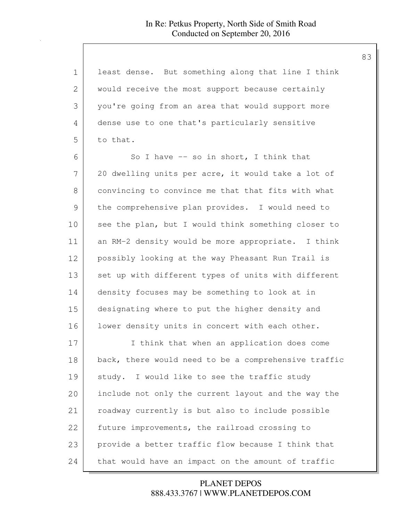| $\mathbf 1$ | least dense. But something along that line I think   |
|-------------|------------------------------------------------------|
| 2           | would receive the most support because certainly     |
| 3           | you're going from an area that would support more    |
| 4           | dense use to one that's particularly sensitive       |
| 5           | to that.                                             |
| 6           | So I have $-$ so in short, I think that              |
| 7           | 20 dwelling units per acre, it would take a lot of   |
| 8           | convincing to convince me that that fits with what   |
| 9           | the comprehensive plan provides. I would need to     |
| 10          | see the plan, but I would think something closer to  |
| 11          | an RM-2 density would be more appropriate. I think   |
| 12          | possibly looking at the way Pheasant Run Trail is    |
| 13          | set up with different types of units with different  |
| 14          | density focuses may be something to look at in       |
| 15          | designating where to put the higher density and      |
| 16          | lower density units in concert with each other.      |
| 17          | I think that when an application does come           |
| 18          | back, there would need to be a comprehensive traffic |
| 19          | study. I would like to see the traffic study         |
| 20          | include not only the current layout and the way the  |
| 21          | roadway currently is but also to include possible    |
| 22          | future improvements, the railroad crossing to        |
| 23          | provide a better traffic flow because I think that   |
| 24          | that would have an impact on the amount of traffic   |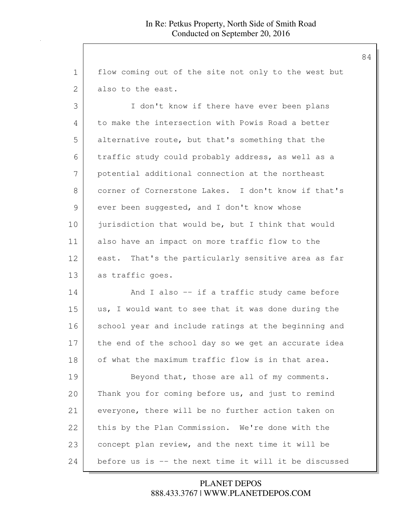| 1             | flow coming out of the site not only to the west but  |
|---------------|-------------------------------------------------------|
| $\mathbf{2}$  | also to the east.                                     |
| 3             | I don't know if there have ever been plans            |
| 4             | to make the intersection with Powis Road a better     |
| 5             | alternative route, but that's something that the      |
| 6             | traffic study could probably address, as well as a    |
| 7             | potential additional connection at the northeast      |
| 8             | corner of Cornerstone Lakes. I don't know if that's   |
| $\mathcal{G}$ | ever been suggested, and I don't know whose           |
| 10            | jurisdiction that would be, but I think that would    |
| 11            | also have an impact on more traffic flow to the       |
| 12            | east. That's the particularly sensitive area as far   |
| 13            | as traffic goes.                                      |
| 14            | And I also -- if a traffic study came before          |
| 15            | us, I would want to see that it was done during the   |
| 16            | school year and include ratings at the beginning and  |
| 17            | the end of the school day so we get an accurate idea  |
| 18            | of what the maximum traffic flow is in that area.     |
| 19            | Beyond that, those are all of my comments.            |
| 20            | Thank you for coming before us, and just to remind    |
| 21            | everyone, there will be no further action taken on    |
| 22            | this by the Plan Commission. We're done with the      |
| 23            | concept plan review, and the next time it will be     |
| 24            | before us is -- the next time it will it be discussed |

## 888.433.3767 | WWW.PLANETDEPOS.COM PLANET DEPOS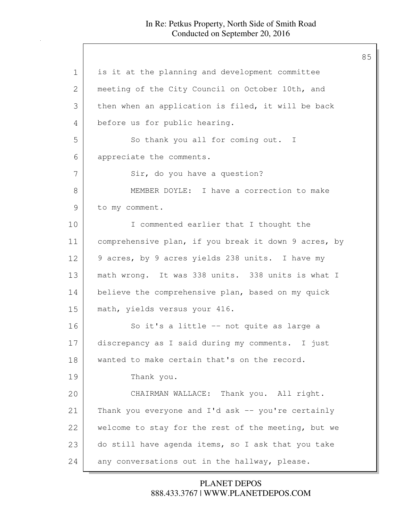| $\mathbf 1$   | is it at the planning and development committee      |
|---------------|------------------------------------------------------|
| 2             | meeting of the City Council on October 10th, and     |
| 3             | then when an application is filed, it will be back   |
| 4             | before us for public hearing.                        |
| 5             | So thank you all for coming out. I                   |
| 6             | appreciate the comments.                             |
| 7             | Sir, do you have a question?                         |
| 8             | MEMBER DOYLE: I have a correction to make            |
| $\mathcal{G}$ | to my comment.                                       |
| 10            | I commented earlier that I thought the               |
| 11            | comprehensive plan, if you break it down 9 acres, by |
| 12            | 9 acres, by 9 acres yields 238 units. I have my      |
| 13            | math wrong. It was 338 units. 338 units is what I    |
| 14            | believe the comprehensive plan, based on my quick    |
| 15            | math, yields versus your 416.                        |
| 16            | So it's a little -- not quite as large a             |
| 17            | discrepancy as I said during my comments. I just     |
| 18            | wanted to make certain that's on the record.         |
| 19            | Thank you.                                           |
| 20            | CHAIRMAN WALLACE: Thank you. All right.              |
| 21            | Thank you everyone and I'd ask -- you're certainly   |
| 22            | welcome to stay for the rest of the meeting, but we  |
| 23            | do still have agenda items, so I ask that you take   |
| 24            | any conversations out in the hallway, please.        |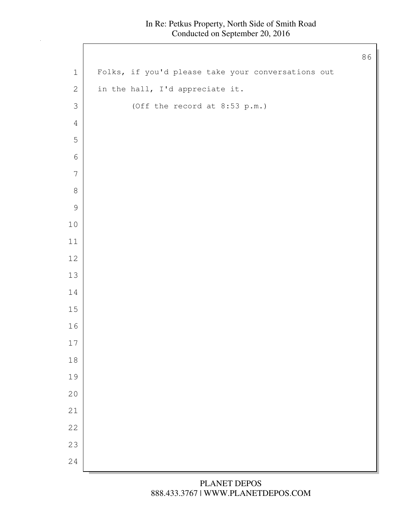$\Gamma$ 

|                  |                                                    | 86 |
|------------------|----------------------------------------------------|----|
| $\mathbf 1$      | Folks, if you'd please take your conversations out |    |
| $\sqrt{2}$       | in the hall, I'd appreciate it.                    |    |
| $\mathfrak{Z}$   | (Off the record at 8:53 p.m.)                      |    |
| $\overline{4}$   |                                                    |    |
| $\mathsf S$      |                                                    |    |
| $\sqrt{6}$       |                                                    |    |
| $\boldsymbol{7}$ |                                                    |    |
| $\,8\,$          |                                                    |    |
| $\mathcal{G}$    |                                                    |    |
| $1\,0$           |                                                    |    |
| $11$             |                                                    |    |
| $12\,$           |                                                    |    |
| $13\,$           |                                                    |    |
| 14               |                                                    |    |
| $15\,$           |                                                    |    |
| 16               |                                                    |    |
| $17\,$           |                                                    |    |
| $18\,$           |                                                    |    |
| 19               |                                                    |    |
| 20               |                                                    |    |
| 21               |                                                    |    |
| 22               |                                                    |    |
| 23               |                                                    |    |
| 24               |                                                    |    |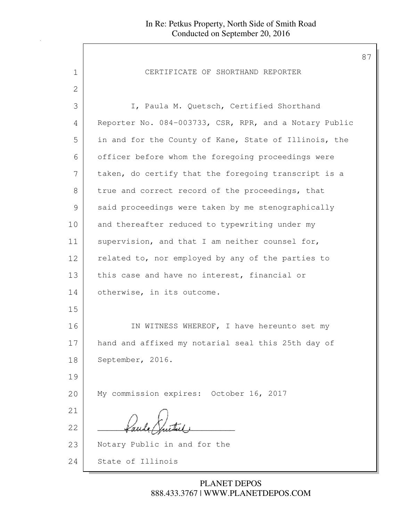| 1             | CERTIFICATE OF SHORTHAND REPORTER                      |
|---------------|--------------------------------------------------------|
| 2             |                                                        |
| 3             | I, Paula M. Quetsch, Certified Shorthand               |
| 4             | Reporter No. 084-003733, CSR, RPR, and a Notary Public |
| 5             | in and for the County of Kane, State of Illinois, the  |
| 6             | officer before whom the foregoing proceedings were     |
| 7             | taken, do certify that the foregoing transcript is a   |
| $8\,$         | true and correct record of the proceedings, that       |
| $\mathcal{G}$ | said proceedings were taken by me stenographically     |
| 10            | and thereafter reduced to typewriting under my         |
| 11            | supervision, and that I am neither counsel for,        |
| 12            | related to, nor employed by any of the parties to      |
| 13            | this case and have no interest, financial or           |
| 14            | otherwise, in its outcome.                             |
| 15            |                                                        |
| 16            | IN WITNESS WHEREOF, I have hereunto set my             |
| 17            | hand and affixed my notarial seal this 25th day of     |
| 18            | September, 2016.                                       |
| 19            |                                                        |
| 20            | My commission expires: October 16, 2017                |
| 21            |                                                        |
| 22            |                                                        |
| 23            | Notary Public in and for the                           |
| 24            | State of Illinois                                      |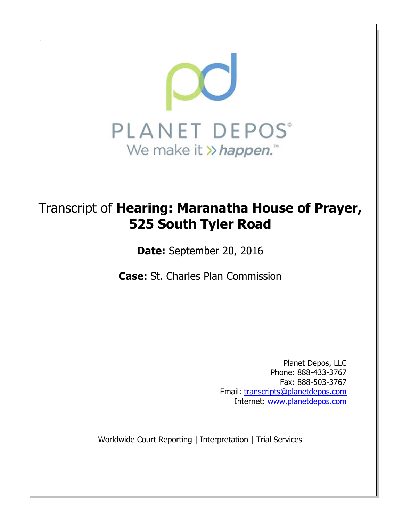

# Transcript of **Hearing: Maranatha House of Prayer, 525 South Tyler Road**

**Date:** September 20, 2016

**Case:** St. Charles Plan Commission

Planet Depos, LLC Phone: 888-433-3767 Fax: 888-503-3767 Email: transcripts@planetdepos.com Internet: www.planetdepos.com

Worldwide Court Reporting | Interpretation | Trial Services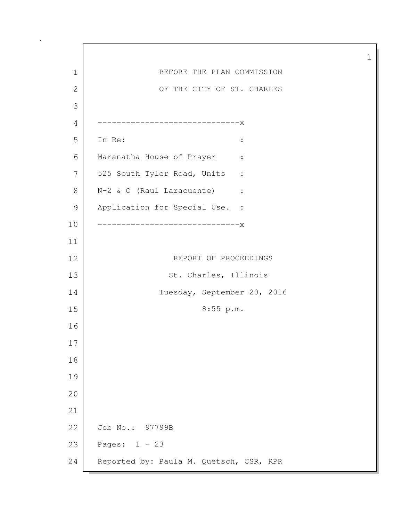1 1 BEFORE THE PLAN COMMISSION 2 OF THE CITY OF ST. CHARLES 3 4 ------------------------------x 5 In Re: : 6 Maranatha House of Prayer : 7 525 South Tyler Road, Units : 8 | N-2 & O (Raul Laracuente) : 9 Application for Special Use. : 10 ------------------------------x 11 12 REPORT OF PROCEEDINGS 13 St. Charles, Illinois 14 Tuesday, September 20, 2016 15 8:55 p.m. 16 17 18 19 20 21 22 Job No.: 97799B 23 Pages: 1 - 23 24 Reported by: Paula M. Quetsch, CSR, RPR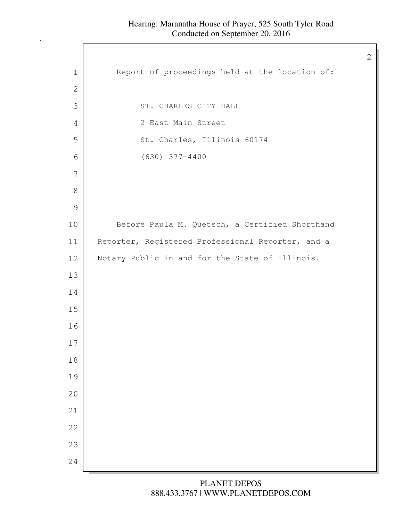$\mathbf{I}$ 

| $\mathbf 1$   | Report of proceedings held at the location of:    |
|---------------|---------------------------------------------------|
| $\mathbf{2}$  |                                                   |
| 3             | ST. CHARLES CITY HALL                             |
| 4             | 2 East Main Street                                |
| 5             | St. Charles, Illinois 60174                       |
| $\sqrt{6}$    | $(630)$ 377-4400                                  |
| 7             |                                                   |
| $\,8\,$       |                                                   |
| $\mathcal{G}$ |                                                   |
| 10            | Before Paula M. Quetsch, a Certified Shorthand    |
| 11            | Reporter, Registered Professional Reporter, and a |
| 12            | Notary Public in and for the State of Illinois.   |
| 13            |                                                   |
| 14            |                                                   |
| 15            |                                                   |
| 16            |                                                   |
| 17            |                                                   |
| $18\,$        |                                                   |
| 19            |                                                   |
| 20            |                                                   |
| 21            |                                                   |
| 22            |                                                   |
| 23            |                                                   |
| 24            |                                                   |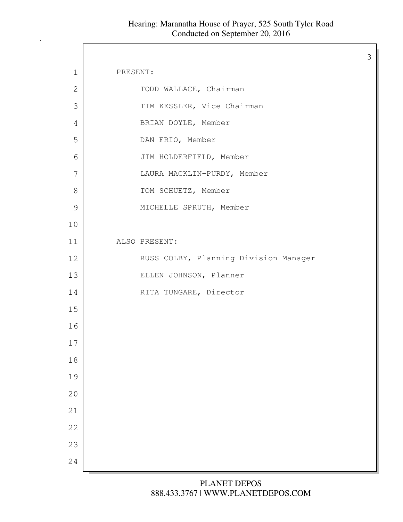$\Gamma$ 

3

| $\mathbf 1$   | PRESENT:                              |
|---------------|---------------------------------------|
| $\mathbf{2}$  | TODD WALLACE, Chairman                |
| 3             | TIM KESSLER, Vice Chairman            |
| 4             | BRIAN DOYLE, Member                   |
| 5             | DAN FRIO, Member                      |
| 6             | JIM HOLDERFIELD, Member               |
| 7             | LAURA MACKLIN-PURDY, Member           |
| $8\,$         | TOM SCHUETZ, Member                   |
| $\mathcal{G}$ | MICHELLE SPRUTH, Member               |
| 10            |                                       |
| 11            | ALSO PRESENT:                         |
| 12            | RUSS COLBY, Planning Division Manager |
| 13            | ELLEN JOHNSON, Planner                |
| 14            | RITA TUNGARE, Director                |
| 15            |                                       |
| 16            |                                       |
| 17            |                                       |
| 18            |                                       |
| 19            |                                       |
| 20            |                                       |
| 21            |                                       |
| 22            |                                       |
| 23            |                                       |
| 24            |                                       |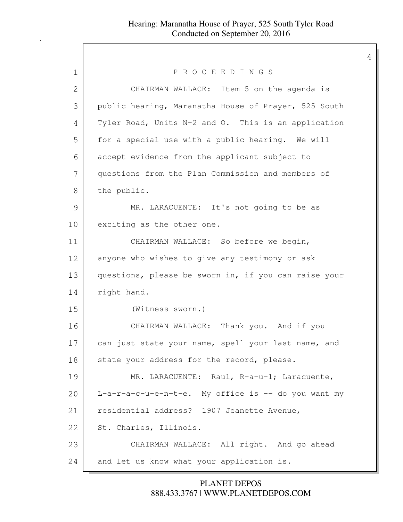| PROCEEDINGS                                          |
|------------------------------------------------------|
|                                                      |
| CHAIRMAN WALLACE: Item 5 on the agenda is            |
| public hearing, Maranatha House of Prayer, 525 South |
| Tyler Road, Units N-2 and O. This is an application  |
| for a special use with a public hearing. We will     |
| accept evidence from the applicant subject to        |
| questions from the Plan Commission and members of    |
| the public.                                          |
| MR. LARACUENTE: It's not going to be as              |
| exciting as the other one.                           |
| CHAIRMAN WALLACE: So before we begin,                |
| anyone who wishes to give any testimony or ask       |
| questions, please be sworn in, if you can raise your |
| right hand.                                          |
| (Witness sworn.)                                     |
| CHAIRMAN WALLACE: Thank you. And if you              |
| can just state your name, spell your last name, and  |
| state your address for the record, please.           |
| MR. LARACUENTE: Raul, R-a-u-l; Laracuente,           |
| L-a-r-a-c-u-e-n-t-e. My office is -- do you want my  |
| residential address? 1907 Jeanette Avenue,           |
| St. Charles, Illinois.                               |
|                                                      |
| CHAIRMAN WALLACE: All right. And go ahead            |
|                                                      |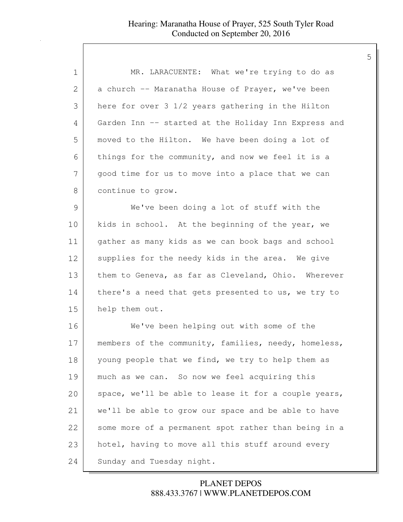| 1              | MR. LARACUENTE: What we're trying to do as           |
|----------------|------------------------------------------------------|
| $\overline{2}$ | a church -- Maranatha House of Prayer, we've been    |
| 3              | here for over 3 1/2 years gathering in the Hilton    |
| 4              | Garden Inn -- started at the Holiday Inn Express and |
| 5              | moved to the Hilton. We have been doing a lot of     |
| 6              | things for the community, and now we feel it is a    |
| 7              | good time for us to move into a place that we can    |
| 8              | continue to grow.                                    |
| $\mathcal{G}$  | We've been doing a lot of stuff with the             |
| 10             | kids in school. At the beginning of the year, we     |
| 11             | gather as many kids as we can book bags and school   |
| 12             | supplies for the needy kids in the area. We give     |
| 13             | them to Geneva, as far as Cleveland, Ohio. Wherever  |
| 14             | there's a need that gets presented to us, we try to  |
| 15             | help them out.                                       |
| 16             | We've been helping out with some of the              |
| 17             | members of the community, families, needy, homeless, |
| 18             | young people that we find, we try to help them as    |
| 19             | much as we can. So now we feel acquiring this        |
| 20             | space, we'll be able to lease it for a couple years, |
| 21             | we'll be able to grow our space and be able to have  |
| 22             | some more of a permanent spot rather than being in a |
| 23             | hotel, having to move all this stuff around every    |
| 24             | Sunday and Tuesday night.                            |

888.433.3767 | WWW.PLANETDEPOS.COM PLANET DEPOS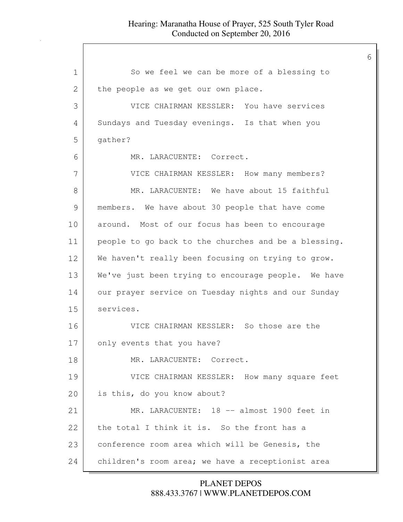| $\mathbf 1$    | So we feel we can be more of a blessing to           |
|----------------|------------------------------------------------------|
| $\overline{2}$ | the people as we get our own place.                  |
| 3              | VICE CHAIRMAN KESSLER: You have services             |
| 4              | Sundays and Tuesday evenings. Is that when you       |
| 5              | gather?                                              |
| 6              | MR. LARACUENTE: Correct.                             |
| 7              | VICE CHAIRMAN KESSLER: How many members?             |
| 8              | MR. LARACUENTE: We have about 15 faithful            |
| 9              | members. We have about 30 people that have come      |
| 10             | around. Most of our focus has been to encourage      |
| 11             | people to go back to the churches and be a blessing. |
| 12             | We haven't really been focusing on trying to grow.   |
| 13             | We've just been trying to encourage people. We have  |
| 14             | our prayer service on Tuesday nights and our Sunday  |
| 15             | services.                                            |
| 16             | VICE CHAIRMAN KESSLER: So those are the              |
| 17             | only events that you have?                           |
| 18             | MR. LARACUENTE: Correct.                             |
| 19             | VICE CHAIRMAN KESSLER: How many square feet          |
| 20             | is this, do you know about?                          |
| 21             | MR. LARACUENTE: 18 -- almost 1900 feet in            |
| 22             | the total I think it is. So the front has a          |
| 23             | conference room area which will be Genesis, the      |
| 24             | children's room area; we have a receptionist area    |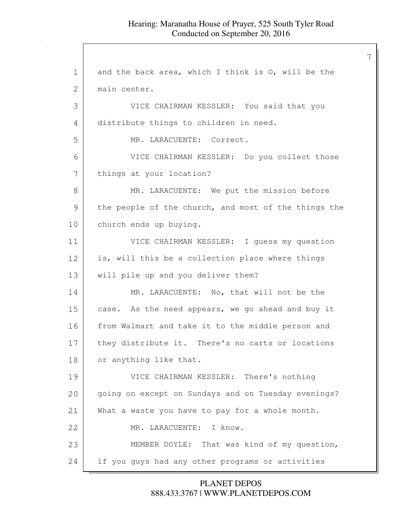1 and the back area, which I think is 0, will be the 2 | main center. 3 VICE CHAIRMAN KESSLER: You said that you 4 distribute things to children in need. 5 MR. LARACUENTE: Correct. 6 VICE CHAIRMAN KESSLER: Do you collect those 7 | things at your location? 8 MR. LARACUENTE: We put the mission before 9 the people of the church, and most of the things the 10 church ends up buying. 11 VICE CHAIRMAN KESSLER: I guess my question 12 is, will this be a collection place where things 13 will pile up and you deliver them? 14 MR. LARACUENTE: No, that will not be the 15 case. As the need appears, we go ahead and buy it 16 from Walmart and take it to the middle person and 17 they distribute it. There's no carts or locations 18 or anything like that. 19 VICE CHAIRMAN KESSLER: There's nothing 20 going on except on Sundays and on Tuesday evenings? 21 What a waste you have to pay for a whole month. 22 MR. LARACUENTE: I know. 23 MEMBER DOYLE: That was kind of my question, 24 if you guys had any other programs or activities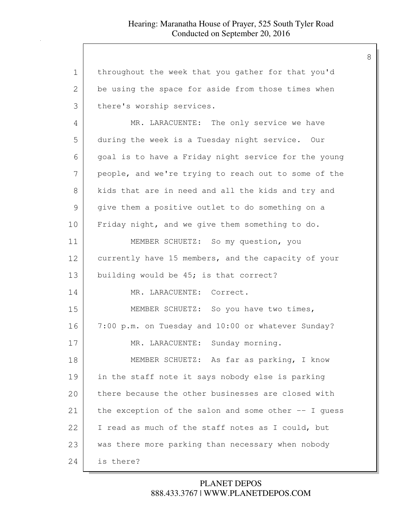| 1             | throughout the week that you gather for that you'd      |
|---------------|---------------------------------------------------------|
| $\mathbf{2}$  | be using the space for aside from those times when      |
| 3             | there's worship services.                               |
| 4             | MR. LARACUENTE: The only service we have                |
| 5             | during the week is a Tuesday night service. Our         |
| 6             | goal is to have a Friday night service for the young    |
| 7             | people, and we're trying to reach out to some of the    |
| 8             | kids that are in need and all the kids and try and      |
| $\mathcal{G}$ | give them a positive outlet to do something on a        |
| 10            | Friday night, and we give them something to do.         |
| 11            | MEMBER SCHUETZ: So my question, you                     |
| 12            | currently have 15 members, and the capacity of your     |
| 13            | building would be 45; is that correct?                  |
| 14            | MR. LARACUENTE: Correct.                                |
| 15            | MEMBER SCHUETZ: So you have two times,                  |
| 16            | 7:00 p.m. on Tuesday and 10:00 or whatever Sunday?      |
| 17            | MR. LARACUENTE: Sunday morning.                         |
| 18            | MEMBER SCHUETZ: As far as parking, I know               |
| 19            | in the staff note it says nobody else is parking        |
| 20            | there because the other businesses are closed with      |
| 21            | the exception of the salon and some other $-$ - I guess |
| 22            | I read as much of the staff notes as I could, but       |
| 23            | was there more parking than necessary when nobody       |
| 24            | is there?                                               |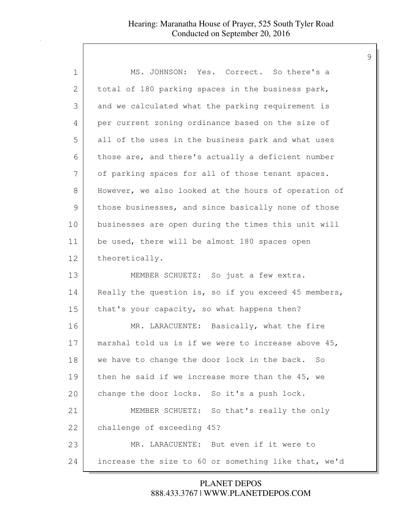| 1             | MS. JOHNSON: Yes. Correct. So there's a              |
|---------------|------------------------------------------------------|
| $\mathbf{2}$  | total of 180 parking spaces in the business park,    |
| 3             | and we calculated what the parking requirement is    |
| 4             | per current zoning ordinance based on the size of    |
| 5             | all of the uses in the business park and what uses   |
| 6             | those are, and there's actually a deficient number   |
| 7             | of parking spaces for all of those tenant spaces.    |
| 8             | However, we also looked at the hours of operation of |
| $\mathcal{G}$ | those businesses, and since basically none of those  |
| 10            | businesses are open during the times this unit will  |
| 11            | be used, there will be almost 180 spaces open        |
| 12            | theoretically.                                       |
| 13            | MEMBER SCHUETZ: So just a few extra.                 |
| 14            | Really the question is, so if you exceed 45 members, |
| 15            | that's your capacity, so what happens then?          |
| 16            | MR. LARACUENTE: Basically, what the fire             |
| 17            | marshal told us is if we were to increase above 45,  |
| 18            | we have to change the door lock in the back.<br>So   |
| 19            | then he said if we increase more than the 45, we     |
| 20            | change the door locks. So it's a push lock.          |
| 21            | MEMBER SCHUETZ: So that's really the only            |
| 22            | challenge of exceeding 45?                           |
| 23            | MR. LARACUENTE: But even if it were to               |
| 24            | increase the size to 60 or something like that, we'd |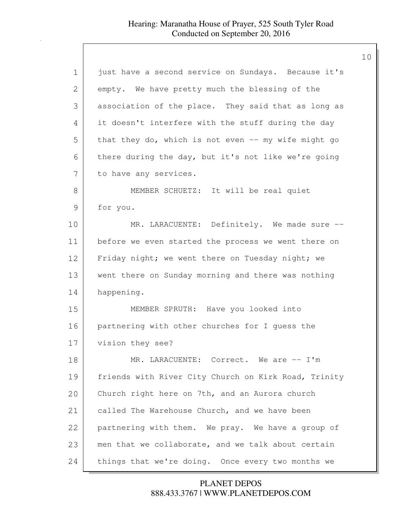| 1             | just have a second service on Sundays. Because it's  |
|---------------|------------------------------------------------------|
| 2             | empty. We have pretty much the blessing of the       |
| 3             | association of the place. They said that as long as  |
| 4             | it doesn't interfere with the stuff during the day   |
| 5             | that they do, which is not even -- my wife might go  |
| 6             | there during the day, but it's not like we're going  |
| 7             | to have any services.                                |
| 8             | MEMBER SCHUETZ: It will be real quiet                |
| $\mathcal{G}$ | for you.                                             |
| 10            | MR. LARACUENTE: Definitely. We made sure --          |
| 11            | before we even started the process we went there on  |
| 12            | Friday night; we went there on Tuesday night; we     |
| 13            | went there on Sunday morning and there was nothing   |
| 14            | happening.                                           |
| 15            | MEMBER SPRUTH: Have you looked into                  |
| 16            | partnering with other churches for I guess the       |
| 17            | vision they see?                                     |
| 18            | MR. LARACUENTE: Correct. We are -- I'm               |
| 19            | friends with River City Church on Kirk Road, Trinity |
| 20            | Church right here on 7th, and an Aurora church       |
| 21            | called The Warehouse Church, and we have been        |
| 22            | partnering with them. We pray. We have a group of    |
| 23            | men that we collaborate, and we talk about certain   |
| 24            | things that we're doing. Once every two months we    |

888.433.3767 | WWW.PLANETDEPOS.COM PLANET DEPOS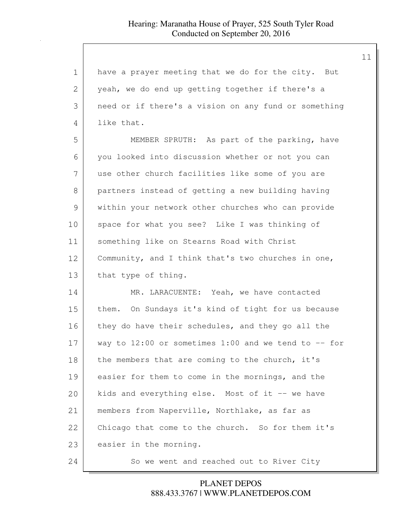| 1  | have a prayer meeting that we do for the city. But      |
|----|---------------------------------------------------------|
| 2  | yeah, we do end up getting together if there's a        |
| 3  | need or if there's a vision on any fund or something    |
| 4  | like that.                                              |
| 5  | MEMBER SPRUTH: As part of the parking, have             |
| 6  | you looked into discussion whether or not you can       |
| 7  | use other church facilities like some of you are        |
| 8  | partners instead of getting a new building having       |
| 9  | within your network other churches who can provide      |
| 10 | space for what you see? Like I was thinking of          |
| 11 | something like on Stearns Road with Christ              |
| 12 | Community, and I think that's two churches in one,      |
| 13 | that type of thing.                                     |
| 14 | MR. LARACUENTE: Yeah, we have contacted                 |
| 15 | them. On Sundays it's kind of tight for us because      |
| 16 | they do have their schedules, and they go all the       |
| 17 | way to $12:00$ or sometimes 1:00 and we tend to $-$ for |
| 18 | the members that are coming to the church, it's         |
| 19 | easier for them to come in the mornings, and the        |
| 20 | kids and everything else. Most of it -- we have         |
| 21 | members from Naperville, Northlake, as far as           |
| 22 | Chicago that come to the church. So for them it's       |
| 23 | easier in the morning.                                  |
| 24 | So we went and reached out to River City                |

888.433.3767 | WWW.PLANETDEPOS.COM PLANET DEPOS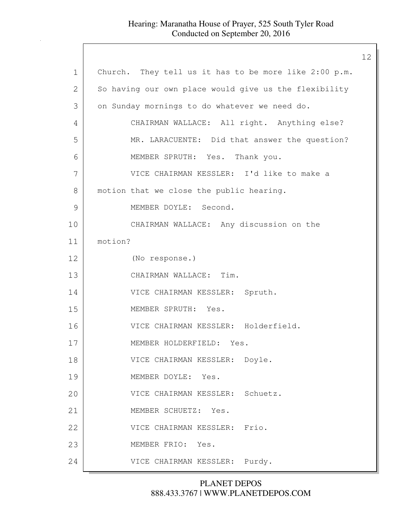|             |                                                       | 12 |
|-------------|-------------------------------------------------------|----|
| $\mathbf 1$ | Church. They tell us it has to be more like 2:00 p.m. |    |
| 2           | So having our own place would give us the flexibility |    |
| 3           | on Sunday mornings to do whatever we need do.         |    |
| 4           | CHAIRMAN WALLACE: All right. Anything else?           |    |
| 5           | MR. LARACUENTE: Did that answer the question?         |    |
| 6           | MEMBER SPRUTH: Yes. Thank you.                        |    |
| 7           | VICE CHAIRMAN KESSLER: I'd like to make a             |    |
| 8           | motion that we close the public hearing.              |    |
| 9           | MEMBER DOYLE: Second.                                 |    |
| 10          | CHAIRMAN WALLACE: Any discussion on the               |    |
| 11          | motion?                                               |    |
| 12          | (No response.)                                        |    |
| 13          | CHAIRMAN WALLACE: Tim.                                |    |
| 14          | VICE CHAIRMAN KESSLER: Spruth.                        |    |
| 15          | MEMBER SPRUTH: Yes.                                   |    |
| 16          | VICE CHAIRMAN KESSLER: Holderfield.                   |    |
| 17          | MEMBER HOLDERFIELD: Yes.                              |    |
| 18          | VICE CHAIRMAN KESSLER: Doyle.                         |    |
| 19          | MEMBER DOYLE: Yes.                                    |    |
| 20          | VICE CHAIRMAN KESSLER: Schuetz.                       |    |
| 21          | MEMBER SCHUETZ: Yes.                                  |    |
| 22          | VICE CHAIRMAN KESSLER: Frio.                          |    |
| 23          | MEMBER FRIO: Yes.                                     |    |
| 24          | VICE CHAIRMAN KESSLER: Purdy.                         |    |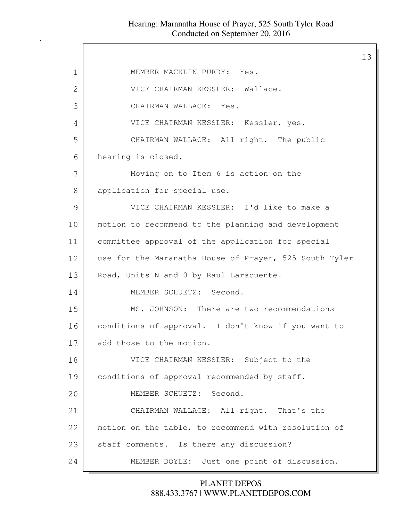$\mathsf{I}$ 

|               |                                                        | 13 |
|---------------|--------------------------------------------------------|----|
| $\mathbf 1$   | MEMBER MACKLIN-PURDY: Yes.                             |    |
| $\mathbf{2}$  | VICE CHAIRMAN KESSLER: Wallace.                        |    |
| 3             | CHAIRMAN WALLACE: Yes.                                 |    |
| 4             | VICE CHAIRMAN KESSLER: Kessler, yes.                   |    |
| 5             | CHAIRMAN WALLACE: All right. The public                |    |
| 6             | hearing is closed.                                     |    |
| 7             | Moving on to Item 6 is action on the                   |    |
| 8             | application for special use.                           |    |
| $\mathcal{G}$ | VICE CHAIRMAN KESSLER: I'd like to make a              |    |
| 10            | motion to recommend to the planning and development    |    |
| 11            | committee approval of the application for special      |    |
| 12            | use for the Maranatha House of Prayer, 525 South Tyler |    |
| 13            | Road, Units N and 0 by Raul Laracuente.                |    |
| 14            | MEMBER SCHUETZ: Second.                                |    |
| 15            | MS. JOHNSON: There are two recommendations             |    |
| 16            | conditions of approval. I don't know if you want to    |    |
| 17            | add those to the motion.                               |    |
| 18            | VICE CHAIRMAN KESSLER: Subject to the                  |    |
| 19            | conditions of approval recommended by staff.           |    |
| 20            | MEMBER SCHUETZ: Second.                                |    |
| 21            | CHAIRMAN WALLACE: All right. That's the                |    |
| 22            | motion on the table, to recommend with resolution of   |    |
| 23            | staff comments. Is there any discussion?               |    |
| 24            | MEMBER DOYLE: Just one point of discussion.            |    |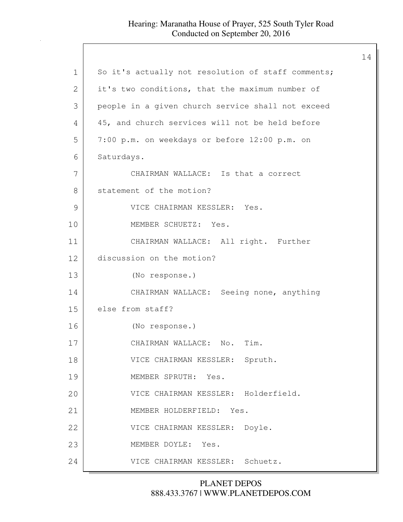|               |                                                    | 14 |
|---------------|----------------------------------------------------|----|
| $\mathbf{1}$  | So it's actually not resolution of staff comments; |    |
| $\mathbf{2}$  | it's two conditions, that the maximum number of    |    |
| 3             | people in a given church service shall not exceed  |    |
| 4             | 45, and church services will not be held before    |    |
| 5             | 7:00 p.m. on weekdays or before 12:00 p.m. on      |    |
| 6             | Saturdays.                                         |    |
| 7             | CHAIRMAN WALLACE: Is that a correct                |    |
| 8             | statement of the motion?                           |    |
| $\mathcal{G}$ | VICE CHAIRMAN KESSLER: Yes.                        |    |
| 10            | MEMBER SCHUETZ: Yes.                               |    |
| 11            | CHAIRMAN WALLACE: All right. Further               |    |
| 12            | discussion on the motion?                          |    |
| 13            | (No response.)                                     |    |
| 14            | CHAIRMAN WALLACE: Seeing none, anything            |    |
| 15            | else from staff?                                   |    |
| 16            | (No response.)                                     |    |
| 17            | CHAIRMAN WALLACE: No.<br>Tim.                      |    |
| 18            | VICE CHAIRMAN KESSLER: Spruth.                     |    |
| 19            | MEMBER SPRUTH: Yes.                                |    |
| 20            | VICE CHAIRMAN KESSLER: Holderfield.                |    |
| 21            | MEMBER HOLDERFIELD: Yes.                           |    |
| 22            | VICE CHAIRMAN KESSLER: Doyle.                      |    |
| 23            | MEMBER DOYLE: Yes.                                 |    |
| 24            | VICE CHAIRMAN KESSLER: Schuetz.                    |    |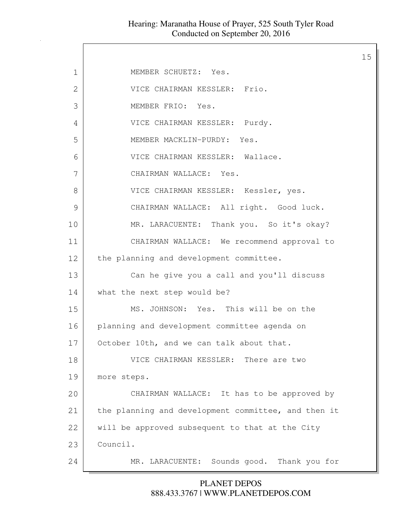$\mathsf{l}$ 

| $\mathbf 1$  | MEMBER SCHUETZ: Yes.                                |
|--------------|-----------------------------------------------------|
| $\mathbf{2}$ | VICE CHAIRMAN KESSLER: Frio.                        |
| 3            | MEMBER FRIO: Yes.                                   |
| 4            | VICE CHAIRMAN KESSLER: Purdy.                       |
| 5            | MEMBER MACKLIN-PURDY: Yes.                          |
| 6            | VICE CHAIRMAN KESSLER: Wallace.                     |
| 7            | CHAIRMAN WALLACE: Yes.                              |
| 8            | VICE CHAIRMAN KESSLER: Kessler, yes.                |
| 9            | CHAIRMAN WALLACE: All right. Good luck.             |
| 10           | MR. LARACUENTE: Thank you. So it's okay?            |
| 11           | CHAIRMAN WALLACE: We recommend approval to          |
| 12           | the planning and development committee.             |
| 13           | Can he give you a call and you'll discuss           |
| 14           | what the next step would be?                        |
| 15           | MS. JOHNSON: Yes. This will be on the               |
| 16           | planning and development committee agenda on        |
| 17           | October 10th, and we can talk about that.           |
| 18           | VICE CHAIRMAN KESSLER: There are two                |
| 19           | more steps.                                         |
| 20           | CHAIRMAN WALLACE: It has to be approved by          |
| 21           | the planning and development committee, and then it |
| 22           | will be approved subsequent to that at the City     |
| 23           | Council.                                            |
| 24           | MR. LARACUENTE: Sounds good. Thank you for          |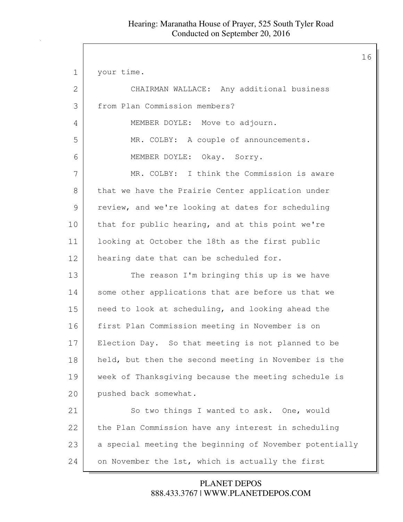| $\mathbf 1$   | your time.                                              |
|---------------|---------------------------------------------------------|
| 2             | CHAIRMAN WALLACE: Any additional business               |
| 3             | from Plan Commission members?                           |
| 4             | MEMBER DOYLE: Move to adjourn.                          |
| 5             | MR. COLBY: A couple of announcements.                   |
| 6             | MEMBER DOYLE: Okay. Sorry.                              |
| 7             | MR. COLBY: I think the Commission is aware              |
| 8             | that we have the Prairie Center application under       |
| $\mathcal{G}$ | review, and we're looking at dates for scheduling       |
| 10            | that for public hearing, and at this point we're        |
| 11            | looking at October the 18th as the first public         |
| 12            | hearing date that can be scheduled for.                 |
| 13            | The reason I'm bringing this up is we have              |
| 14            | some other applications that are before us that we      |
| 15            | need to look at scheduling, and looking ahead the       |
| 16            | first Plan Commission meeting in November is on         |
| 17            | Election Day. So that meeting is not planned to be      |
| 18            | held, but then the second meeting in November is the    |
| 19            | week of Thanksgiving because the meeting schedule is    |
| 20            | pushed back somewhat.                                   |
| 21            | So two things I wanted to ask. One, would               |
| 22            | the Plan Commission have any interest in scheduling     |
| 23            | a special meeting the beginning of November potentially |
| 24            | on November the 1st, which is actually the first        |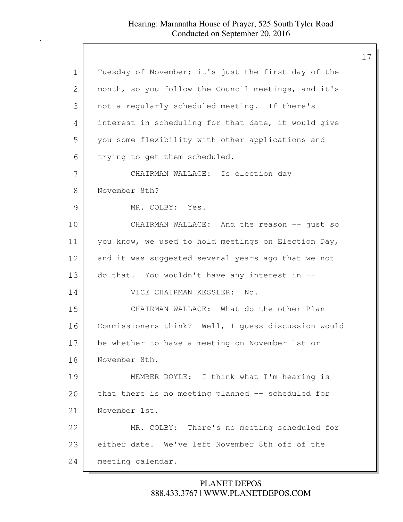### Hearing: Maranatha House of Prayer, 525 South Tyler Road Conducted on September 20, 2016

| 1             | Tuesday of November; it's just the first day of the |
|---------------|-----------------------------------------------------|
| 2             | month, so you follow the Council meetings, and it's |
| 3             | not a regularly scheduled meeting. If there's       |
| 4             | interest in scheduling for that date, it would give |
| 5             | you some flexibility with other applications and    |
| 6             | trying to get them scheduled.                       |
| 7             | CHAIRMAN WALLACE: Is election day                   |
| 8             | November 8th?                                       |
| $\mathcal{G}$ | MR. COLBY: Yes.                                     |
| 10            | CHAIRMAN WALLACE: And the reason -- just so         |
| 11            | you know, we used to hold meetings on Election Day, |
| 12            | and it was suggested several years ago that we not  |
| 13            | do that. You wouldn't have any interest in --       |
| 14            | VICE CHAIRMAN KESSLER: No.                          |
| 15            | CHAIRMAN WALLACE: What do the other Plan            |
| 16            | Commissioners think? Well, I guess discussion would |
| 17            | be whether to have a meeting on November 1st or     |
| 18            | November 8th.                                       |
| 19            | MEMBER DOYLE: I think what I'm hearing is           |
| 20            | that there is no meeting planned -- scheduled for   |
| 21            | November 1st.                                       |
| 22            | MR. COLBY: There's no meeting scheduled for         |
| 23            | either date. We've left November 8th off of the     |
| 24            | meeting calendar.                                   |

888.433.3767 | WWW.PLANETDEPOS.COM PLANET DEPOS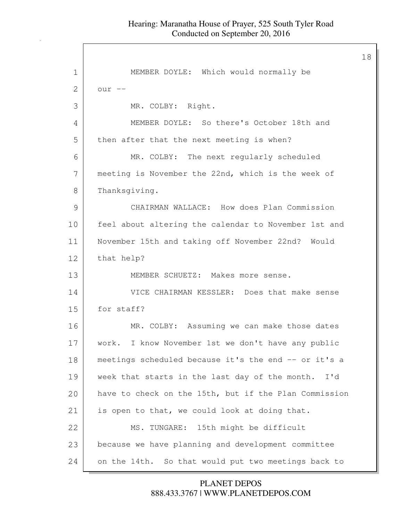| $\mathbf 1$ | MEMBER DOYLE: Which would normally be                  |
|-------------|--------------------------------------------------------|
| 2           | $our --$                                               |
| 3           | MR. COLBY: Right.                                      |
| 4           | MEMBER DOYLE: So there's October 18th and              |
| 5           | then after that the next meeting is when?              |
| 6           | MR. COLBY: The next regularly scheduled                |
| 7           | meeting is November the 22nd, which is the week of     |
| 8           | Thanksgiving.                                          |
| 9           | CHAIRMAN WALLACE: How does Plan Commission             |
| 10          | feel about altering the calendar to November 1st and   |
| 11          | November 15th and taking off November 22nd? Would      |
| 12          | that help?                                             |
| 13          | MEMBER SCHUETZ: Makes more sense.                      |
| 14          | VICE CHAIRMAN KESSLER: Does that make sense            |
| 15          | for staff?                                             |
| 16          | MR. COLBY: Assuming we can make those dates            |
| 17          | work. I know November 1st we don't have any public     |
| 18          | meetings scheduled because it's the end -- or it's a   |
| 19          | week that starts in the last day of the month. I'd     |
| 20          | have to check on the 15th, but if the Plan Commission  |
| 21          | is open to that, we could look at doing that.          |
| 22          | MS. TUNGARE: 15th might be difficult                   |
| 23          | because we have planning and development committee     |
| 24          | So that would put two meetings back to<br>on the 14th. |

888.433.3767 | WWW.PLANETDEPOS.COM PLANET DEPOS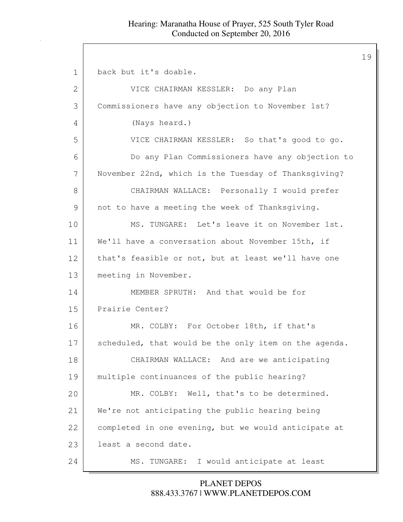#### Hearing: Maranatha House of Prayer, 525 South Tyler Road Conducted on September 20, 2016

1 back but it's doable. 2 VICE CHAIRMAN KESSLER: Do any Plan 3 Commissioners have any objection to November 1st? 4 (Nays heard.) 5 VICE CHAIRMAN KESSLER: So that's good to go. 6 Do any Plan Commissioners have any objection to 7 November 22nd, which is the Tuesday of Thanksgiving? 8 CHAIRMAN WALLACE: Personally I would prefer 9 not to have a meeting the week of Thanksqiving. 10 | MS. TUNGARE: Let's leave it on November 1st. 11 We'll have a conversation about November 15th, if 12 that's feasible or not, but at least we'll have one 13 meeting in November. 14 MEMBER SPRUTH: And that would be for 15 Prairie Center? 16 MR. COLBY: For October 18th, if that's 17 scheduled, that would be the only item on the agenda. 18 CHAIRMAN WALLACE: And are we anticipating 19 multiple continuances of the public hearing? 20 MR. COLBY: Well, that's to be determined. 21 We're not anticipating the public hearing being 22 completed in one evening, but we would anticipate at 23 least a second date. 24 MS. TUNGARE: I would anticipate at least

> 888.433.3767 | WWW.PLANETDEPOS.COM PLANET DEPOS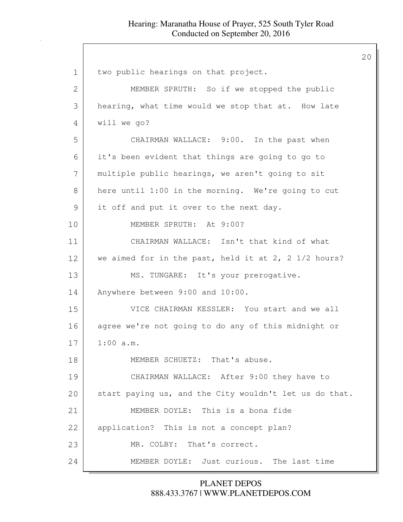| $\mathbf 1$  | two public hearings on that project.                              |
|--------------|-------------------------------------------------------------------|
| $\mathbf{2}$ | MEMBER SPRUTH: So if we stopped the public                        |
| 3            | hearing, what time would we stop that at. How late                |
| 4            | will we go?                                                       |
| 5            | CHAIRMAN WALLACE: 9:00. In the past when                          |
| 6            | it's been evident that things are going to go to                  |
| 7            | multiple public hearings, we aren't going to sit                  |
| 8            | here until 1:00 in the morning. We're going to cut                |
| 9            | it off and put it over to the next day.                           |
| 10           | MEMBER SPRUTH: At 9:00?                                           |
| 11           | CHAIRMAN WALLACE: Isn't that kind of what                         |
| 12           | we aimed for in the past, held it at $2$ , $2 \frac{1}{2}$ hours? |
| 13           | MS. TUNGARE: It's your prerogative.                               |
| 14           | Anywhere between 9:00 and 10:00.                                  |
| 15           | VICE CHAIRMAN KESSLER: You start and we all                       |
| 16           | agree we're not going to do any of this midnight or               |
| 17           | $1:00$ a.m.                                                       |
| 18           | MEMBER SCHUETZ: That's abuse.                                     |
| 19           | CHAIRMAN WALLACE: After 9:00 they have to                         |
| 20           | start paying us, and the City wouldn't let us do that.            |
| 21           | MEMBER DOYLE: This is a bona fide                                 |
| 22           | application? This is not a concept plan?                          |
| 23           | MR. COLBY: That's correct.                                        |
| 24           | MEMBER DOYLE: Just curious. The last time                         |

## 888.433.3767 | WWW.PLANETDEPOS.COM PLANET DEPOS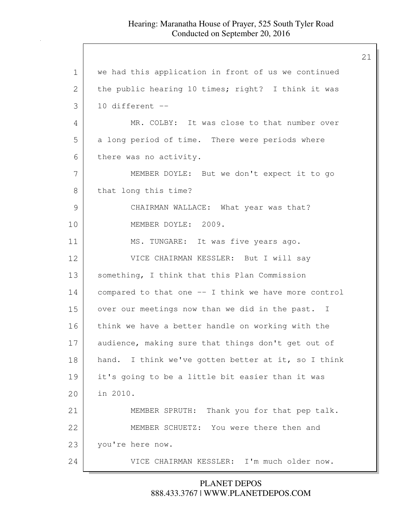#### Hearing: Maranatha House of Prayer, 525 South Tyler Road Conducted on September 20, 2016

1 we had this application in front of us we continued 2 the public hearing 10 times; right? I think it was  $3$  10 different  $-$ 4 MR. COLBY: It was close to that number over 5 a long period of time. There were periods where 6 there was no activity. 7 MEMBER DOYLE: But we don't expect it to go 8 | that long this time? 9 CHAIRMAN WALLACE: What year was that? 10 MEMBER DOYLE: 2009. 11 MS. TUNGARE: It was five years ago. 12 VICE CHAIRMAN KESSLER: But I will say 13 something, I think that this Plan Commission 14 compared to that one -- I think we have more control 15 over our meetings now than we did in the past. I 16 think we have a better handle on working with the 17 audience, making sure that things don't get out of 18 | hand. I think we've gotten better at it, so I think 19 it's going to be a little bit easier than it was 20 in 2010. 21 MEMBER SPRUTH: Thank you for that pep talk. 22 MEMBER SCHUETZ: You were there then and 23 you're here now. 24 VICE CHAIRMAN KESSLER: I'm much older now.

## 888.433.3767 | WWW.PLANETDEPOS.COM PLANET DEPOS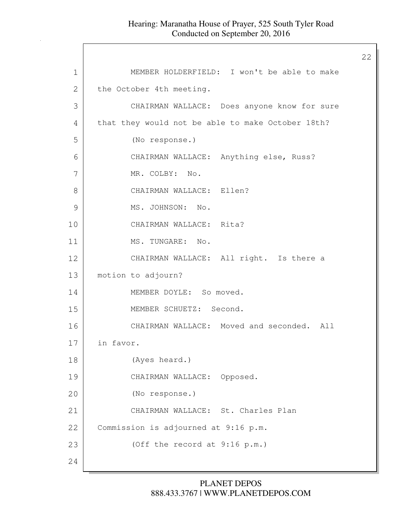| 1  | MEMBER HOLDERFIELD: I won't be able to make       |
|----|---------------------------------------------------|
| 2  | the October 4th meeting.                          |
| 3  | CHAIRMAN WALLACE: Does anyone know for sure       |
| 4  | that they would not be able to make October 18th? |
| 5  | (No response.)                                    |
| 6  | CHAIRMAN WALLACE: Anything else, Russ?            |
| 7  | MR. COLBY: No.                                    |
| 8  | CHAIRMAN WALLACE: Ellen?                          |
| 9  | MS. JOHNSON: No.                                  |
| 10 | CHAIRMAN WALLACE: Rita?                           |
| 11 | MS. TUNGARE: No.                                  |
| 12 | CHAIRMAN WALLACE: All right. Is there a           |
| 13 | motion to adjourn?                                |
| 14 | MEMBER DOYLE: So moved.                           |
| 15 | MEMBER SCHUETZ: Second.                           |
| 16 | CHAIRMAN WALLACE: Moved and seconded. All         |
| 17 | in favor.                                         |
| 18 | (Ayes heard.)                                     |
| 19 | CHAIRMAN WALLACE: Opposed.                        |
| 20 | (No response.)                                    |
| 21 | CHAIRMAN WALLACE: St. Charles Plan                |
| 22 | Commission is adjourned at 9:16 p.m.              |
| 23 | (Off the record at 9:16 p.m.)                     |
| 24 |                                                   |

# 888.433.3767 | WWW.PLANETDEPOS.COM PLANET DEPOS